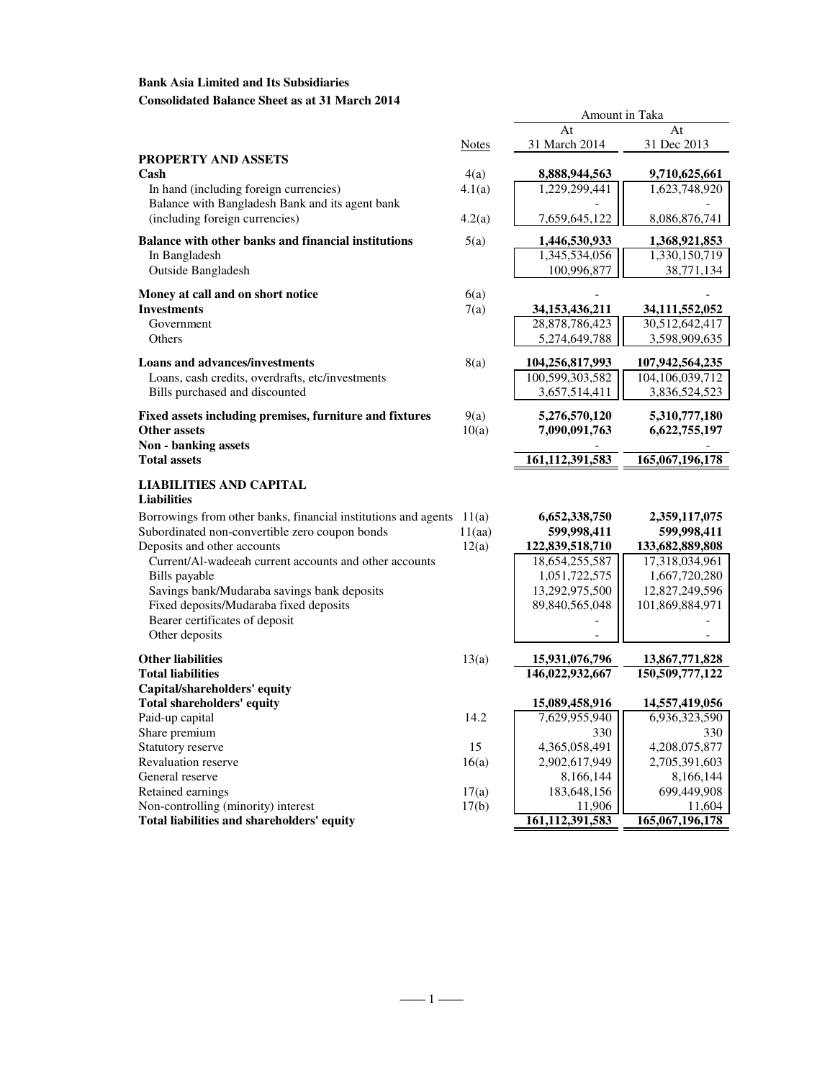# **Bank Asia Limited and Its Subsidiaries Consolidated Balance Sheet as at 31 March 2014**

|                                                                        |              | At                 | At              |
|------------------------------------------------------------------------|--------------|--------------------|-----------------|
|                                                                        | <b>Notes</b> | 31 March 2014      | 31 Dec 2013     |
| PROPERTY AND ASSETS                                                    |              |                    |                 |
| Cash                                                                   | 4(a)         | 8,888,944,563      | 9,710,625,661   |
| In hand (including foreign currencies)                                 | 4.1(a)       | 1,229,299,441      | 1,623,748,920   |
| Balance with Bangladesh Bank and its agent bank                        |              |                    |                 |
| (including foreign currencies)                                         | 4.2(a)       | 7,659,645,122      | 8,086,876,741   |
| <b>Balance with other banks and financial institutions</b>             | 5(a)         | 1,446,530,933      | 1,368,921,853   |
| In Bangladesh                                                          |              | 1,345,534,056      | 1,330,150,719   |
| <b>Outside Bangladesh</b>                                              |              | 100,996,877        | 38,771,134      |
| Money at call and on short notice                                      | 6(a)         |                    |                 |
| <b>Investments</b>                                                     | 7(a)         | 34,153,436,211     | 34,111,552,052  |
| Government                                                             |              | 28,878,786,423     | 30,512,642,417  |
| Others                                                                 |              | 5,274,649,788      | 3,598,909,635   |
| <b>Loans and advances/investments</b>                                  | 8(a)         | 104,256,817,993    | 107,942,564,235 |
| Loans, cash credits, overdrafts, etc/investments                       |              | 100,599,303,582    | 104,106,039,712 |
| Bills purchased and discounted                                         |              | 3,657,514,411      | 3,836,524,523   |
| Fixed assets including premises, furniture and fixtures                | 9(a)         | 5,276,570,120      | 5,310,777,180   |
| <b>Other assets</b>                                                    | 10(a)        | 7,090,091,763      | 6,622,755,197   |
| Non - banking assets                                                   |              |                    |                 |
| <b>Total assets</b>                                                    |              | 161, 112, 391, 583 | 165,067,196,178 |
| LIABILITIES AND CAPITAL                                                |              |                    |                 |
| Liabilities                                                            |              |                    |                 |
| Borrowings from other banks, financial institutions and agents $11(a)$ |              | 6,652,338,750      | 2,359,117,075   |
| Subordinated non-convertible zero coupon bonds                         | 11(aa)       | 599,998,411        | 599,998,411     |
| Deposits and other accounts                                            | 12(a)        | 122,839,518,710    | 133,682,889,808 |
| Current/Al-wadeeah current accounts and other accounts                 |              | 18,654,255,587     | 17,318,034,961  |
| Bills payable                                                          |              | 1,051,722,575      | 1,667,720,280   |
| Savings bank/Mudaraba savings bank deposits                            |              | 13,292,975,500     | 12,827,249,596  |
| Fixed deposits/Mudaraba fixed deposits                                 |              | 89,840,565,048     | 101,869,884,971 |
| Bearer certificates of deposit                                         |              |                    |                 |
| Other deposits                                                         |              |                    |                 |
| <b>Other liabilities</b>                                               | 13(a)        | 15,931,076,796     | 13,867,771,828  |
| <b>Total liabilities</b>                                               |              | 146,022,932,667    | 150,509,777,122 |
| Capital/shareholders' equity                                           |              |                    |                 |
| <b>Total shareholders' equity</b>                                      |              | 15,089,458,916     | 14,557,419,056  |
| Paid-up capital                                                        | 14.2         | 7,629,955,940      | 6,936,323,590   |
| Share premium                                                          |              | 330                | 330             |
| Statutory reserve                                                      | 15           | 4,365,058,491      | 4,208,075,877   |
| Revaluation reserve                                                    | 16(a)        | 2,902,617,949      | 2,705,391,603   |
| General reserve                                                        |              | 8,166,144          | 8,166,144       |
| Retained earnings                                                      | 17(a)        | 183,648,156        | 699,449,908     |
| Non-controlling (minority) interest                                    | 17(b)        | 11,906             | 11,604          |
| Total liabilities and shareholders' equity                             |              | 161,112,391,583    | 165,067,196,178 |

Amount in Taka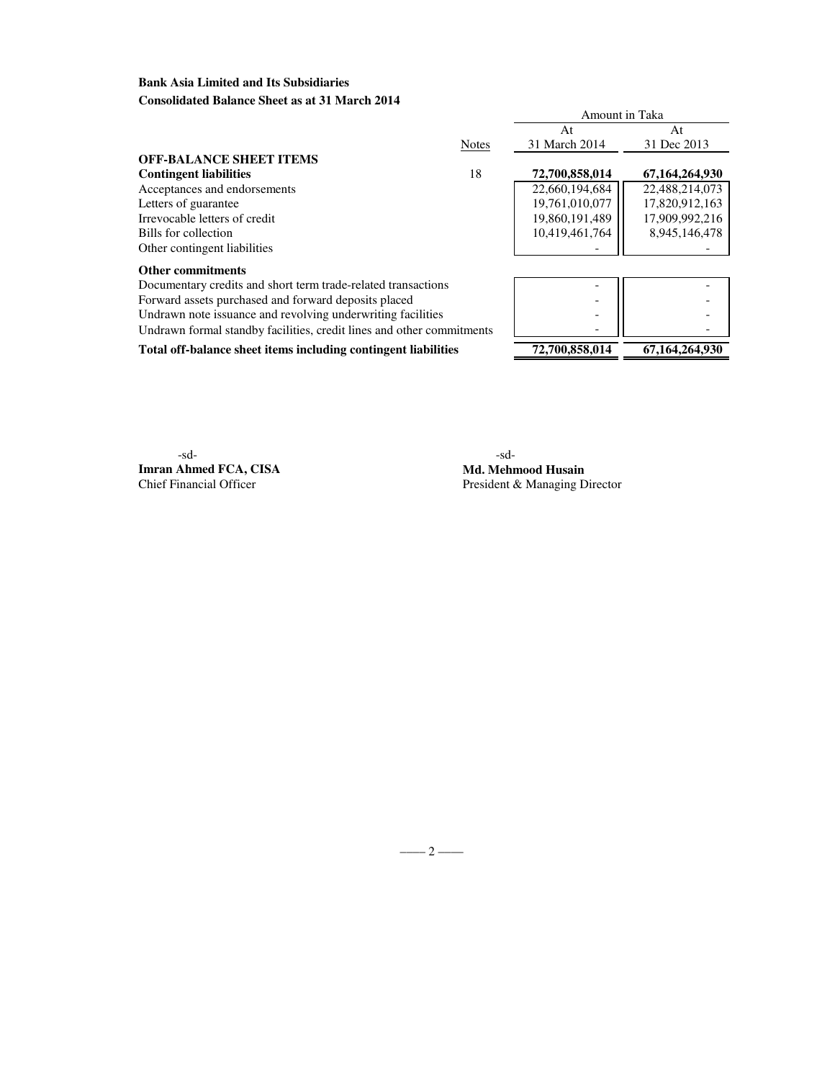# **Bank Asia Limited and Its Subsidiaries Consolidated Balance Sheet as at 31 March 2014**

|                                                                       |              | Amount in Taka |                |
|-----------------------------------------------------------------------|--------------|----------------|----------------|
|                                                                       |              | At             | At             |
|                                                                       | <b>Notes</b> | 31 March 2014  | 31 Dec 2013    |
| <b>OFF-BALANCE SHEET ITEMS</b>                                        |              |                |                |
| <b>Contingent liabilities</b>                                         | 18           | 72,700,858,014 | 67,164,264,930 |
| Acceptances and endorsements                                          |              | 22,660,194,684 | 22,488,214,073 |
| Letters of guarantee                                                  |              | 19,761,010,077 | 17,820,912,163 |
| Irrevocable letters of credit                                         |              | 19,860,191,489 | 17,909,992,216 |
| Bills for collection                                                  |              | 10,419,461,764 | 8,945,146,478  |
| Other contingent liabilities                                          |              |                |                |
| <b>Other commitments</b>                                              |              |                |                |
| Documentary credits and short term trade-related transactions         |              |                |                |
| Forward assets purchased and forward deposits placed                  |              |                |                |
| Undrawn note issuance and revolving underwriting facilities           |              |                |                |
| Undrawn formal standby facilities, credit lines and other commitments |              |                |                |
| Total off-balance sheet items including contingent liabilities        |              | 72,700,858,014 | 67,164,264,930 |

-sd- -sd-**Imran Ahmed FCA, CISA Md. Mehmood Husain**<br>
Chief Financial Officer<br>
President & Managing D

President & Managing Director

 $-\qquad -$  2 –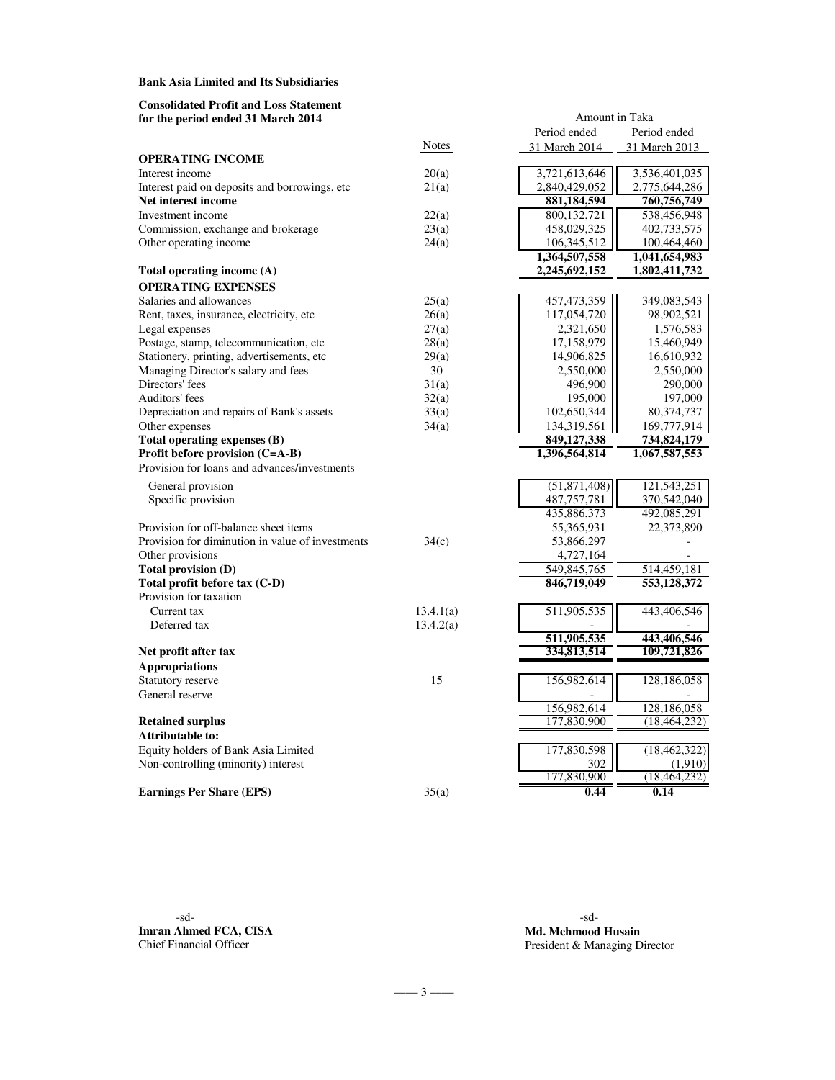### **Bank Asia Limited and Its Subsidiaries**

### **Consolidated Profit and Loss Statement for the period ended 31 March 2014**

|                                                  |              | Period ended  | Period ended   |
|--------------------------------------------------|--------------|---------------|----------------|
|                                                  | <b>Notes</b> | 31 March 2014 | 31 March 2013  |
| <b>OPERATING INCOME</b>                          |              |               |                |
| Interest income                                  | 20(a)        | 3,721,613,646 | 3,536,401,035  |
| Interest paid on deposits and borrowings, etc    | 21(a)        | 2,840,429,052 | 2,775,644,286  |
| Net interest income                              |              | 881,184,594   | 760,756,749    |
| Investment income                                | 22(a)        | 800,132,721   | 538,456,948    |
| Commission, exchange and brokerage               | 23(a)        | 458,029,325   | 402,733,575    |
| Other operating income                           | 24(a)        | 106,345,512   | 100,464,460    |
|                                                  |              | 1,364,507,558 | 1,041,654,983  |
| Total operating income (A)                       |              | 2,245,692,152 | 1,802,411,732  |
| <b>OPERATING EXPENSES</b>                        |              |               |                |
| Salaries and allowances                          | 25(a)        | 457, 473, 359 | 349,083,543    |
| Rent, taxes, insurance, electricity, etc         | 26(a)        | 117,054,720   | 98,902,521     |
| Legal expenses                                   | 27(a)        | 2,321,650     | 1,576,583      |
| Postage, stamp, telecommunication, etc           | 28(a)        | 17,158,979    | 15,460,949     |
| Stationery, printing, advertisements, etc        | 29(a)        | 14,906,825    | 16,610,932     |
| Managing Director's salary and fees              | 30           | 2,550,000     | 2,550,000      |
| Directors' fees                                  | 31(a)        | 496,900       | 290,000        |
| Auditors' fees                                   | 32(a)        | 195,000       | 197,000        |
| Depreciation and repairs of Bank's assets        | 33(a)        | 102,650,344   | 80,374,737     |
| Other expenses                                   | 34(a)        | 134,319,561   | 169,777,914    |
| Total operating expenses (B)                     |              | 849,127,338   | 734,824,179    |
| Profit before provision (C=A-B)                  |              | 1,396,564,814 | 1,067,587,553  |
| Provision for loans and advances/investments     |              |               |                |
| General provision                                |              | (51,871,408)  | 121,543,251    |
| Specific provision                               |              | 487, 757, 781 | 370,542,040    |
|                                                  |              | 435,886,373   | 492,085,291    |
| Provision for off-balance sheet items            |              | 55,365,931    | 22,373,890     |
| Provision for diminution in value of investments | 34(c)        | 53,866,297    |                |
| Other provisions                                 |              | 4,727,164     |                |
| Total provision (D)                              |              | 549,845,765   | 514,459,181    |
| Total profit before tax (C-D)                    |              | 846,719,049   | 553,128,372    |
| Provision for taxation                           |              |               |                |
| Current tax                                      | 13.4.1(a)    | 511,905,535   | 443,406,546    |
| Deferred tax                                     | 13.4.2(a)    |               |                |
|                                                  |              | 511,905,535   | 443,406,546    |
| Net profit after tax                             |              | 334,813,514   | 109,721,826    |
| <b>Appropriations</b>                            |              |               |                |
| Statutory reserve                                | 15           | 156,982,614   | 128,186,058    |
| General reserve                                  |              |               |                |
|                                                  |              | 156,982,614   | 128,186,058    |
| <b>Retained surplus</b>                          |              | 177,830,900   | (18, 464, 232) |
| <b>Attributable to:</b>                          |              |               |                |
| Equity holders of Bank Asia Limited              |              | 177,830,598   | (18, 462, 322) |
| Non-controlling (minority) interest              |              | 302           | (1,910)        |
|                                                  |              | 177,830,900   | (18, 464, 232) |
| <b>Earnings Per Share (EPS)</b>                  | 35(a)        | 0.44          | 0.14           |
|                                                  |              |               |                |
|                                                  |              |               |                |

-sd- -sd-**Imran Ahmed FCA, CISA Md. Mehmood Husain**<br> **Chief Financial Officer**<br> **Md. Mehmood Husain**<br> **President & Managing D** 

President & Managing Director

Amount in Taka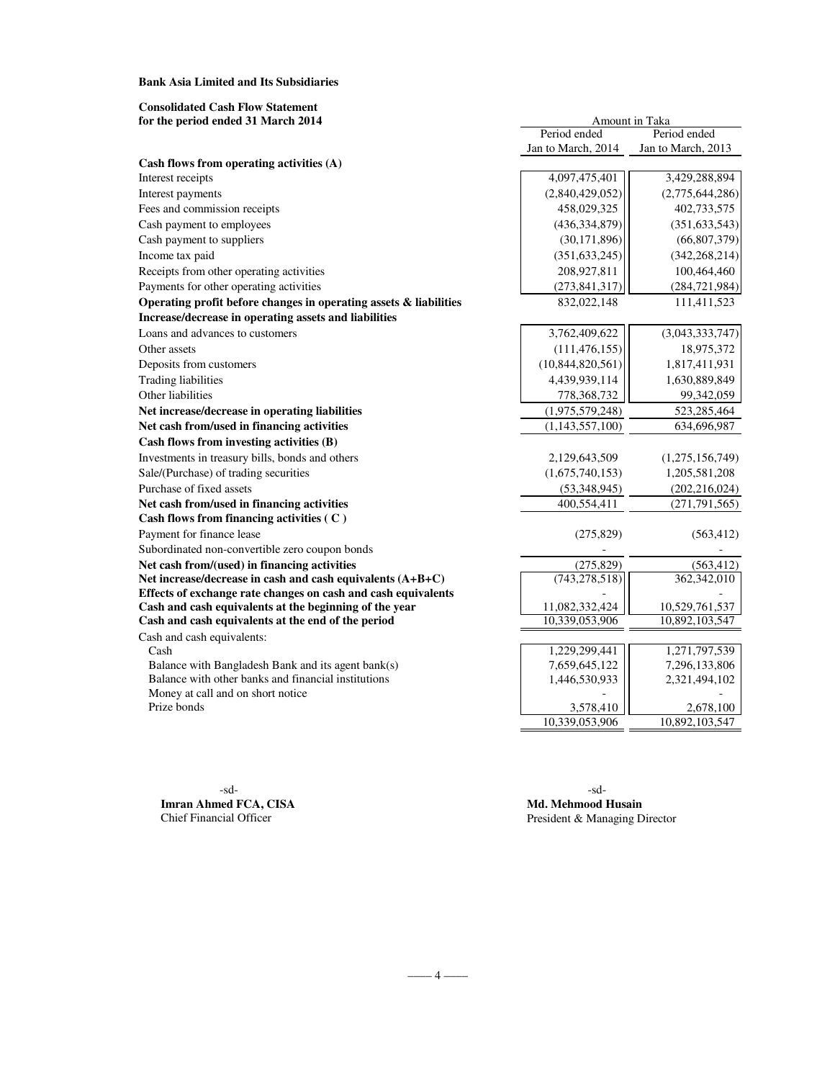**Bank Asia Limited and Its Subsidiaries**

| <b>Consolidated Cash Flow Statement</b><br>for the period ended 31 March 2014                                           | Amount in Taka      |                                  |  |  |
|-------------------------------------------------------------------------------------------------------------------------|---------------------|----------------------------------|--|--|
|                                                                                                                         | Period ended        | Period ended                     |  |  |
|                                                                                                                         | Jan to March, 2014  | Jan to March, 2013               |  |  |
| Cash flows from operating activities (A)                                                                                |                     |                                  |  |  |
| Interest receipts                                                                                                       | 4,097,475,401       | 3,429,288,894                    |  |  |
| Interest payments                                                                                                       | (2,840,429,052)     | (2,775,644,286)                  |  |  |
| Fees and commission receipts                                                                                            | 458,029,325         | 402,733,575                      |  |  |
| Cash payment to employees                                                                                               | (436, 334, 879)     | (351, 633, 543)                  |  |  |
| Cash payment to suppliers                                                                                               | (30, 171, 896)      | (66, 807, 379)                   |  |  |
| Income tax paid                                                                                                         | (351, 633, 245)     | (342, 268, 214)                  |  |  |
| Receipts from other operating activities                                                                                | 208,927,811         | 100,464,460                      |  |  |
| Payments for other operating activities                                                                                 | (273, 841, 317)     | (284, 721, 984)                  |  |  |
| Operating profit before changes in operating assets & liabilities                                                       | 832,022,148         | 111,411,523                      |  |  |
| Increase/decrease in operating assets and liabilities                                                                   |                     |                                  |  |  |
| Loans and advances to customers                                                                                         | 3,762,409,622       | (3,043,333,747)                  |  |  |
| Other assets                                                                                                            | (111, 476, 155)     | 18,975,372                       |  |  |
| Deposits from customers                                                                                                 | (10, 844, 820, 561) | 1,817,411,931                    |  |  |
| <b>Trading liabilities</b>                                                                                              | 4,439,939,114       | 1,630,889,849                    |  |  |
| Other liabilities                                                                                                       | 778,368,732         | 99,342,059                       |  |  |
| Net increase/decrease in operating liabilities                                                                          | (1,975,579,248)     | 523,285,464                      |  |  |
| Net cash from/used in financing activities                                                                              | (1, 143, 557, 100)  | 634,696,987                      |  |  |
| Cash flows from investing activities (B)                                                                                |                     |                                  |  |  |
| Investments in treasury bills, bonds and others                                                                         | 2,129,643,509       | (1,275,156,749)                  |  |  |
| Sale/(Purchase) of trading securities                                                                                   | (1,675,740,153)     | 1,205,581,208                    |  |  |
| Purchase of fixed assets                                                                                                | (53,348,945)        | (202, 216, 024)                  |  |  |
| Net cash from/used in financing activities                                                                              | 400,554,411         | (271, 791, 565)                  |  |  |
| Cash flows from financing activities (C)                                                                                |                     |                                  |  |  |
| Payment for finance lease                                                                                               | (275, 829)          | (563, 412)                       |  |  |
| Subordinated non-convertible zero coupon bonds                                                                          |                     |                                  |  |  |
| Net cash from/(used) in financing activities                                                                            | (275, 829)          | (563, 412)                       |  |  |
| Net increase/decrease in cash and cash equivalents (A+B+C)                                                              | (743, 278, 518)     | 362,342,010                      |  |  |
| Effects of exchange rate changes on cash and cash equivalents<br>Cash and cash equivalents at the beginning of the year | 11,082,332,424      |                                  |  |  |
| Cash and cash equivalents at the end of the period                                                                      | 10,339,053,906      | 10,529,761,537<br>10,892,103,547 |  |  |
| Cash and cash equivalents:                                                                                              |                     |                                  |  |  |
| Cash                                                                                                                    | 1,229,299,441       | 1,271,797,539                    |  |  |
| Balance with Bangladesh Bank and its agent bank(s)                                                                      | 7,659,645,122       | 7,296,133,806                    |  |  |
| Balance with other banks and financial institutions                                                                     | 1,446,530,933       | 2,321,494,102                    |  |  |
| Money at call and on short notice                                                                                       |                     |                                  |  |  |
| Prize bonds                                                                                                             | 3,578,410           | 2,678,100                        |  |  |
|                                                                                                                         | 10,339,053,906      | 10,892,103,547                   |  |  |

 -sd- -sd-**Imran Ahmed FCA, CISA Md. Mehmood Husain**<br>Chief Financial Officer **President & Managing Di** 

President & Managing Director

 $-$  4  $-$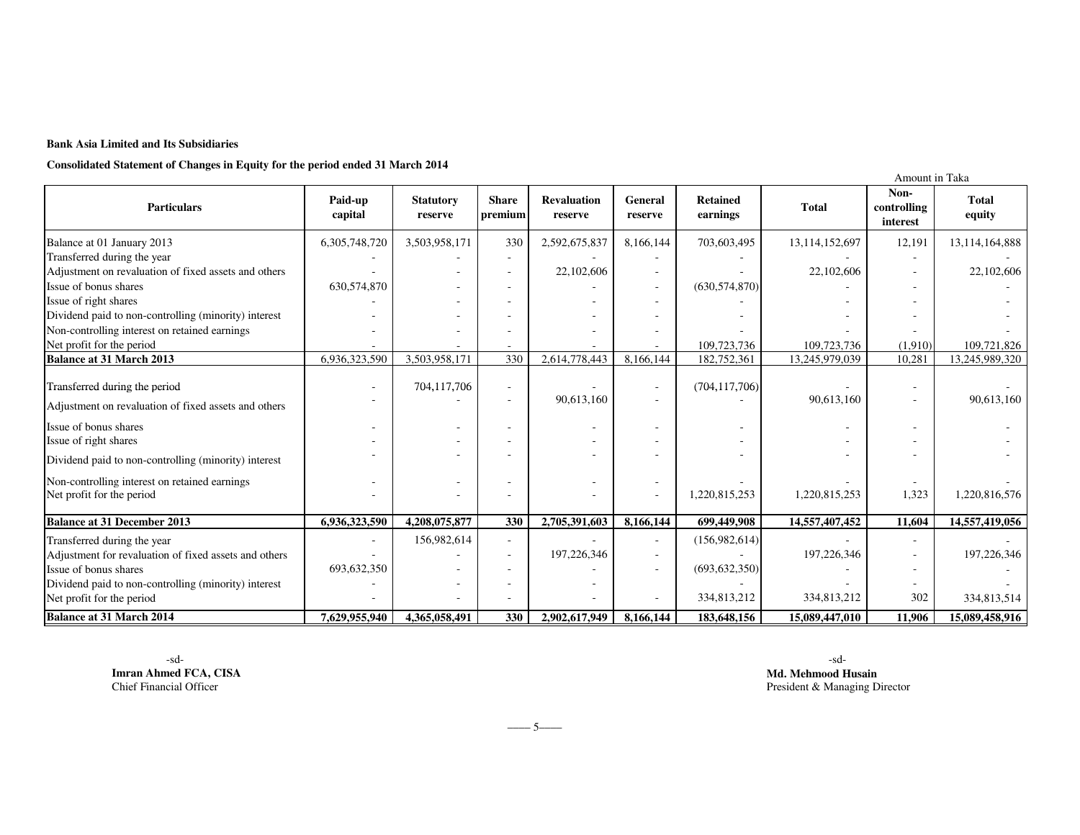### **Bank Asia Limited and Its Subsidiaries**

**Consolidated Statement of Changes in Equity for the period ended 31 March 2014**

|                                                                            |                    |                             |                          |                               |                           |                             |                | Amount in Taka                  |                        |
|----------------------------------------------------------------------------|--------------------|-----------------------------|--------------------------|-------------------------------|---------------------------|-----------------------------|----------------|---------------------------------|------------------------|
| <b>Particulars</b>                                                         | Paid-up<br>capital | <b>Statutory</b><br>reserve | <b>Share</b><br>premium  | <b>Revaluation</b><br>reserve | <b>General</b><br>reserve | <b>Retained</b><br>earnings | <b>Total</b>   | Non-<br>controlling<br>interest | <b>Total</b><br>equity |
| Balance at 01 January 2013                                                 | 6,305,748,720      | 3,503,958,171               | 330                      | 2,592,675,837                 | 8,166,144                 | 703,603,495                 | 13,114,152,697 | 12,191                          | 13, 114, 164, 888      |
| Transferred during the year                                                |                    |                             |                          |                               |                           |                             |                |                                 |                        |
| Adjustment on revaluation of fixed assets and others                       |                    |                             |                          | 22,102,606                    |                           |                             | 22,102,606     |                                 | 22,102,606             |
| Issue of bonus shares                                                      | 630,574,870        |                             |                          |                               |                           | (630, 574, 870)             |                |                                 |                        |
| Issue of right shares                                                      |                    |                             |                          |                               |                           |                             |                |                                 |                        |
| Dividend paid to non-controlling (minority) interest                       |                    |                             |                          |                               |                           |                             |                |                                 |                        |
| Non-controlling interest on retained earnings                              |                    |                             |                          |                               |                           |                             |                |                                 |                        |
| Net profit for the period                                                  |                    |                             |                          |                               |                           | 109,723,736                 | 109,723,736    | (1.910)                         | 109,721,826            |
| <b>Balance at 31 March 2013</b>                                            | 6,936,323,590      | 3,503,958,171               | 330                      | 2,614,778,443                 | 8,166,144                 | 182,752,361                 | 13,245,979,039 | 10,281                          | 13,245,989,320         |
| Transferred during the period                                              |                    | 704,117,706                 | $\overline{\phantom{a}}$ | 90,613,160                    | $\overline{\phantom{a}}$  | (704, 117, 706)             | 90,613,160     | $\overline{\phantom{m}}$<br>٠   | 90,613,160             |
| Adjustment on revaluation of fixed assets and others                       |                    |                             |                          |                               |                           |                             |                |                                 |                        |
| Issue of bonus shares<br>Issue of right shares                             |                    |                             |                          |                               |                           |                             |                |                                 |                        |
| Dividend paid to non-controlling (minority) interest                       |                    |                             |                          |                               |                           |                             |                |                                 |                        |
| Non-controlling interest on retained earnings<br>Net profit for the period |                    |                             |                          |                               | $\overline{\phantom{a}}$  | 1,220,815,253               | 1,220,815,253  | 1,323                           | 1,220,816,576          |
|                                                                            |                    |                             |                          |                               |                           |                             |                |                                 |                        |
| <b>Balance at 31 December 2013</b>                                         | 6,936,323,590      | 4,208,075,877               | 330                      | 2,705,391,603                 | 8,166,144                 | 699,449,908                 | 14,557,407,452 | 11,604                          | 14,557,419,056         |
| Transferred during the year                                                |                    | 156,982,614                 | $\sim$                   |                               | $\overline{\phantom{a}}$  | (156,982,614)               |                | ٠                               |                        |
| Adjustment for revaluation of fixed assets and others                      |                    |                             |                          | 197,226,346                   |                           |                             | 197,226,346    | $\overline{\phantom{a}}$        | 197,226,346            |
| Issue of bonus shares                                                      | 693,632,350        |                             |                          |                               |                           | (693, 632, 350)             |                |                                 |                        |
| Dividend paid to non-controlling (minority) interest                       |                    |                             |                          |                               |                           |                             |                |                                 |                        |
| Net profit for the period                                                  |                    |                             |                          |                               |                           | 334,813,212                 | 334,813,212    | 302                             | 334,813,514            |
| <b>Balance at 31 March 2014</b>                                            | 7,629,955,940      | 4.365.058.491               | 330                      | 2,902,617,949                 | 8,166,144                 | 183,648,156                 | 15,089,447,010 | 11.906                          | 15,089,458,916         |

**Imran Ahmed FCA, CISA**Chief Financial Officer

-sd- -sd- **Md. Mehmood Husain President & Managing Director President & Managing Director** 

 $-5$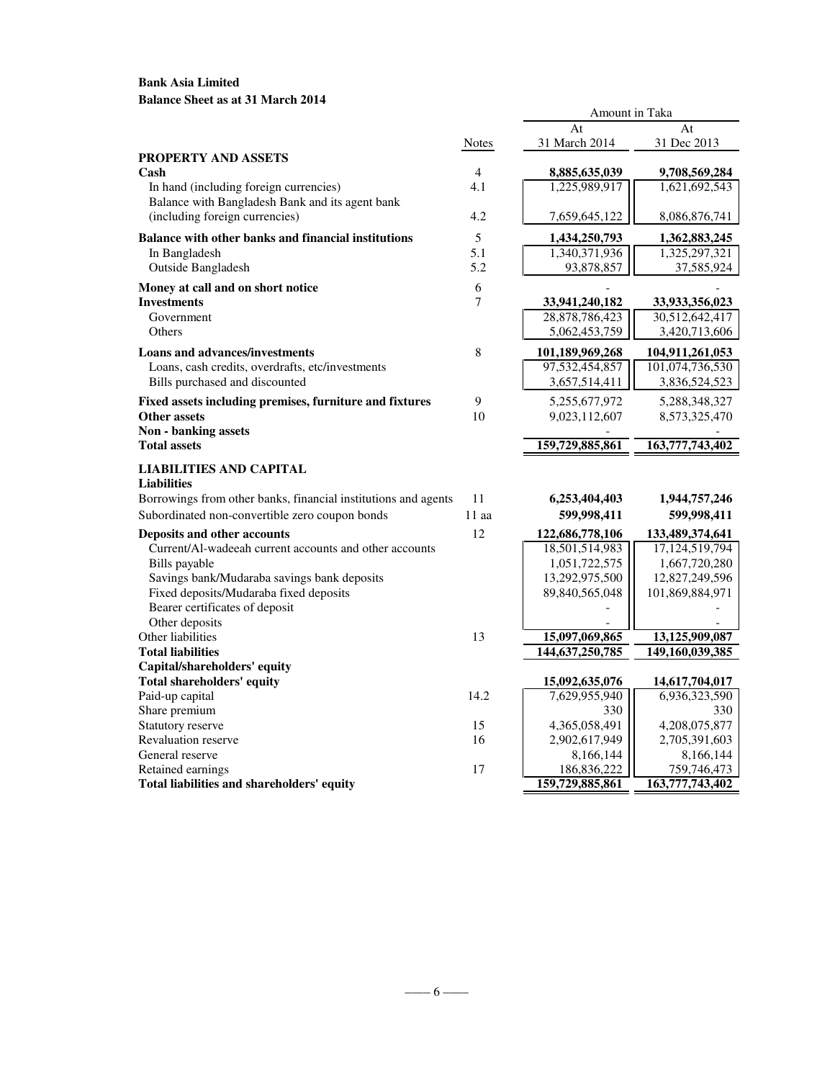# **Bank Asia Limited Balance Sheet as at 31 March 2014**

|                                                                                       |              | At                              | At                              |
|---------------------------------------------------------------------------------------|--------------|---------------------------------|---------------------------------|
|                                                                                       | <b>Notes</b> | 31 March 2014                   | 31 Dec 2013                     |
| PROPERTY AND ASSETS                                                                   |              |                                 |                                 |
| Cash                                                                                  | 4            | 8,885,635,039                   | 9,708,569,284                   |
| In hand (including foreign currencies)                                                | 4.1          | 1,225,989,917                   | 1,621,692,543                   |
| Balance with Bangladesh Bank and its agent bank                                       |              |                                 |                                 |
| (including foreign currencies)                                                        | 4.2          | 7,659,645,122                   | 8,086,876,741                   |
| <b>Balance with other banks and financial institutions</b>                            | 5            | 1,434,250,793                   | 1,362,883,245                   |
| In Bangladesh                                                                         | 5.1          | 1,340,371,936                   | 1,325,297,321                   |
| Outside Bangladesh                                                                    | 5.2          | 93,878,857                      | 37,585,924                      |
| Money at call and on short notice                                                     | 6            |                                 |                                 |
| <b>Investments</b>                                                                    | 7            | 33,941,240,182                  | 33,933,356,023                  |
| Government                                                                            |              | 28,878,786,423                  | 30,512,642,417                  |
| Others                                                                                |              | 5,062,453,759                   | 3,420,713,606                   |
| <b>Loans and advances/investments</b>                                                 | 8            | 101,189,969,268                 | 104,911,261,053                 |
| Loans, cash credits, overdrafts, etc/investments                                      |              | 97,532,454,857                  | 101,074,736,530                 |
| Bills purchased and discounted                                                        |              | 3,657,514,411                   | 3,836,524,523                   |
| Fixed assets including premises, furniture and fixtures                               | 9            | 5,255,677,972                   | 5,288,348,327                   |
| <b>Other assets</b>                                                                   | 10           | 9,023,112,607                   | 8,573,325,470                   |
| Non - banking assets                                                                  |              |                                 |                                 |
| <b>Total assets</b>                                                                   |              | 159,729,885,861                 | 163,777,743,402                 |
| LIABILITIES AND CAPITAL                                                               |              |                                 |                                 |
| <b>Liabilities</b>                                                                    |              |                                 |                                 |
| Borrowings from other banks, financial institutions and agents                        | 11           | 6,253,404,403                   | 1,944,757,246                   |
| Subordinated non-convertible zero coupon bonds                                        | $11$ aa      | 599,998,411                     | 599,998,411                     |
|                                                                                       | 12           |                                 |                                 |
| Deposits and other accounts<br>Current/Al-wadeeah current accounts and other accounts |              | 122,686,778,106                 | 133,489,374,641                 |
| Bills payable                                                                         |              | 18,501,514,983<br>1,051,722,575 | 17,124,519,794<br>1,667,720,280 |
|                                                                                       |              |                                 |                                 |
| Savings bank/Mudaraba savings bank deposits                                           |              | 13,292,975,500                  | 12,827,249,596                  |
| Fixed deposits/Mudaraba fixed deposits                                                |              | 89,840,565,048                  | 101,869,884,971                 |
| Bearer certificates of deposit                                                        |              |                                 |                                 |
| Other deposits<br>Other liabilities                                                   | 13           | 15,097,069,865                  | 13,125,909,087                  |
| <b>Total liabilities</b>                                                              |              | 144, 637, 250, 785              | 149,160,039,385                 |
| Capital/shareholders' equity                                                          |              |                                 |                                 |
| <b>Total shareholders' equity</b>                                                     |              | 15,092,635,076                  | 14,617,704,017                  |
| Paid-up capital                                                                       | 14.2         | 7,629,955,940                   | 6,936,323,590                   |
| Share premium                                                                         |              | 330                             | 330                             |
| Statutory reserve                                                                     | 15           | 4,365,058,491                   | 4,208,075,877                   |
| <b>Revaluation reserve</b>                                                            | 16           | 2,902,617,949                   | 2,705,391,603                   |
| General reserve                                                                       |              | 8,166,144                       | 8,166,144                       |
| Retained earnings                                                                     | 17           | 186,836,222                     | 759,746,473                     |
| Total liabilities and shareholders' equity                                            |              | 159,729,885,861                 | 163,777,743,402                 |

Amount in Taka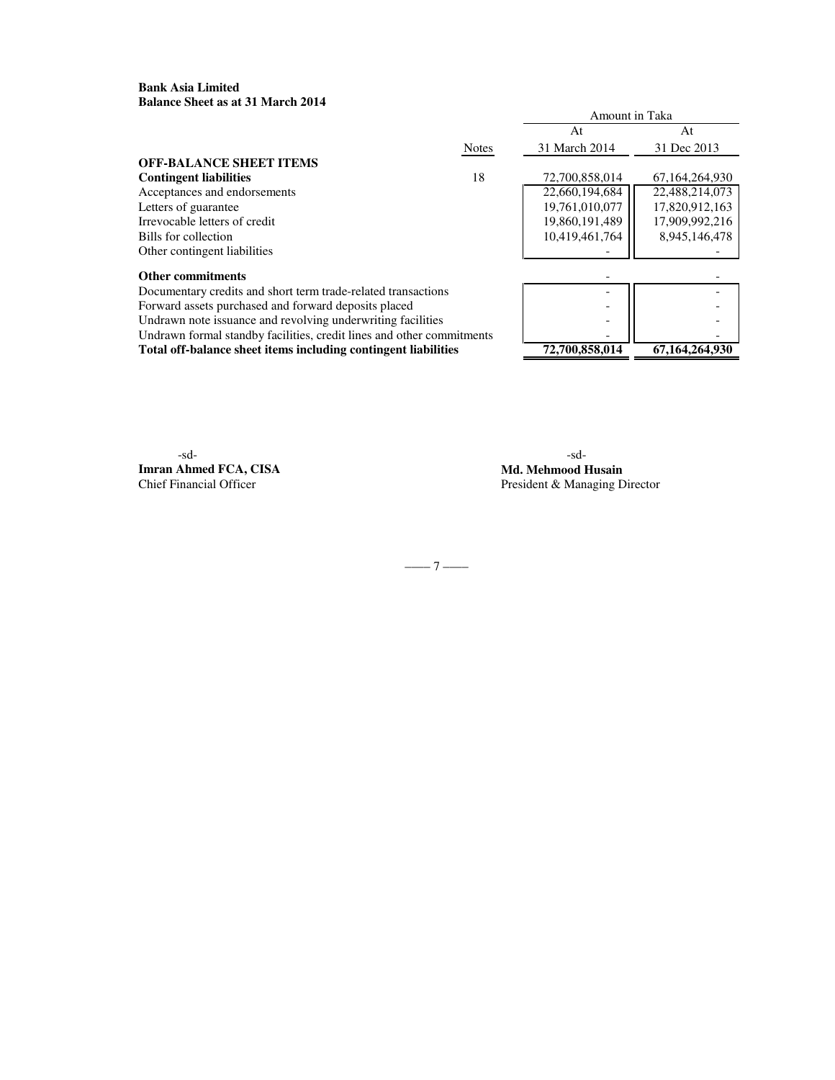### **Bank Asia Limited Balance Sheet as at 31 March 2014**

|                                                                       |              | Amount in Taka |                   |
|-----------------------------------------------------------------------|--------------|----------------|-------------------|
|                                                                       |              | At             | At                |
|                                                                       | <b>Notes</b> | 31 March 2014  | 31 Dec 2013       |
| <b>OFF-BALANCE SHEET ITEMS</b>                                        |              |                |                   |
| <b>Contingent liabilities</b>                                         | 18           | 72,700,858,014 | 67, 164, 264, 930 |
| Acceptances and endorsements                                          |              | 22,660,194,684 | 22,488,214,073    |
| Letters of guarantee                                                  |              | 19,761,010,077 | 17,820,912,163    |
| Irrevocable letters of credit                                         |              | 19,860,191,489 | 17,909,992,216    |
| Bills for collection                                                  |              | 10.419.461.764 | 8.945.146.478     |
| Other contingent liabilities                                          |              |                |                   |
| Other commitments                                                     |              |                |                   |
| Documentary credits and short term trade-related transactions         |              |                |                   |
| Forward assets purchased and forward deposits placed                  |              |                |                   |
| Undrawn note issuance and revolving underwriting facilities           |              |                |                   |
| Undrawn formal standby facilities, credit lines and other commitments |              |                |                   |
| Total off-balance sheet items including contingent liabilities        |              | 72,700,858,014 | 67,164,264,930    |

-sd- -sd-**Imran Ahmed FCA, CISA Md. Mehmood Husain**<br>
Chief Financial Officer<br>
President & Managing D

President & Managing Director

–––– 7 ––––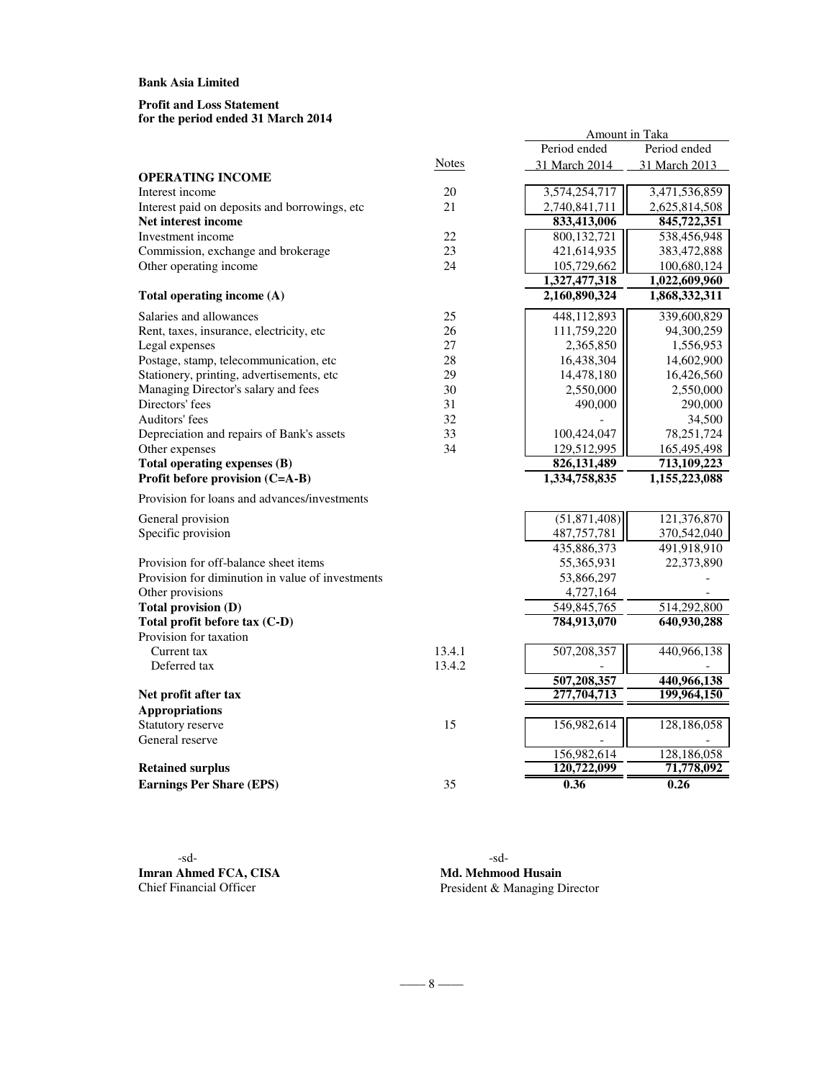#### **for the period ended 31 March 2014 Profit and Loss Statement**

|                                                  |              | Period ended   | Period ended  |
|--------------------------------------------------|--------------|----------------|---------------|
|                                                  | <b>Notes</b> | 31 March 2014  | 31 March 2013 |
| <b>OPERATING INCOME</b>                          |              |                |               |
| Interest income                                  | 20           | 3,574,254,717  | 3,471,536,859 |
| Interest paid on deposits and borrowings, etc    | 21           | 2,740,841,711  | 2,625,814,508 |
| Net interest income                              |              | 833,413,006    | 845,722,351   |
| Investment income                                | 22           | 800,132,721    | 538,456,948   |
| Commission, exchange and brokerage               | 23           | 421,614,935    | 383,472,888   |
| Other operating income                           | 24           | 105,729,662    | 100,680,124   |
|                                                  |              | 1,327,477,318  | 1,022,609,960 |
| Total operating income (A)                       |              | 2,160,890,324  | 1,868,332,311 |
| Salaries and allowances                          | 25           | 448,112,893    | 339,600,829   |
| Rent, taxes, insurance, electricity, etc         | 26           | 111,759,220    | 94,300,259    |
| Legal expenses                                   | 27           | 2,365,850      | 1,556,953     |
| Postage, stamp, telecommunication, etc           | 28           | 16,438,304     | 14,602,900    |
| Stationery, printing, advertisements, etc        | 29           | 14,478,180     | 16,426,560    |
| Managing Director's salary and fees              | 30           | 2,550,000      | 2,550,000     |
| Directors' fees                                  | 31           | 490,000        | 290,000       |
| Auditors' fees                                   | 32           |                | 34,500        |
| Depreciation and repairs of Bank's assets        | 33           | 100,424,047    | 78,251,724    |
| Other expenses                                   | 34           | 129,512,995    | 165,495,498   |
| Total operating expenses (B)                     |              | 826,131,489    | 713,109,223   |
| Profit before provision (C=A-B)                  |              | 1,334,758,835  | 1,155,223,088 |
| Provision for loans and advances/investments     |              |                |               |
| General provision                                |              | (51, 871, 408) | 121,376,870   |
| Specific provision                               |              | 487,757,781    | 370,542,040   |
|                                                  |              | 435,886,373    | 491,918,910   |
| Provision for off-balance sheet items            |              | 55,365,931     | 22,373,890    |
| Provision for diminution in value of investments |              | 53,866,297     |               |
| Other provisions                                 |              | 4,727,164      |               |
| Total provision (D)                              |              | 549,845,765    | 514,292,800   |
| Total profit before tax (C-D)                    |              | 784,913,070    | 640,930,288   |
| Provision for taxation                           |              |                |               |
| Current tax                                      | 13.4.1       | 507,208,357    | 440,966,138   |
| Deferred tax                                     | 13.4.2       |                |               |
|                                                  |              | 507,208,357    | 440,966,138   |
| Net profit after tax                             |              | 277,704,713    | 199,964,150   |
| <b>Appropriations</b>                            |              |                |               |
| Statutory reserve                                | 15           | 156,982,614    | 128,186,058   |
| General reserve                                  |              |                |               |
|                                                  |              | 156,982,614    | 128,186,058   |
| <b>Retained surplus</b>                          |              | 120,722,099    | 71,778,092    |
| <b>Earnings Per Share (EPS)</b>                  | 35           | 0.36           | 0.26          |

 $-\frac{8}{-}$ 

-sd- -sd-**Imran Ahmed FCA, CISA Md. Mehmood Husain**<br>Chief Financial Officer President & Managing D

President & Managing Director

Amount in Taka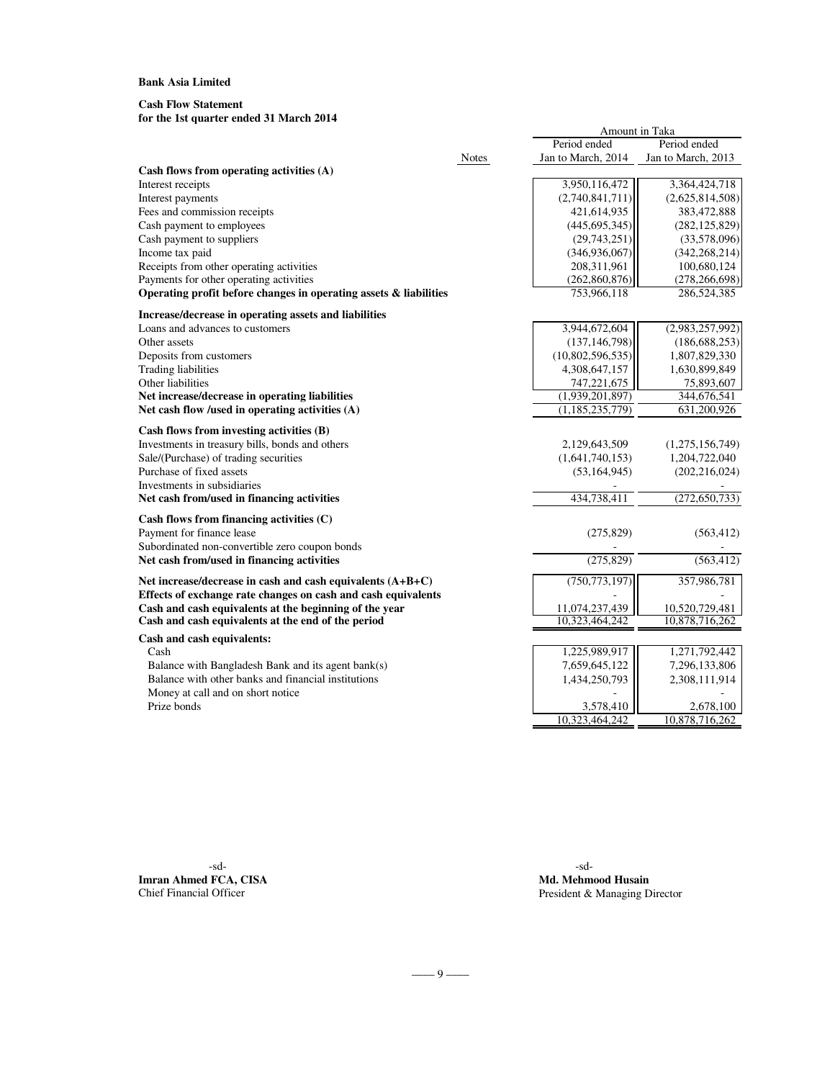### **Cash Flow Statement**

# **for the 1st quarter ended 31 March 2014**

|                                                                                                              |              |                                  | Amount in Taka                   |  |  |  |
|--------------------------------------------------------------------------------------------------------------|--------------|----------------------------------|----------------------------------|--|--|--|
|                                                                                                              |              | Period ended                     | Period ended                     |  |  |  |
|                                                                                                              | <b>Notes</b> | Jan to March, 2014               | Jan to March, 2013               |  |  |  |
| Cash flows from operating activities (A)                                                                     |              |                                  |                                  |  |  |  |
| Interest receipts                                                                                            |              | 3,950,116,472                    | 3,364,424,718                    |  |  |  |
| Interest payments                                                                                            |              | (2,740,841,711)                  | (2,625,814,508)                  |  |  |  |
| Fees and commission receipts                                                                                 |              | 421,614,935                      | 383,472,888                      |  |  |  |
| Cash payment to employees<br>Cash payment to suppliers                                                       |              | (445, 695, 345)<br>(29,743,251)  | (282, 125, 829)<br>(33,578,096)  |  |  |  |
| Income tax paid                                                                                              |              | (346, 936, 067)                  | (342, 268, 214)                  |  |  |  |
| Receipts from other operating activities                                                                     |              | 208,311,961                      | 100,680,124                      |  |  |  |
| Payments for other operating activities                                                                      |              | (262, 860, 876)                  | (278, 266, 698)                  |  |  |  |
| Operating profit before changes in operating assets & liabilities                                            |              | 753,966,118                      | 286,524,385                      |  |  |  |
| Increase/decrease in operating assets and liabilities                                                        |              |                                  |                                  |  |  |  |
| Loans and advances to customers                                                                              |              | 3,944,672,604                    | (2,983,257,992)                  |  |  |  |
| Other assets                                                                                                 |              | (137, 146, 798)                  | (186, 688, 253)                  |  |  |  |
| Deposits from customers                                                                                      |              | (10,802,596,535)                 | 1,807,829,330                    |  |  |  |
| <b>Trading liabilities</b>                                                                                   |              | 4,308,647,157                    | 1,630,899,849                    |  |  |  |
| Other liabilities                                                                                            |              | 747,221,675                      | 75,893,607                       |  |  |  |
| Net increase/decrease in operating liabilities                                                               |              | (1,939,201,897)                  | 344,676,541                      |  |  |  |
| Net cash flow /used in operating activities $(A)$                                                            |              | (1, 185, 235, 779)               | 631,200,926                      |  |  |  |
| Cash flows from investing activities (B)                                                                     |              |                                  |                                  |  |  |  |
| Investments in treasury bills, bonds and others                                                              |              | 2,129,643,509                    | (1,275,156,749)                  |  |  |  |
| Sale/(Purchase) of trading securities                                                                        |              | (1,641,740,153)                  | 1,204,722,040                    |  |  |  |
| Purchase of fixed assets                                                                                     |              | (53, 164, 945)                   | (202, 216, 024)                  |  |  |  |
| Investments in subsidiaries                                                                                  |              |                                  |                                  |  |  |  |
| Net cash from/used in financing activities                                                                   |              | 434,738,411                      | (272, 650, 733)                  |  |  |  |
| Cash flows from financing activities (C)                                                                     |              |                                  |                                  |  |  |  |
| Payment for finance lease                                                                                    |              | (275, 829)                       | (563, 412)                       |  |  |  |
| Subordinated non-convertible zero coupon bonds                                                               |              |                                  |                                  |  |  |  |
| Net cash from/used in financing activities                                                                   |              | (275, 829)                       | (563, 412)                       |  |  |  |
| Net increase/decrease in cash and cash equivalents $(A+B+C)$                                                 |              | (750, 773, 197)                  | 357,986,781                      |  |  |  |
| Effects of exchange rate changes on cash and cash equivalents                                                |              |                                  |                                  |  |  |  |
| Cash and cash equivalents at the beginning of the year<br>Cash and cash equivalents at the end of the period |              | 11,074,237,439<br>10.323.464.242 | 10,520,729,481<br>10,878,716,262 |  |  |  |
|                                                                                                              |              |                                  |                                  |  |  |  |
| Cash and cash equivalents:<br>Cash                                                                           |              | 1,225,989,917                    | 1,271,792,442                    |  |  |  |
| Balance with Bangladesh Bank and its agent bank(s)                                                           |              | 7,659,645,122                    | 7,296,133,806                    |  |  |  |
| Balance with other banks and financial institutions                                                          |              | 1,434,250,793                    | 2,308,111,914                    |  |  |  |
| Money at call and on short notice                                                                            |              |                                  |                                  |  |  |  |
| Prize bonds                                                                                                  |              | 3,578,410                        | 2,678,100                        |  |  |  |
|                                                                                                              |              | 10,323,464,242                   | 10,878,716,262                   |  |  |  |

-sd- -sd-**Imran Ahmed FCA, CISA Md. Mehmood Husain**<br> **Chief Financial Officer Md. Mehmood Husain**<br> **President & Managing D** 

President & Managing Director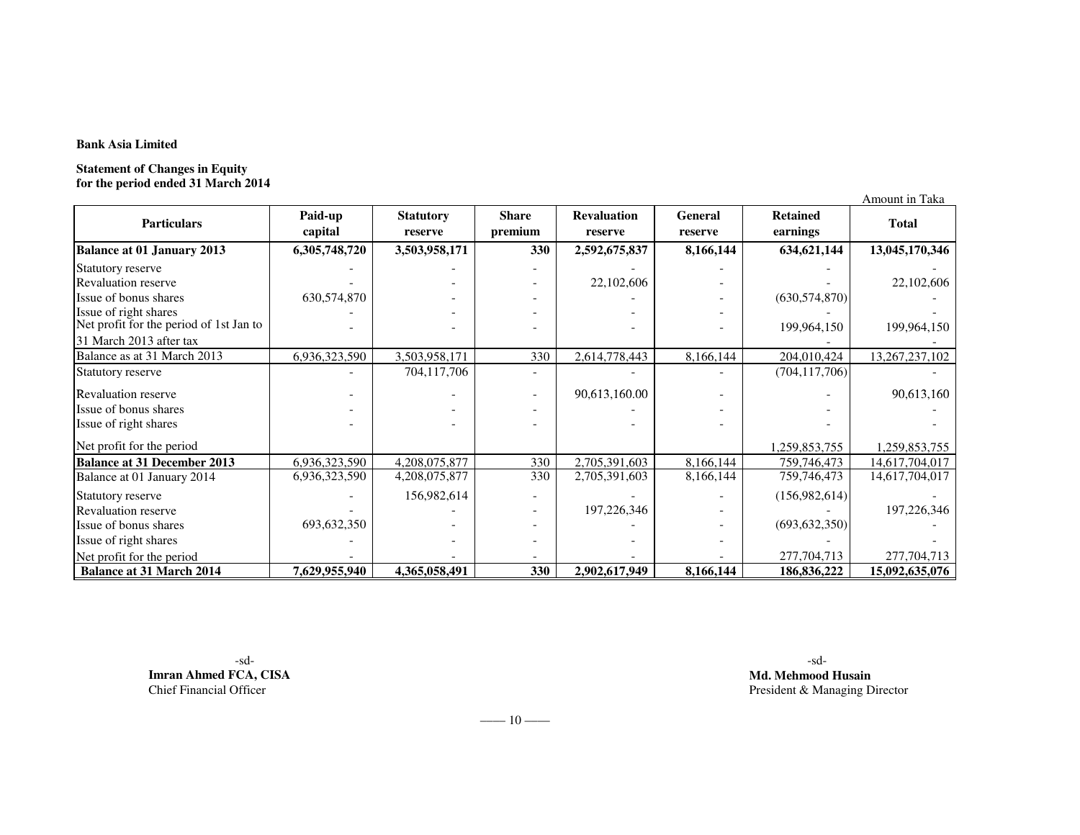**Statement of Changes in Equity for the period ended 31 March 2014**

Amount in Taka**Balance at 01 January 2013 6,305,748,720 3,503,958,171 <sup>330</sup> 2,592,675,837 8,166,144 634,621,144 13,045,170,346** Statutory reserve - - - - - - - Revaluation reservee 22,102,606  $22,102,606$   $(630.574.870)$   $22,102,606$ Issue of bonus sharesIssue of bonus shares 630,574,870<br>Issue of right shares Issue of bonus shares  $630,574,870$ <br>
Issue of right shares  $\begin{array}{ccc} 630,574,870 \\ - & - \end{array}$  - - - - - - - -- 199,964,150 - 199,964,150 - 199,964,150 199,964,150 199,964,150 204,010,424 13,267,237,102 Balance as at 31 March 2013 6,936,323,590 3,503,958,171 <sup>330</sup> 2,614,778,443 8,166,144 204,010,424 13,267,237,102 Statutory reserve - 704,117,706 $-$  (704,117,706) Revaluation reserve $-$  90,613,160.00  $-$  90,613,160 **Retained earnings Total** Net profit for the period of 1st Jan to 31 March 2013 after tax**Particulars Paid-up capital Statutory reserve Share premiumRevaluation General**<br> **Revaluation General**<br> **Revaluation General** Issue of bonus shares - - - - - - - Issue of right shares - - - - - - - - - - - - 1,259,853,755259,853,755 1,259,853,755<br>759.746.473 14.617.704.017 **Balance at 31 December 20136,936,323,590 4,208,075,877 330 2,705,391,603 8,166,144 759,746,473 14,617,704,017** Balance at 01 January 2014 6,936,323,590 4,208,075,877 <sup>330</sup> 2,705,391,603 8,166,144 759,746,473 14,617,704,017 Statutory reserve - 156,982,614 $197,226,346$   $(156,982,614)$ Revaluation reservee 197,226,346  $\begin{bmatrix} - & 197,226,346 \\ 693,632,350 \end{bmatrix}$  197,226,346 Issue of bonus shares 693,632,350 $0$   $(693,632,350)$ Issue of right shares and the state of the state of right shares and the state of the state of the state of the state of the state of the state of the state of the state of the state of the state of the state of the state 277,704,713 Net profit for the periodd 277,704,713 277,704,713 **Balance at 31 March 2014 7,629,955,940 4,365,058,491 <sup>330</sup> 2,902,617,949 8,166,144 186,836,222 15,092,635,076** Net profit for the period

-sd- -sd-**Imran Ahmed FCA, CISA**Chief Financial Officer

 **Md. Mehmood Husain** President & Managing Director

 $-$ ––– 10 –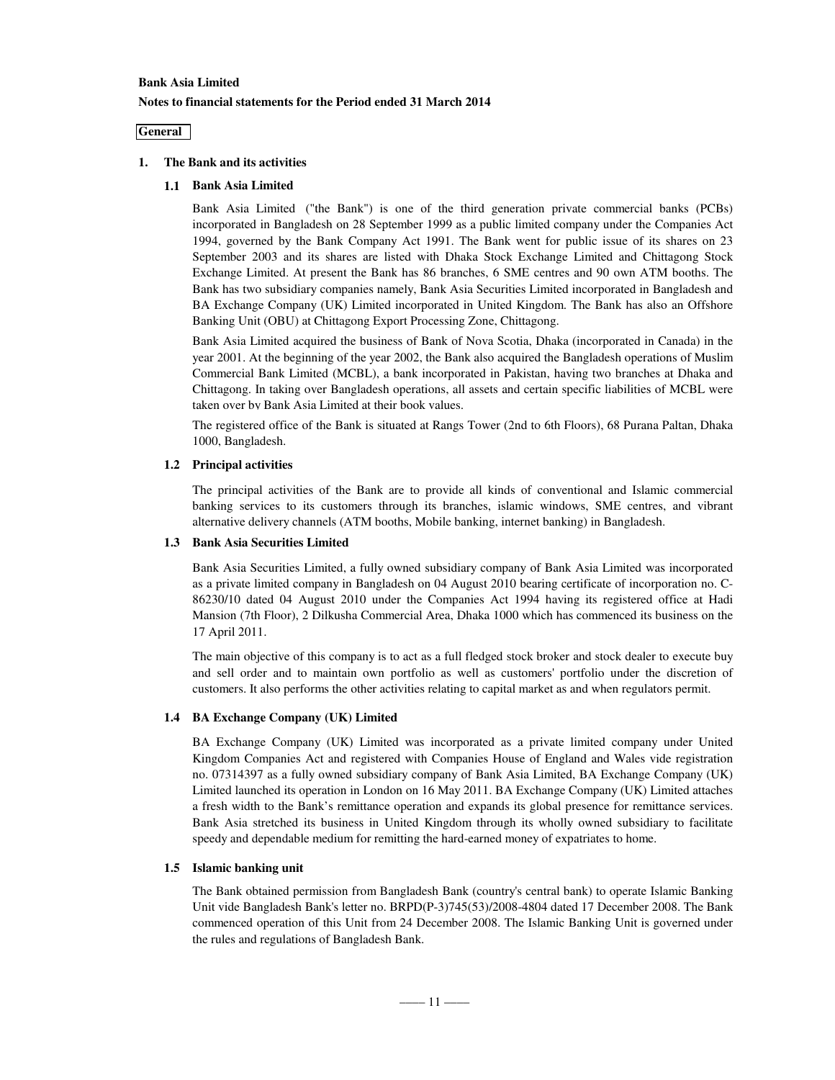### **General**

### **1. The Bank and its activities**

# **1.1 Bank Asia Limited**

Bank Asia Limited ("the Bank") is one of the third generation private commercial banks (PCBs) incorporated in Bangladesh on 28 September 1999 as a public limited company under the Companies Act 1994, governed by the Bank Company Act 1991. The Bank went for public issue of its shares on 23 September 2003 and its shares are listed with Dhaka Stock Exchange Limited and Chittagong Stock Exchange Limited. At present the Bank has 86 branches, 6 SME centres and 90 own ATM booths. The Bank has two subsidiary companies namely, Bank Asia Securities Limited incorporated in Bangladesh and BA Exchange Company (UK) Limited incorporated in United Kingdom. The Bank has also an Offshore Banking Unit (OBU) at Chittagong Export Processing Zone, Chittagong.

Bank Asia Limited acquired the business of Bank of Nova Scotia, Dhaka (incorporated in Canada) in the year 2001. At the beginning of the year 2002, the Bank also acquired the Bangladesh operations of Muslim Commercial Bank Limited (MCBL), a bank incorporated in Pakistan, having two branches at Dhaka and Chittagong. In taking over Bangladesh operations, all assets and certain specific liabilities of MCBL were taken over by Bank Asia Limited at their book values.

The registered office of the Bank is situated at Rangs Tower (2nd to 6th Floors), 68 Purana Paltan, Dhaka 1000, Bangladesh.

### **1.2 Principal activities**

The principal activities of the Bank are to provide all kinds of conventional and Islamic commercial banking services to its customers through its branches, islamic windows, SME centres, and vibrant alternative delivery channels (ATM booths, Mobile banking, internet banking) in Bangladesh.

### **1.3 Bank Asia Securities Limited**

Bank Asia Securities Limited, a fully owned subsidiary company of Bank Asia Limited was incorporated as a private limited company in Bangladesh on 04 August 2010 bearing certificate of incorporation no. C-86230/10 dated 04 August 2010 under the Companies Act 1994 having its registered office at Hadi Mansion (7th Floor), 2 Dilkusha Commercial Area, Dhaka 1000 which has commenced its business on the 17 April 2011.

The main objective of this company is to act as a full fledged stock broker and stock dealer to execute buy and sell order and to maintain own portfolio as well as customers' portfolio under the discretion of customers. It also performs the other activities relating to capital market as and when regulators permit.

### **1.4 BA Exchange Company (UK) Limited**

BA Exchange Company (UK) Limited was incorporated as a private limited company under United Kingdom Companies Act and registered with Companies House of England and Wales vide registration no. 07314397 as a fully owned subsidiary company of Bank Asia Limited, BA Exchange Company (UK) Limited launched its operation in London on 16 May 2011. BA Exchange Company (UK) Limited attaches a fresh width to the Bank's remittance operation and expands its global presence for remittance services. Bank Asia stretched its business in United Kingdom through its wholly owned subsidiary to facilitate speedy and dependable medium for remitting the hard-earned money of expatriates to home.

### **1.5 Islamic banking unit**

The Bank obtained permission from Bangladesh Bank (country's central bank) to operate Islamic Banking Unit vide Bangladesh Bank's letter no. BRPD(P-3)745(53)/2008-4804 dated 17 December 2008. The Bank commenced operation of this Unit from 24 December 2008. The Islamic Banking Unit is governed under the rules and regulations of Bangladesh Bank.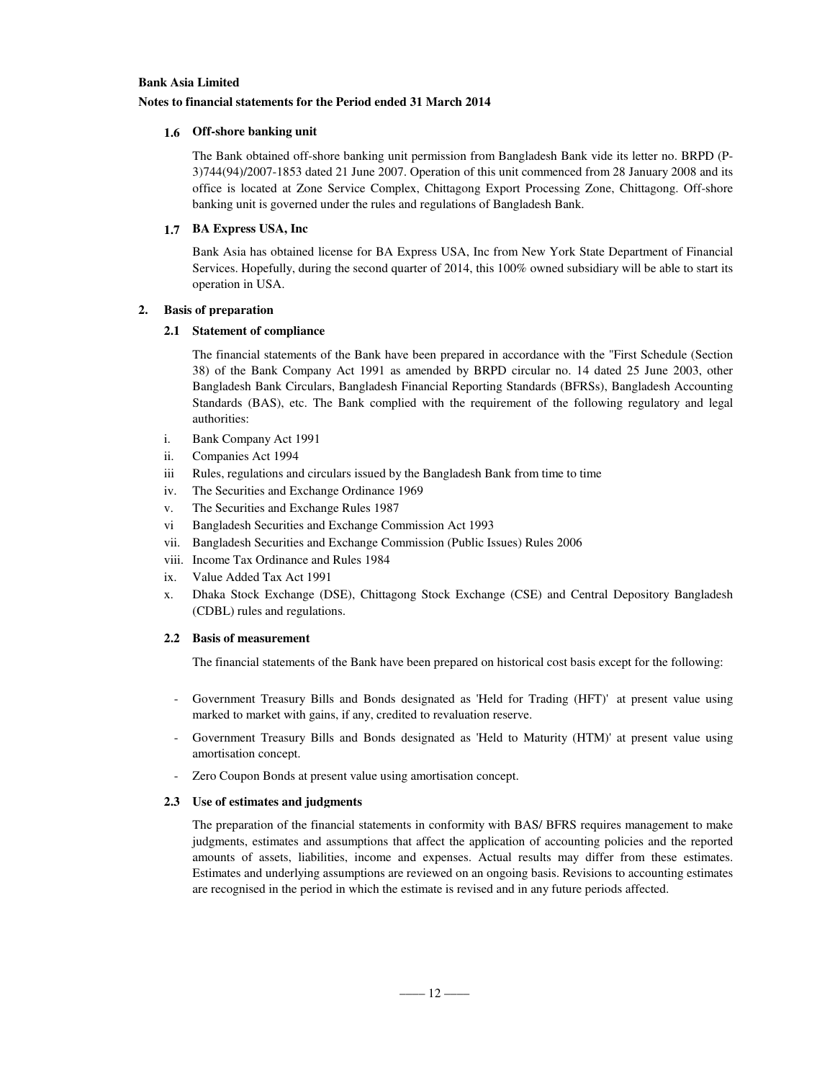### **Notes to financial statements for the Period ended 31 March 2014**

### **1.6 Off-shore banking unit**

The Bank obtained off-shore banking unit permission from Bangladesh Bank vide its letter no. BRPD (P-3)744(94)/2007-1853 dated 21 June 2007. Operation of this unit commenced from 28 January 2008 and its office is located at Zone Service Complex, Chittagong Export Processing Zone, Chittagong. Off-shore banking unit is governed under the rules and regulations of Bangladesh Bank.

### **1.7 BA Express USA, Inc**

Bank Asia has obtained license for BA Express USA, Inc from New York State Department of Financial Services. Hopefully, during the second quarter of 2014, this 100% owned subsidiary will be able to start its operation in USA.

### **2. Basis of preparation**

### **2.1 Statement of compliance**

The financial statements of the Bank have been prepared in accordance with the "First Schedule (Section 38) of the Bank Company Act 1991 as amended by BRPD circular no. 14 dated 25 June 2003, other Bangladesh Bank Circulars, Bangladesh Financial Reporting Standards (BFRSs), Bangladesh Accounting Standards (BAS), etc. The Bank complied with the requirement of the following regulatory and legal authorities:

- i. Bank Company Act 1991
- ii. Companies Act 1994
- iii Rules, regulations and circulars issued by the Bangladesh Bank from time to time
- iv. The Securities and Exchange Ordinance 1969
- v. The Securities and Exchange Rules 1987
- vi Bangladesh Securities and Exchange Commission Act 1993
- vii. Bangladesh Securities and Exchange Commission (Public Issues) Rules 2006
- viii. Income Tax Ordinance and Rules 1984
- ix. Value Added Tax Act 1991
- x. Dhaka Stock Exchange (DSE), Chittagong Stock Exchange (CSE) and Central Depository Bangladesh (CDBL) rules and regulations.

### **2.2 Basis of measurement**

The financial statements of the Bank have been prepared on historical cost basis except for the following:

- Government Treasury Bills and Bonds designated as 'Held for Trading (HFT)' at present value using marked to market with gains, if any, credited to revaluation reserve.
- Government Treasury Bills and Bonds designated as 'Held to Maturity (HTM)' at present value using amortisation concept.
- Zero Coupon Bonds at present value using amortisation concept.

### **2.3 Use of estimates and judgments**

The preparation of the financial statements in conformity with BAS/ BFRS requires management to make judgments, estimates and assumptions that affect the application of accounting policies and the reported amounts of assets, liabilities, income and expenses. Actual results may differ from these estimates. Estimates and underlying assumptions are reviewed on an ongoing basis. Revisions to accounting estimates are recognised in the period in which the estimate is revised and in any future periods affected.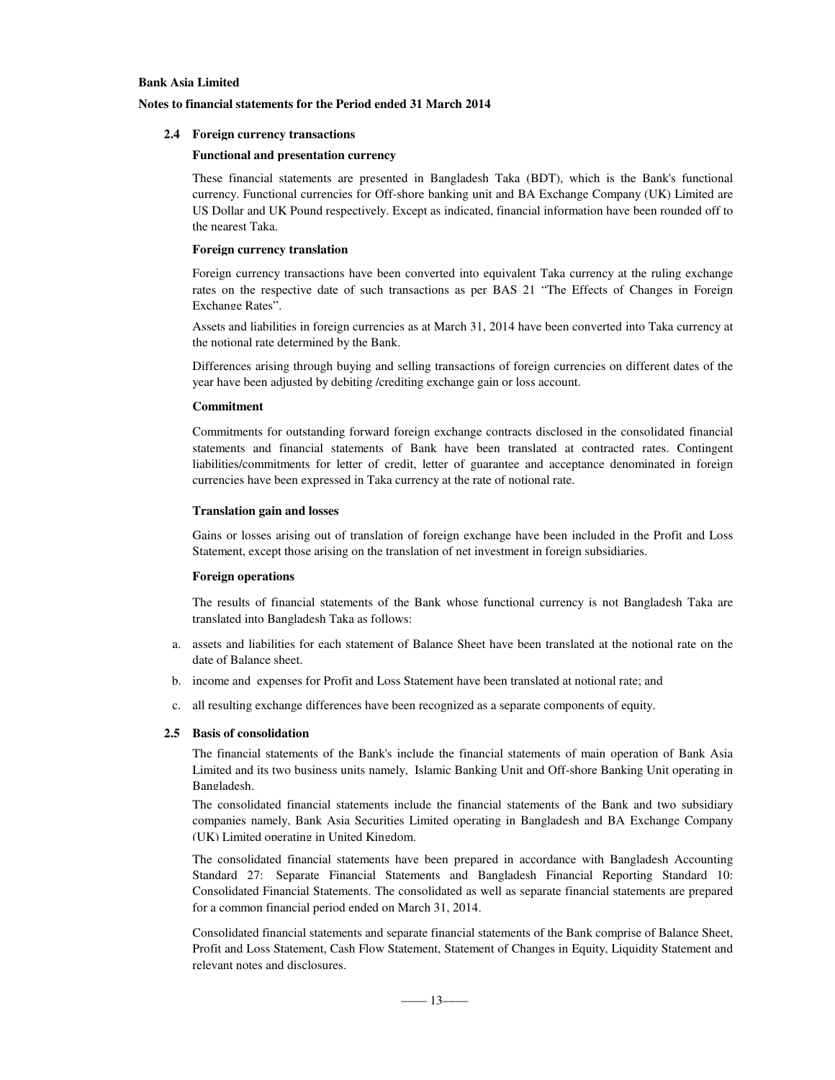### **Notes to financial statements for the Period ended 31 March 2014**

### **2.4 Foreign currency transactions**

#### **Functional and presentation currency**

These financial statements are presented in Bangladesh Taka (BDT), which is the Bank's functional currency. Functional currencies for Off-shore banking unit and BA Exchange Company (UK) Limited are US Dollar and UK Pound respectively. Except as indicated, financial information have been rounded off to the nearest Taka.

### **Foreign currency translation**

Foreign currency transactions have been converted into equivalent Taka currency at the ruling exchange rates on the respective date of such transactions as per BAS 21 "The Effects of Changes in Foreign Exchange Rates".

Assets and liabilities in foreign currencies as at March 31, 2014 have been converted into Taka currency at the notional rate determined by the Bank.

Differences arising through buying and selling transactions of foreign currencies on different dates of the year have been adjusted by debiting /crediting exchange gain or loss account.

### **Commitment**

Commitments for outstanding forward foreign exchange contracts disclosed in the consolidated financial statements and financial statements of Bank have been translated at contracted rates. Contingent liabilities/commitments for letter of credit, letter of guarantee and acceptance denominated in foreign currencies have been expressed in Taka currency at the rate of notional rate.

### **Translation gain and losses**

Gains or losses arising out of translation of foreign exchange have been included in the Profit and Loss Statement, except those arising on the translation of net investment in foreign subsidiaries.

### **Foreign operations**

The results of financial statements of the Bank whose functional currency is not Bangladesh Taka are translated into Bangladesh Taka as follows:

- a. assets and liabilities for each statement of Balance Sheet have been translated at the notional rate on the date of Balance sheet.
- b. income and expenses for Profit and Loss Statement have been translated at notional rate; and
- c. all resulting exchange differences have been recognized as a separate components of equity.

### **2.5 Basis of consolidation**

The financial statements of the Bank's include the financial statements of main operation of Bank Asia Limited and its two business units namely, Islamic Banking Unit and Off-shore Banking Unit operating in Bangladesh.

The consolidated financial statements include the financial statements of the Bank and two subsidiary companies namely, Bank Asia Securities Limited operating in Bangladesh and BA Exchange Company (UK) Limited operating in United Kingdom.

The consolidated financial statements have been prepared in accordance with Bangladesh Accounting Standard 27: Separate Financial Statements and Bangladesh Financial Reporting Standard 10: Consolidated Financial Statements. The consolidated as well as separate financial statements are prepared for a common financial period ended on March 31, 2014.

. Consolidated financial statements and separate financial statements of the Bank comprise of Balance Sheet, Profit and Loss Statement, Cash Flow Statement, Statement of Changes in Equity, Liquidity Statement and relevant notes and disclosures.

–––– 13––––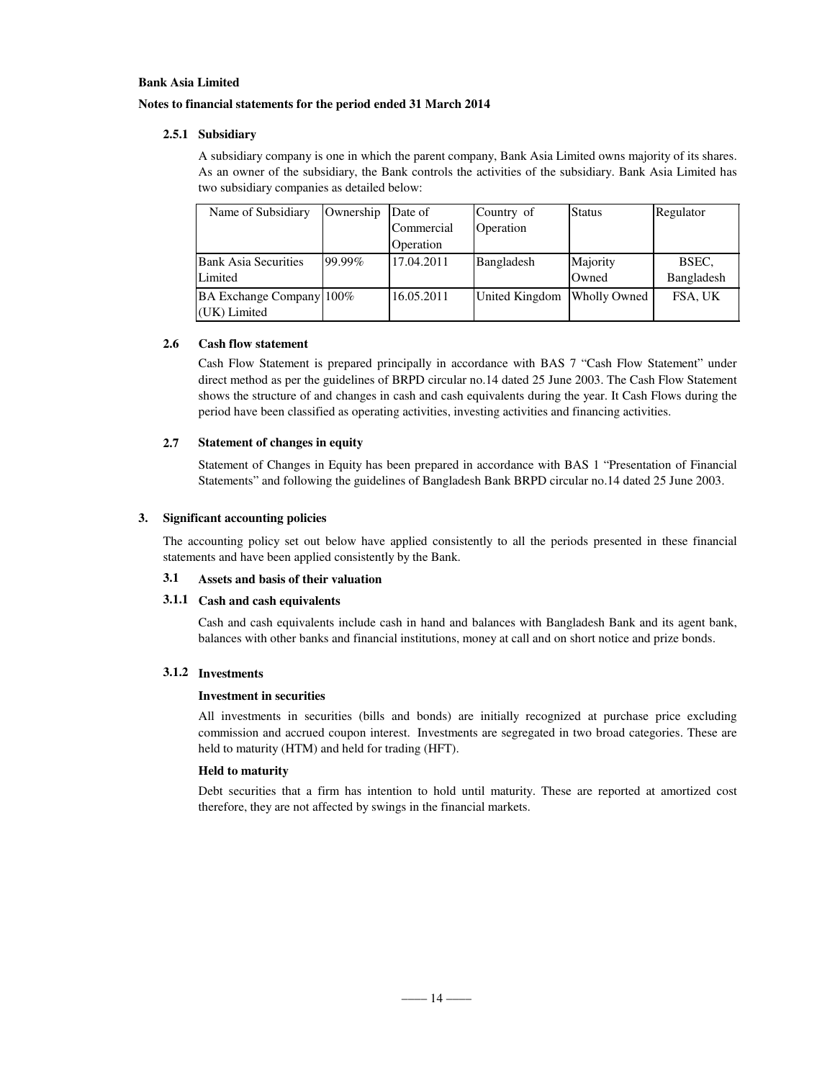### **Notes to financial statements for the period ended 31 March 2014**

### **2.5.1 Subsidiary**

A subsidiary company is one in which the parent company, Bank Asia Limited owns majority of its shares. As an owner of the subsidiary, the Bank controls the activities of the subsidiary. Bank Asia Limited has two subsidiary companies as detailed below:

| Name of Subsidiary          | Ownership | Date of    | Country of     | <b>Status</b>       | Regulator  |
|-----------------------------|-----------|------------|----------------|---------------------|------------|
|                             |           | Commercial | Operation      |                     |            |
|                             |           | Operation  |                |                     |            |
| <b>Bank Asia Securities</b> | 99.99%    | 17.04.2011 | Bangladesh     | Majority            | BSEC.      |
| Limited                     |           |            |                | Owned               | Bangladesh |
| BA Exchange Company 100%    |           | 16.05.2011 | United Kingdom | <b>Wholly Owned</b> | FSA, UK    |
| (UK) Limited                |           |            |                |                     |            |

### **2.6 Cash flow statement**

Cash Flow Statement is prepared principally in accordance with BAS 7 "Cash Flow Statement" under direct method as per the guidelines of BRPD circular no.14 dated 25 June 2003. The Cash Flow Statement shows the structure of and changes in cash and cash equivalents during the year. It Cash Flows during the period have been classified as operating activities, investing activities and financing activities.

### **2.7 Statement of changes in equity**

Statement of Changes in Equity has been prepared in accordance with BAS 1 "Presentation of Financial Statements" and following the guidelines of Bangladesh Bank BRPD circular no.14 dated 25 June 2003.

### **3. Significant accounting policies**

The accounting policy set out below have applied consistently to all the periods presented in these financial statements and have been applied consistently by the Bank.

### **3.1 Assets and basis of their valuation**

### **3.1.1 Cash and cash equivalents**

Cash and cash equivalents include cash in hand and balances with Bangladesh Bank and its agent bank, balances with other banks and financial institutions, money at call and on short notice and prize bonds.

### **3.1.2 Investments**

### **Investment in securities**

All investments in securities (bills and bonds) are initially recognized at purchase price excluding commission and accrued coupon interest. Investments are segregated in two broad categories. These are held to maturity (HTM) and held for trading (HFT).

### **Held to maturity**

Debt securities that a firm has intention to hold until maturity. These are reported at amortized cost therefore, they are not affected by swings in the financial markets.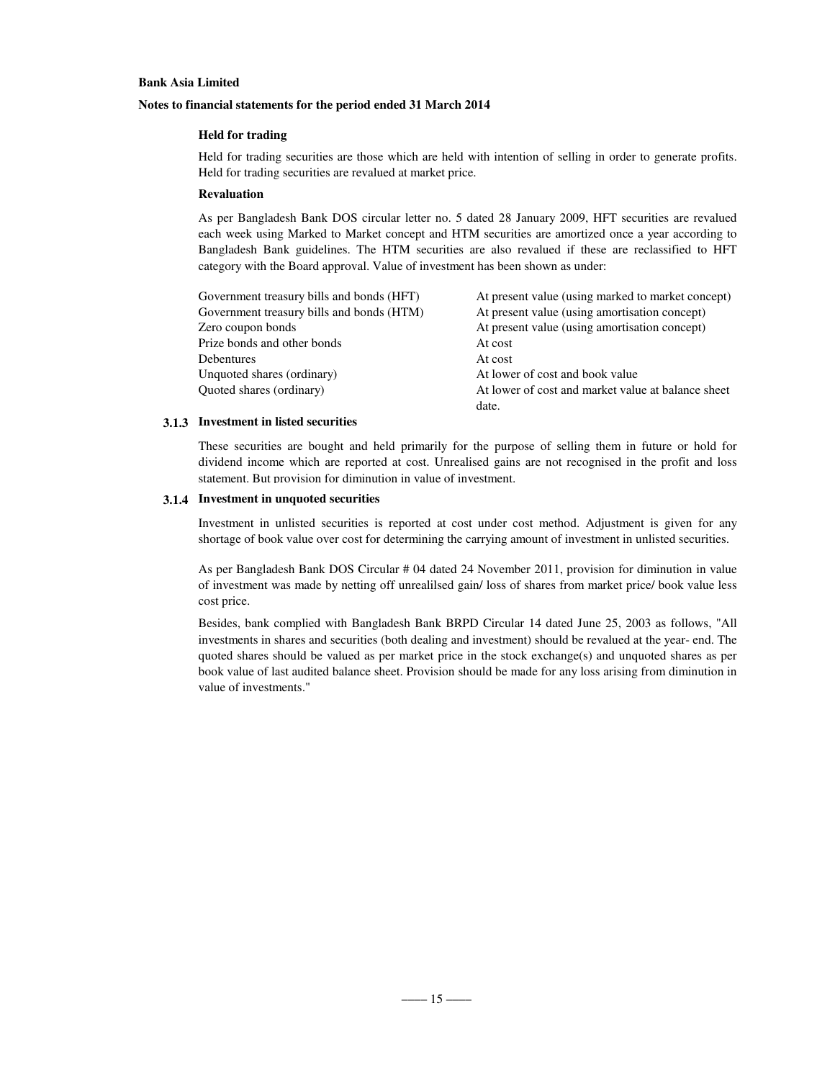### **Notes to financial statements for the period ended 31 March 2014**

### **Held for trading**

Held for trading securities are those which are held with intention of selling in order to generate profits. Held for trading securities are revalued at market price.

### **Revaluation**

As per Bangladesh Bank DOS circular letter no. 5 dated 28 January 2009, HFT securities are revalued each week using Marked to Market concept and HTM securities are amortized once a year according to Bangladesh Bank guidelines. The HTM securities are also revalued if these are reclassified to HFT category with the Board approval. Value of investment has been shown as under:

| Government treasury bills and bonds (HFT) | At present value (using marked to market concept)  |
|-------------------------------------------|----------------------------------------------------|
| Government treasury bills and bonds (HTM) | At present value (using amortisation concept)      |
| Zero coupon bonds                         | At present value (using amortisation concept)      |
| Prize bonds and other bonds               | At cost                                            |
| <b>Debentures</b>                         | At cost                                            |
| Unquoted shares (ordinary)                | At lower of cost and book value                    |
| Quoted shares (ordinary)                  | At lower of cost and market value at balance sheet |
|                                           | date.                                              |

### **3.1.3 Investment in listed securities**

These securities are bought and held primarily for the purpose of selling them in future or hold for dividend income which are reported at cost. Unrealised gains are not recognised in the profit and loss statement. But provision for diminution in value of investment.

### **3.1.4 Investment in unquoted securities**

Investment in unlisted securities is reported at cost under cost method. Adjustment is given for any shortage of book value over cost for determining the carrying amount of investment in unlisted securities.

As per Bangladesh Bank DOS Circular # 04 dated 24 November 2011, provision for diminution in value of investment was made by netting off unrealilsed gain/ loss of shares from market price/ book value less cost price.

Besides, bank complied with Bangladesh Bank BRPD Circular 14 dated June 25, 2003 as follows, "All investments in shares and securities (both dealing and investment) should be revalued at the year- end. The quoted shares should be valued as per market price in the stock exchange(s) and unquoted shares as per book value of last audited balance sheet. Provision should be made for any loss arising from diminution in value of investments."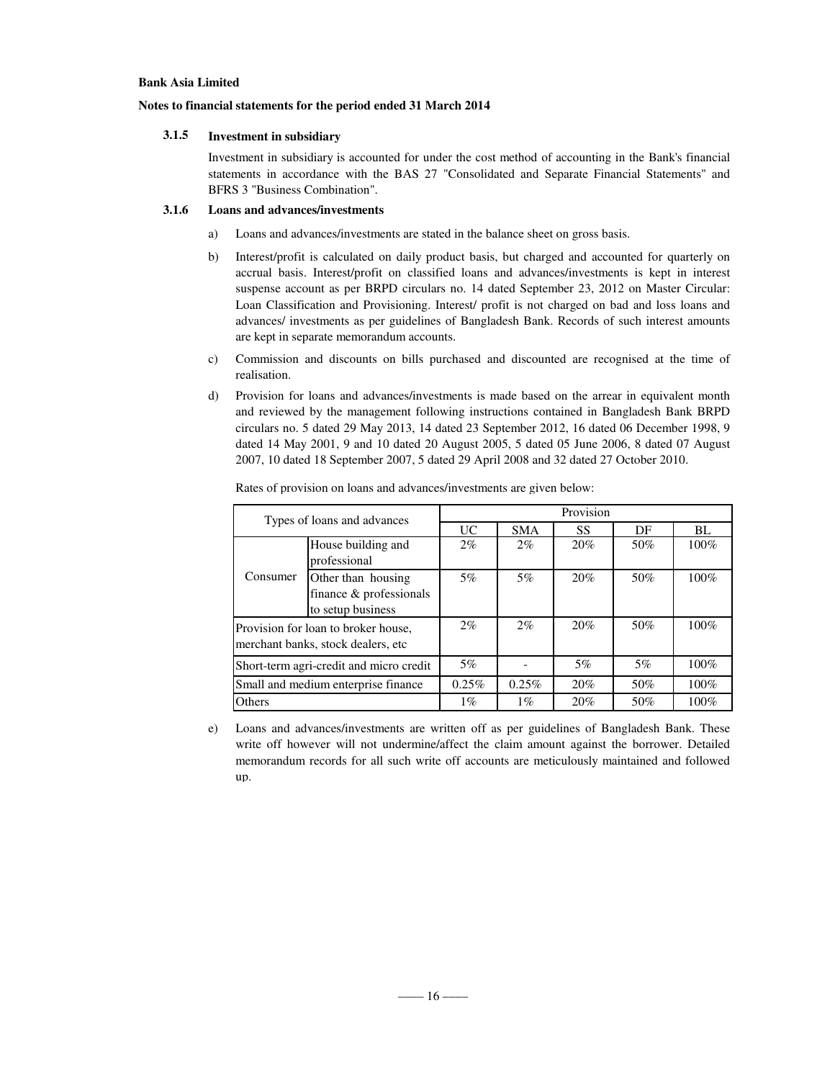### **Notes to financial statements for the period ended 31 March 2014**

### **3.1.5 Investment in subsidiary**

Investment in subsidiary is accounted for under the cost method of accounting in the Bank's financial statements in accordance with the BAS 27 "Consolidated and Separate Financial Statements" and BFRS 3 "Business Combination".

# **3.1.6 Loans and advances/investments**

- a) Loans and advances/investments are stated in the balance sheet on gross basis.
- b) Interest/profit is calculated on daily product basis, but charged and accounted for quarterly on accrual basis. Interest/profit on classified loans and advances/investments is kept in interest suspense account as per BRPD circulars no. 14 dated September 23, 2012 on Master Circular: Loan Classification and Provisioning. Interest/ profit is not charged on bad and loss loans and advances/ investments as per guidelines of Bangladesh Bank. Records of such interest amounts are kept in separate memorandum accounts.
- c) Commission and discounts on bills purchased and discounted are recognised at the time of realisation.
- d) Provision for loans and advances/investments is made based on the arrear in equivalent month and reviewed by the management following instructions contained in Bangladesh Bank BRPD circulars no. 5 dated 29 May 2013, 14 dated 23 September 2012, 16 dated 06 December 1998, 9 dated 14 May 2001, 9 and 10 dated 20 August 2005, 5 dated 05 June 2006, 8 dated 07 August 2007, 10 dated 18 September 2007, 5 dated 29 April 2008 and 32 dated 27 October 2010.

| Types of loans and advances             |                                                                            | Provision |            |     |     |         |  |
|-----------------------------------------|----------------------------------------------------------------------------|-----------|------------|-----|-----|---------|--|
|                                         |                                                                            | <b>UC</b> | <b>SMA</b> | SS  | DF  | BL      |  |
|                                         | House building and<br>professional                                         | $2\%$     | $2\%$      | 20% | 50% | $100\%$ |  |
| Consumer                                | Other than housing<br>finance & professionals<br>to setup business         | 5%        | 5%         | 20% | 50% | 100%    |  |
|                                         | Provision for loan to broker house,<br>merchant banks, stock dealers, etc. | $2\%$     | $2\%$      | 20% | 50% | $100\%$ |  |
| Short-term agri-credit and micro credit |                                                                            | 5%        |            | 5%  | 5%  | $100\%$ |  |
| Small and medium enterprise finance     |                                                                            | 0.25%     | 0.25%      | 20% | 50% | $100\%$ |  |
| Others                                  |                                                                            | $1\%$     | $1\%$      | 20% | 50% | $100\%$ |  |

Rates of provision on loans and advances/investments are given below:

e) Loans and advances/investments are written off as per guidelines of Bangladesh Bank. These write off however will not undermine/affect the claim amount against the borrower. Detailed memorandum records for all such write off accounts are meticulously maintained and followed up.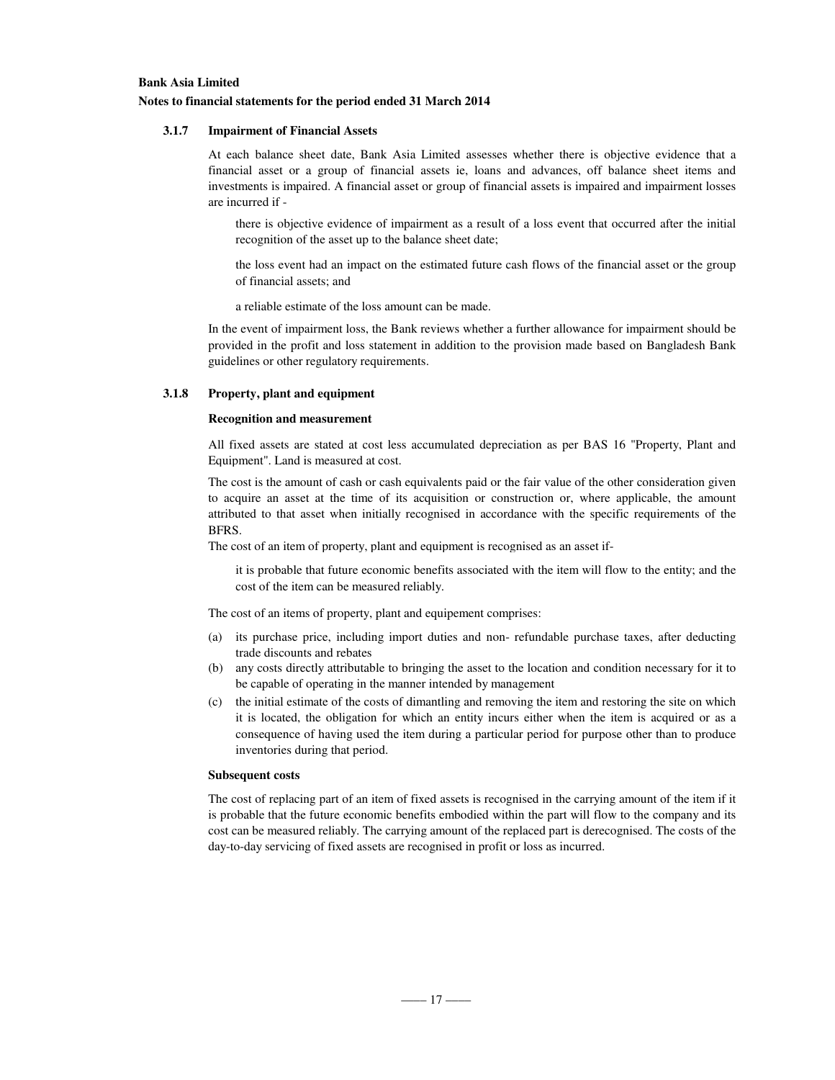### **3.1.7 Impairment of Financial Assets**

At each balance sheet date, Bank Asia Limited assesses whether there is objective evidence that a financial asset or a group of financial assets ie, loans and advances, off balance sheet items and investments is impaired. A financial asset or group of financial assets is impaired and impairment losses are incurred if -

there is objective evidence of impairment as a result of a loss event that occurred after the initial recognition of the asset up to the balance sheet date;

the loss event had an impact on the estimated future cash flows of the financial asset or the group of financial assets; and

a reliable estimate of the loss amount can be made.

In the event of impairment loss, the Bank reviews whether a further allowance for impairment should be provided in the profit and loss statement in addition to the provision made based on Bangladesh Bank guidelines or other regulatory requirements.

### **3.1.8 Property, plant and equipment**

#### **Recognition and measurement**

All fixed assets are stated at cost less accumulated depreciation as per BAS 16 "Property, Plant and Equipment". Land is measured at cost.

The cost is the amount of cash or cash equivalents paid or the fair value of the other consideration given to acquire an asset at the time of its acquisition or construction or, where applicable, the amount attributed to that asset when initially recognised in accordance with the specific requirements of the BFRS.

The cost of an item of property, plant and equipment is recognised as an asset if-

it is probable that future economic benefits associated with the item will flow to the entity; and the cost of the item can be measured reliably.

The cost of an items of property, plant and equipement comprises:

- (a) its purchase price, including import duties and non- refundable purchase taxes, after deducting trade discounts and rebates
- (b) any costs directly attributable to bringing the asset to the location and condition necessary for it to be capable of operating in the manner intended by management
- (c) the initial estimate of the costs of dimantling and removing the item and restoring the site on which it is located, the obligation for which an entity incurs either when the item is acquired or as a consequence of having used the item during a particular period for purpose other than to produce inventories during that period.

#### **Subsequent costs**

The cost of replacing part of an item of fixed assets is recognised in the carrying amount of the item if it is probable that the future economic benefits embodied within the part will flow to the company and its cost can be measured reliably. The carrying amount of the replaced part is derecognised. The costs of the day-to-day servicing of fixed assets are recognised in profit or loss as incurred.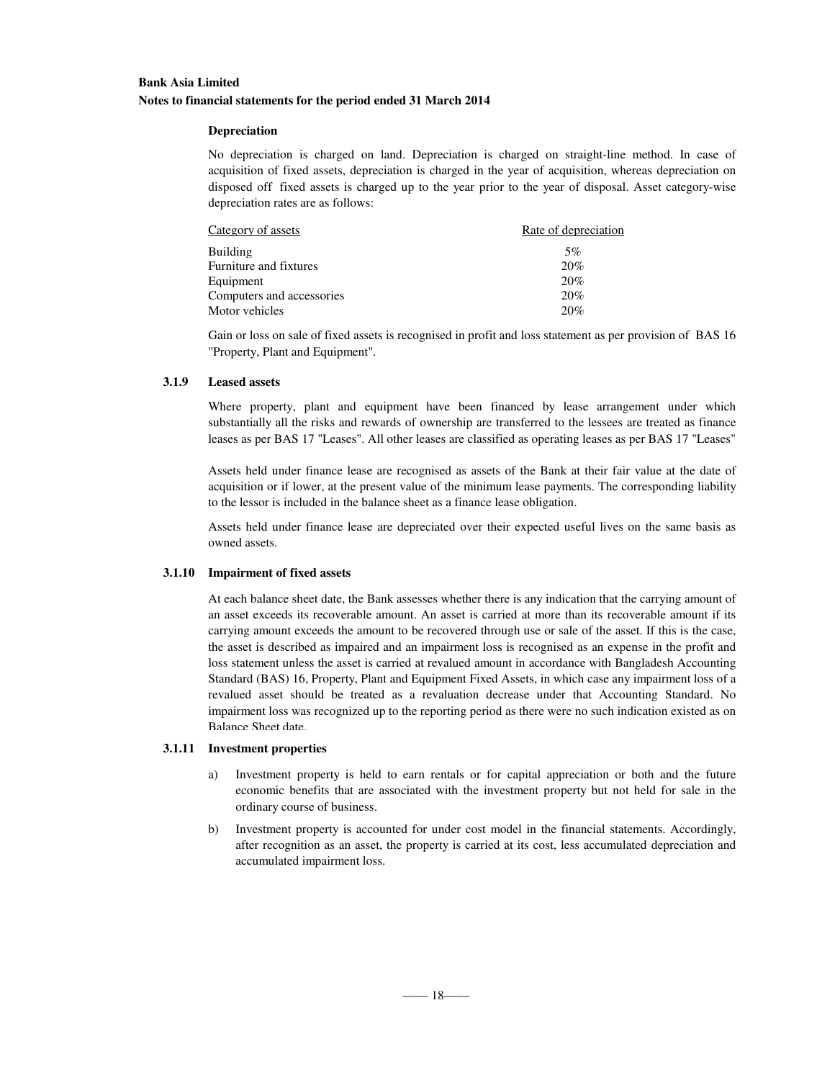### **Depreciation**

No depreciation is charged on land. Depreciation is charged on straight-line method. In case of acquisition of fixed assets, depreciation is charged in the year of acquisition, whereas depreciation on disposed off fixed assets is charged up to the year prior to the year of disposal. Asset category-wise depreciation rates are as follows:

| Category of assets        | Rate of depreciation |
|---------------------------|----------------------|
| Building                  | 5%                   |
| Furniture and fixtures    | 20%                  |
| Equipment                 | 20%                  |
| Computers and accessories | 20%                  |
| Motor vehicles            | 20%                  |

Gain or loss on sale of fixed assets is recognised in profit and loss statement as per provision of BAS 16 "Property, Plant and Equipment".

### **3.1.9 Leased assets**

Where property, plant and equipment have been financed by lease arrangement under which substantially all the risks and rewards of ownership are transferred to the lessees are treated as finance leases as per BAS 17 "Leases". All other leases are classified as operating leases as per BAS 17 "Leases"

Assets held under finance lease are recognised as assets of the Bank at their fair value at the date of acquisition or if lower, at the present value of the minimum lease payments. The corresponding liability to the lessor is included in the balance sheet as a finance lease obligation.

Assets held under finance lease are depreciated over their expected useful lives on the same basis as owned assets.

### **3.1.10 Impairment of fixed assets**

At each balance sheet date, the Bank assesses whether there is any indication that the carrying amount of an asset exceeds its recoverable amount. An asset is carried at more than its recoverable amount if its carrying amount exceeds the amount to be recovered through use or sale of the asset. If this is the case, the asset is described as impaired and an impairment loss is recognised as an expense in the profit and loss statement unless the asset is carried at revalued amount in accordance with Bangladesh Accounting Standard (BAS) 16, Property, Plant and Equipment Fixed Assets, in which case any impairment loss of a revalued asset should be treated as a revaluation decrease under that Accounting Standard. No impairment loss was recognized up to the reporting period as there were no such indication existed as on Balance Sheet date.

### **3.1.11 Investment properties**

- a) Investment property is held to earn rentals or for capital appreciation or both and the future economic benefits that are associated with the investment property but not held for sale in the ordinary course of business.
- b) Investment property is accounted for under cost model in the financial statements. Accordingly, after recognition as an asset, the property is carried at its cost, less accumulated depreciation and accumulated impairment loss.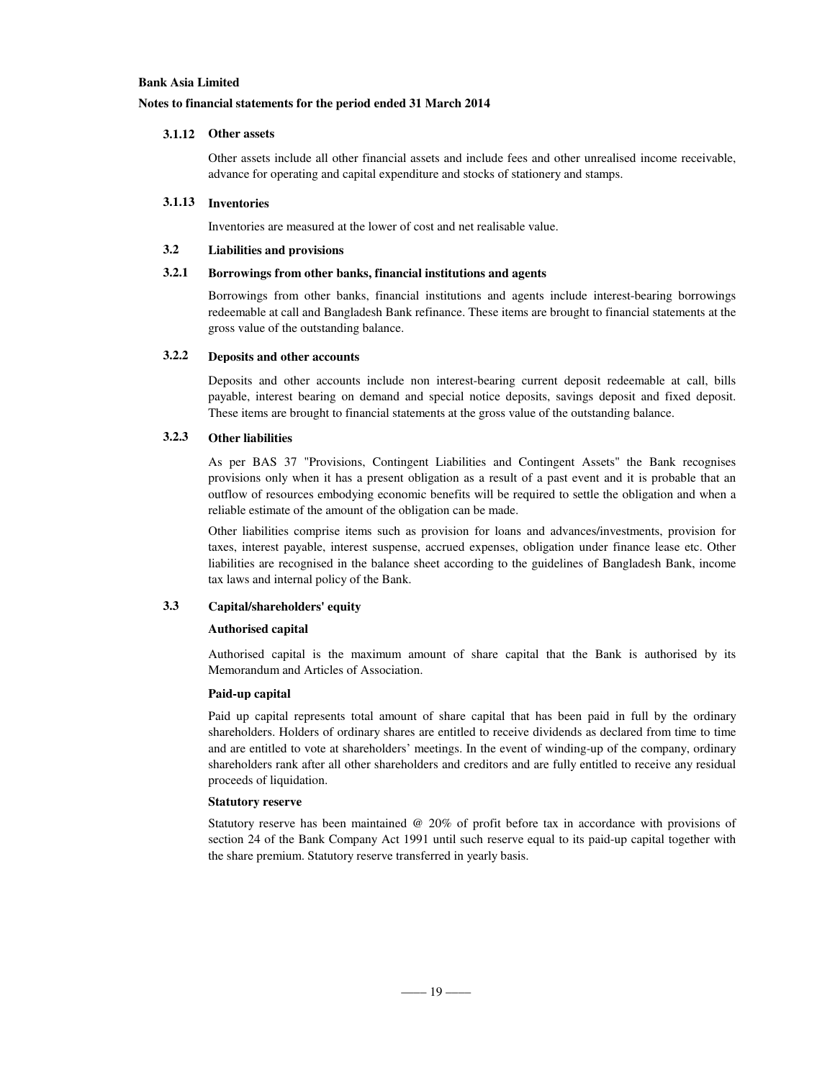### **Notes to financial statements for the period ended 31 March 2014**

### **3.1.12 Other assets**

Other assets include all other financial assets and include fees and other unrealised income receivable, advance for operating and capital expenditure and stocks of stationery and stamps.

### **3.1.13 Inventories**

Inventories are measured at the lower of cost and net realisable value.

### **3.2 Liabilities and provisions**

### **3.2.1 Borrowings from other banks, financial institutions and agents**

Borrowings from other banks, financial institutions and agents include interest-bearing borrowings redeemable at call and Bangladesh Bank refinance. These items are brought to financial statements at the gross value of the outstanding balance.

### **3.2.2 Deposits and other accounts**

Deposits and other accounts include non interest-bearing current deposit redeemable at call, bills payable, interest bearing on demand and special notice deposits, savings deposit and fixed deposit. These items are brought to financial statements at the gross value of the outstanding balance.

### **3.2.3 Other liabilities**

As per BAS 37 "Provisions, Contingent Liabilities and Contingent Assets" the Bank recognises provisions only when it has a present obligation as a result of a past event and it is probable that an outflow of resources embodying economic benefits will be required to settle the obligation and when a reliable estimate of the amount of the obligation can be made.

Other liabilities comprise items such as provision for loans and advances/investments, provision for taxes, interest payable, interest suspense, accrued expenses, obligation under finance lease etc. Other liabilities are recognised in the balance sheet according to the guidelines of Bangladesh Bank, income tax laws and internal policy of the Bank.

# **3.3 Capital/shareholders' equity**

#### **Authorised capital**

Authorised capital is the maximum amount of share capital that the Bank is authorised by its Memorandum and Articles of Association.

#### **Paid-up capital**

Paid up capital represents total amount of share capital that has been paid in full by the ordinary shareholders. Holders of ordinary shares are entitled to receive dividends as declared from time to time and are entitled to vote at shareholders' meetings. In the event of winding-up of the company, ordinary shareholders rank after all other shareholders and creditors and are fully entitled to receive any residual proceeds of liquidation.

#### **Statutory reserve**

Statutory reserve has been maintained @ 20% of profit before tax in accordance with provisions of section 24 of the Bank Company Act 1991 until such reserve equal to its paid-up capital together with the share premium. Statutory reserve transferred in yearly basis.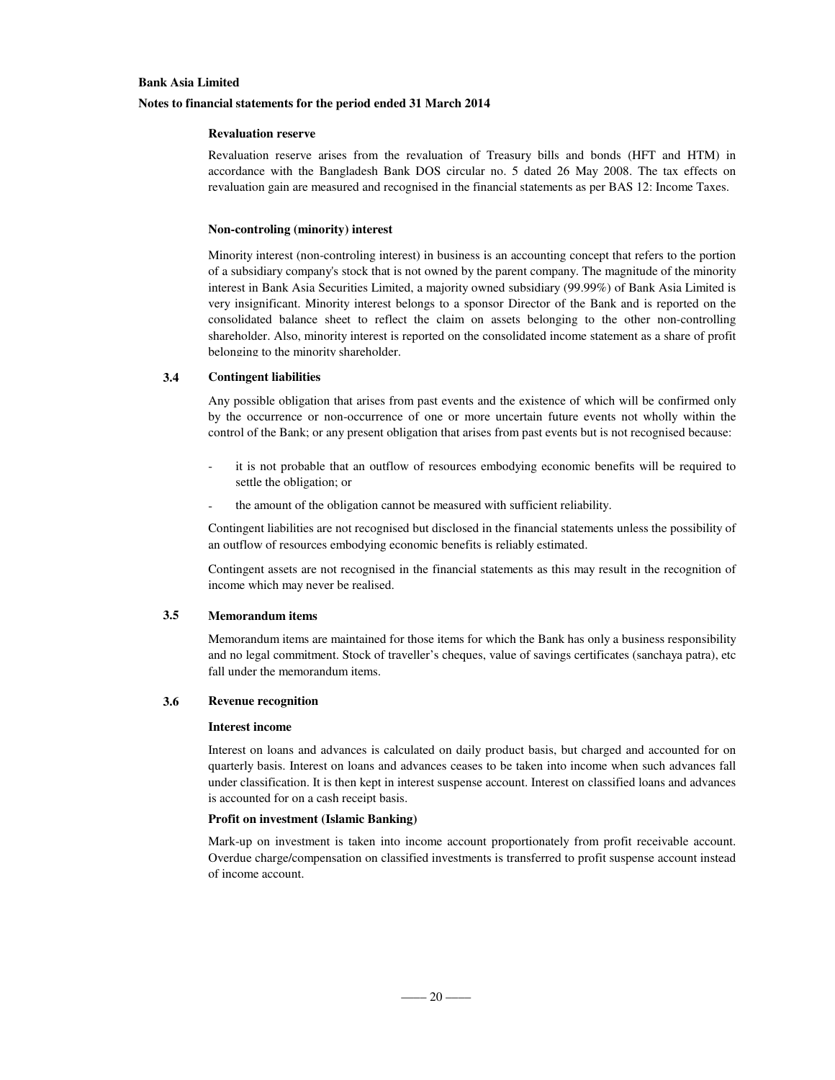### **Notes to financial statements for the period ended 31 March 2014**

### **Revaluation reserve**

Revaluation reserve arises from the revaluation of Treasury bills and bonds (HFT and HTM) in accordance with the Bangladesh Bank DOS circular no. 5 dated 26 May 2008. The tax effects on revaluation gain are measured and recognised in the financial statements as per BAS 12: Income Taxes.

#### **Non-controling (minority) interest**

Minority interest (non-controling interest) in business is an accounting concept that refers to the portion of a subsidiary company's stock that is not owned by the parent company. The magnitude of the minority interest in Bank Asia Securities Limited, a majority owned subsidiary (99.99%) of Bank Asia Limited is very insignificant. Minority interest belongs to a sponsor Director of the Bank and is reported on the consolidated balance sheet to reflect the claim on assets belonging to the other non-controlling shareholder. Also, minority interest is reported on the consolidated income statement as a share of profit belonging to the minority shareholder.

#### **3.4 Contingent liabilities**

Any possible obligation that arises from past events and the existence of which will be confirmed only by the occurrence or non-occurrence of one or more uncertain future events not wholly within the control of the Bank; or any present obligation that arises from past events but is not recognised because:

- it is not probable that an outflow of resources embodying economic benefits will be required to settle the obligation; or
- the amount of the obligation cannot be measured with sufficient reliability.

Contingent liabilities are not recognised but disclosed in the financial statements unless the possibility of an outflow of resources embodying economic benefits is reliably estimated.

Contingent assets are not recognised in the financial statements as this may result in the recognition of income which may never be realised.

### **3.5 Memorandum items**

Memorandum items are maintained for those items for which the Bank has only a business responsibility and no legal commitment. Stock of traveller's cheques, value of savings certificates (sanchaya patra), etc fall under the memorandum items.

#### **3.6 Revenue recognition**

#### **Interest income**

Interest on loans and advances is calculated on daily product basis, but charged and accounted for on quarterly basis. Interest on loans and advances ceases to be taken into income when such advances fall under classification. It is then kept in interest suspense account. Interest on classified loans and advances is accounted for on a cash receipt basis.

#### **Profit on investment (Islamic Banking)**

Mark-up on investment is taken into income account proportionately from profit receivable account. Overdue charge/compensation on classified investments is transferred to profit suspense account instead of income account.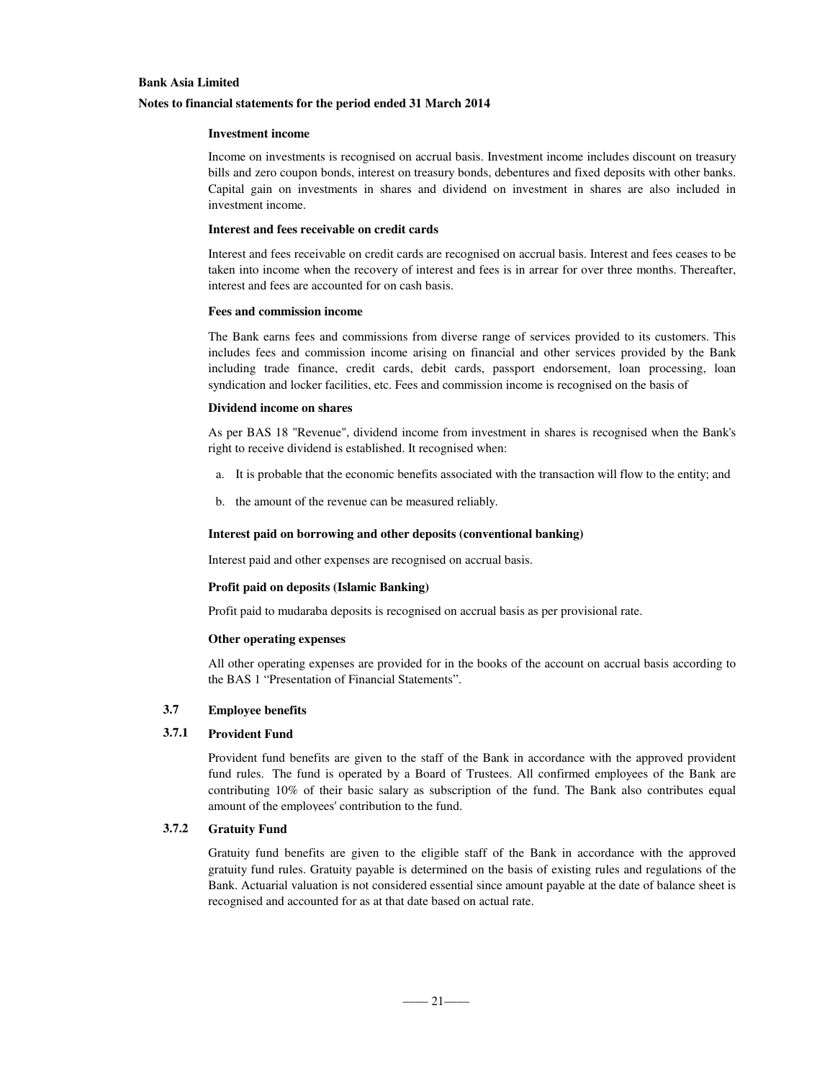### **Notes to financial statements for the period ended 31 March 2014**

### **Investment income**

Income on investments is recognised on accrual basis. Investment income includes discount on treasury bills and zero coupon bonds, interest on treasury bonds, debentures and fixed deposits with other banks. Capital gain on investments in shares and dividend on investment in shares are also included in investment income.

#### **Interest and fees receivable on credit cards**

Interest and fees receivable on credit cards are recognised on accrual basis. Interest and fees ceases to be taken into income when the recovery of interest and fees is in arrear for over three months. Thereafter, interest and fees are accounted for on cash basis.

#### **Fees and commission income**

The Bank earns fees and commissions from diverse range of services provided to its customers. This includes fees and commission income arising on financial and other services provided by the Bank including trade finance, credit cards, debit cards, passport endorsement, loan processing, loan syndication and locker facilities, etc. Fees and commission income is recognised on the basis of

### **Dividend income on shares**

As per BAS 18 "Revenue", dividend income from investment in shares is recognised when the Bank's right to receive dividend is established. It recognised when:

- a. It is probable that the economic benefits associated with the transaction will flow to the entity; and
- b. the amount of the revenue can be measured reliably.

### **Interest paid on borrowing and other deposits (conventional banking)**

Interest paid and other expenses are recognised on accrual basis.

### **Profit paid on deposits (Islamic Banking)**

Profit paid to mudaraba deposits is recognised on accrual basis as per provisional rate.

#### **Other operating expenses**

All other operating expenses are provided for in the books of the account on accrual basis according to the BAS 1 "Presentation of Financial Statements".

### **3.7 Employee benefits**

### **3.7.1 Provident Fund**

Provident fund benefits are given to the staff of the Bank in accordance with the approved provident fund rules. The fund is operated by a Board of Trustees. All confirmed employees of the Bank are contributing 10% of their basic salary as subscription of the fund. The Bank also contributes equal amount of the employees' contribution to the fund.

### **3.7.2 Gratuity Fund**

Gratuity fund benefits are given to the eligible staff of the Bank in accordance with the approved gratuity fund rules. Gratuity payable is determined on the basis of existing rules and regulations of the Bank. Actuarial valuation is not considered essential since amount payable at the date of balance sheet is recognised and accounted for as at that date based on actual rate.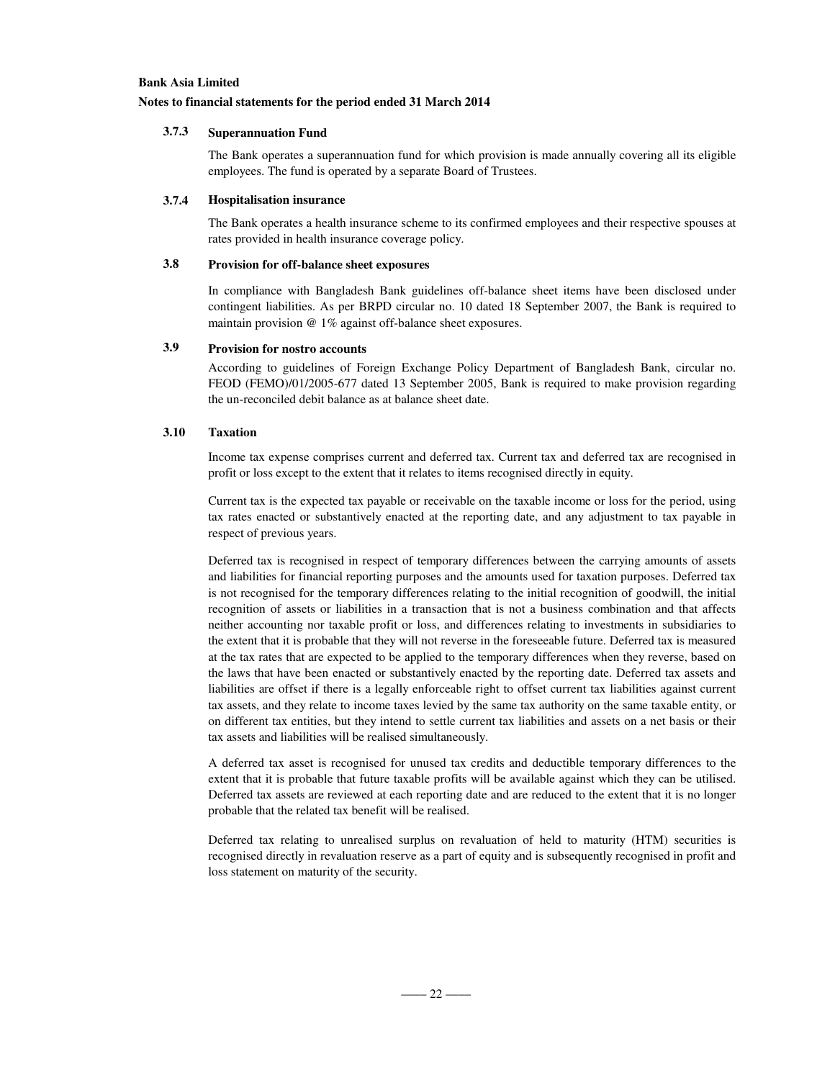### **Notes to financial statements for the period ended 31 March 2014**

### **3.7.3 Superannuation Fund**

The Bank operates a superannuation fund for which provision is made annually covering all its eligible employees. The fund is operated by a separate Board of Trustees.

### **3.7.4 Hospitalisation insurance**

The Bank operates a health insurance scheme to its confirmed employees and their respective spouses at rates provided in health insurance coverage policy.

## **3.8 Provision for off-balance sheet exposures**

In compliance with Bangladesh Bank guidelines off-balance sheet items have been disclosed under contingent liabilities. As per BRPD circular no. 10 dated 18 September 2007, the Bank is required to maintain provision @ 1% against off-balance sheet exposures.

# **3.9 Provision for nostro accounts**

According to guidelines of Foreign Exchange Policy Department of Bangladesh Bank, circular no. FEOD (FEMO)/01/2005-677 dated 13 September 2005, Bank is required to make provision regarding the un-reconciled debit balance as at balance sheet date.

### **3.10 Taxation**

Income tax expense comprises current and deferred tax. Current tax and deferred tax are recognised in profit or loss except to the extent that it relates to items recognised directly in equity.

Current tax is the expected tax payable or receivable on the taxable income or loss for the period, using tax rates enacted or substantively enacted at the reporting date, and any adjustment to tax payable in respect of previous years.

Deferred tax is recognised in respect of temporary differences between the carrying amounts of assets and liabilities for financial reporting purposes and the amounts used for taxation purposes. Deferred tax is not recognised for the temporary differences relating to the initial recognition of goodwill, the initial recognition of assets or liabilities in a transaction that is not a business combination and that affects neither accounting nor taxable profit or loss, and differences relating to investments in subsidiaries to the extent that it is probable that they will not reverse in the foreseeable future. Deferred tax is measured at the tax rates that are expected to be applied to the temporary differences when they reverse, based on the laws that have been enacted or substantively enacted by the reporting date. Deferred tax assets and liabilities are offset if there is a legally enforceable right to offset current tax liabilities against current tax assets, and they relate to income taxes levied by the same tax authority on the same taxable entity, or on different tax entities, but they intend to settle current tax liabilities and assets on a net basis or their tax assets and liabilities will be realised simultaneously.

A deferred tax asset is recognised for unused tax credits and deductible temporary differences to the extent that it is probable that future taxable profits will be available against which they can be utilised. Deferred tax assets are reviewed at each reporting date and are reduced to the extent that it is no longer probable that the related tax benefit will be realised.

Deferred tax relating to unrealised surplus on revaluation of held to maturity (HTM) securities is recognised directly in revaluation reserve as a part of equity and is subsequently recognised in profit and loss statement on maturity of the security.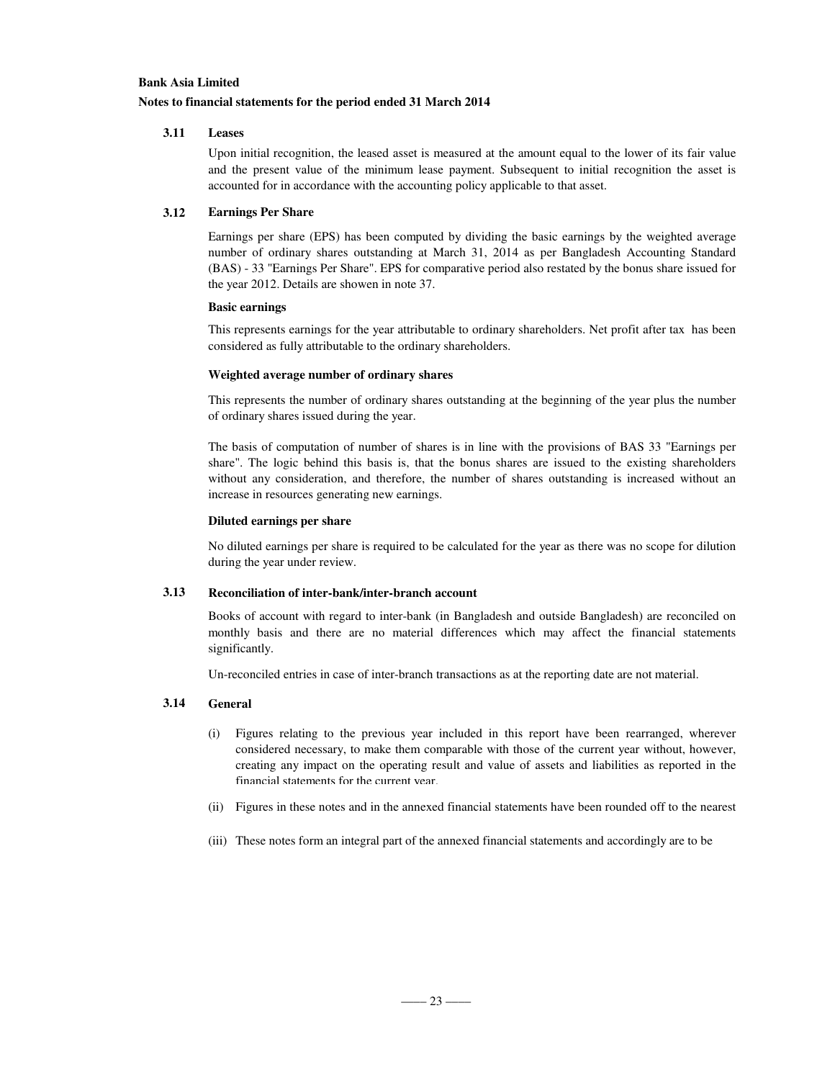### **Notes to financial statements for the period ended 31 March 2014**

### **3.11 Leases**

Upon initial recognition, the leased asset is measured at the amount equal to the lower of its fair value and the present value of the minimum lease payment. Subsequent to initial recognition the asset is accounted for in accordance with the accounting policy applicable to that asset.

### **3.12 Earnings Per Share**

Earnings per share (EPS) has been computed by dividing the basic earnings by the weighted average number of ordinary shares outstanding at March 31, 2014 as per Bangladesh Accounting Standard (BAS) - 33 "Earnings Per Share". EPS for comparative period also restated by the bonus share issued for the year 2012. Details are showen in note 37.

### **Basic earnings**

This represents earnings for the year attributable to ordinary shareholders. Net profit after tax has been considered as fully attributable to the ordinary shareholders.

### **Weighted average number of ordinary shares**

This represents the number of ordinary shares outstanding at the beginning of the year plus the number of ordinary shares issued during the year.

The basis of computation of number of shares is in line with the provisions of BAS 33 "Earnings per share". The logic behind this basis is, that the bonus shares are issued to the existing shareholders without any consideration, and therefore, the number of shares outstanding is increased without an increase in resources generating new earnings.

### **Diluted earnings per share**

No diluted earnings per share is required to be calculated for the year as there was no scope for dilution during the year under review.

# **3.13 Reconciliation of inter-bank/inter-branch account**

Books of account with regard to inter-bank (in Bangladesh and outside Bangladesh) are reconciled on monthly basis and there are no material differences which may affect the financial statements significantly.

Un-reconciled entries in case of inter-branch transactions as at the reporting date are not material.

## **3.14 General**

- (i) Figures relating to the previous year included in this report have been rearranged, wherever considered necessary, to make them comparable with those of the current year without, however, creating any impact on the operating result and value of assets and liabilities as reported in the financial statements for the current year.
- (ii) Figures in these notes and in the annexed financial statements have been rounded off to the nearest
- (iii) These notes form an integral part of the annexed financial statements and accordingly are to be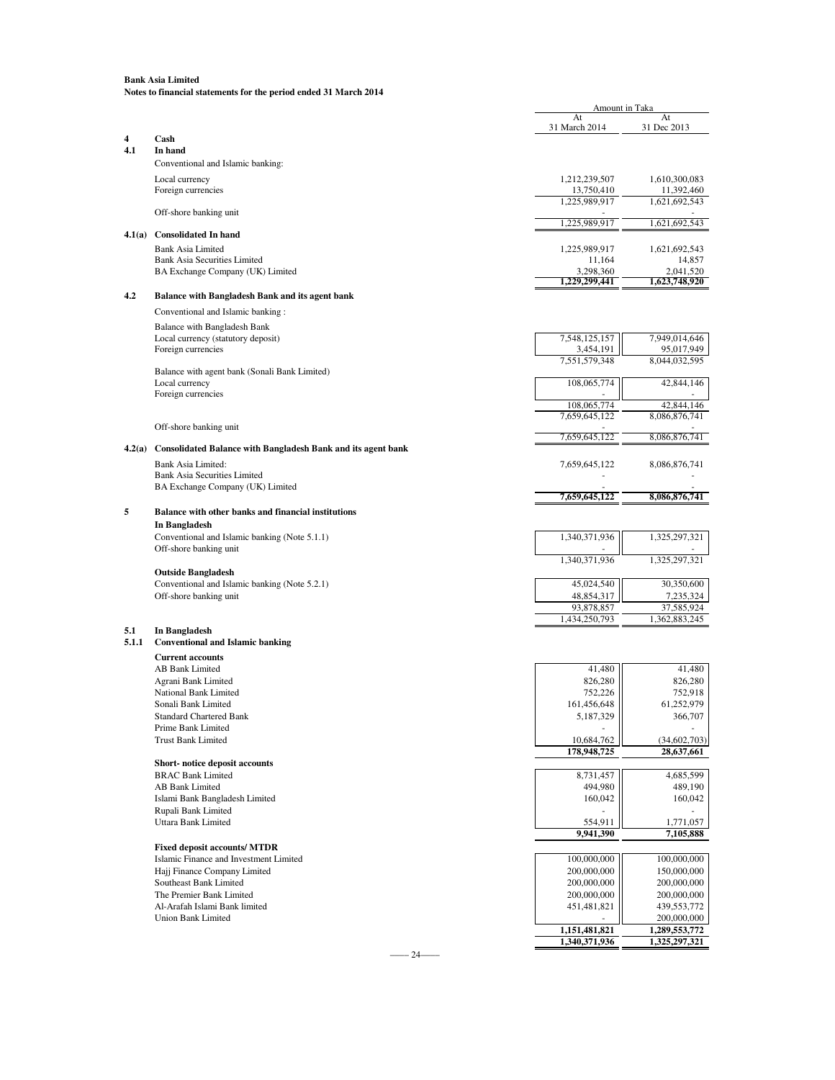|              |                                                                     | Amount in Taka             |                              |
|--------------|---------------------------------------------------------------------|----------------------------|------------------------------|
|              |                                                                     | At<br>31 March 2014        | At<br>31 Dec 2013            |
| 4            | Cash                                                                |                            |                              |
| 4.1          | In hand                                                             |                            |                              |
|              | Conventional and Islamic banking:                                   |                            |                              |
|              | Local currency                                                      | 1,212,239,507              | 1,610,300,083                |
|              | Foreign currencies                                                  | 13,750,410                 | 11,392,460                   |
|              |                                                                     | 1,225,989,917              | 1,621,692,543                |
|              | Off-shore banking unit                                              | 1,225,989,917              | 1,621,692,543                |
| 4.1(a)       | <b>Consolidated In hand</b>                                         |                            |                              |
|              | <b>Bank Asia Limited</b>                                            | 1,225,989,917              | 1,621,692,543                |
|              | <b>Bank Asia Securities Limited</b>                                 | 11,164                     | 14,857                       |
|              | BA Exchange Company (UK) Limited                                    | 3,298,360<br>1.229.299.441 | 2,041,520<br>1,623,748,920   |
| 4.2          | Balance with Bangladesh Bank and its agent bank                     |                            |                              |
|              |                                                                     |                            |                              |
|              | Conventional and Islamic banking:                                   |                            |                              |
|              | Balance with Bangladesh Bank                                        |                            |                              |
|              | Local currency (statutory deposit)<br>Foreign currencies            | 7,548,125,157<br>3,454,191 | 7,949,014,646<br>95,017,949  |
|              |                                                                     | 7,551,579,348              | 8,044,032,595                |
|              | Balance with agent bank (Sonali Bank Limited)                       |                            |                              |
|              | Local currency                                                      | 108,065,774                | 42,844,146                   |
|              | Foreign currencies                                                  | 108,065,774                | 42,844,146                   |
|              |                                                                     | 7,659,645,122              | 8,086,876,741                |
|              | Off-shore banking unit                                              |                            |                              |
| 4.2(a)       | <b>Consolidated Balance with Bangladesh Bank and its agent bank</b> | 7,659,645,122              | 8,086,876,741                |
|              |                                                                     |                            |                              |
|              | Bank Asia Limited:<br><b>Bank Asia Securities Limited</b>           | 7,659,645,122              | 8,086,876,741                |
|              | BA Exchange Company (UK) Limited                                    |                            |                              |
|              |                                                                     | 7,659,645,122              | 8,086,876,741                |
| 5            | <b>Balance with other banks and financial institutions</b>          |                            |                              |
|              | In Bangladesh                                                       |                            |                              |
|              | Conventional and Islamic banking (Note 5.1.1)                       | 1,340,371,936              | 1,325,297,321                |
|              | Off-shore banking unit                                              |                            |                              |
|              | <b>Outside Bangladesh</b>                                           | 1,340,371,936              | 1,325,297,321                |
|              | Conventional and Islamic banking (Note 5.2.1)                       | 45,024,540                 | 30,350,600                   |
|              | Off-shore banking unit                                              | 48,854,317                 | 7,235,324                    |
|              |                                                                     | 93,878,857                 | 37,585,924                   |
|              |                                                                     | 1,434,250,793              | 1,362,883,245                |
| 5.1<br>5.1.1 | In Bangladesh<br><b>Conventional and Islamic banking</b>            |                            |                              |
|              |                                                                     |                            |                              |
|              | <b>Current accounts</b><br>AB Bank Limited                          | 41,480                     | 41,480                       |
|              | Agrani Bank Limited                                                 | 826,280                    | 826,280                      |
|              | National Bank Limited                                               | 752,226                    | 752,918                      |
|              | Sonali Bank Limited                                                 | 161,456,648                | 61,252,979                   |
|              | <b>Standard Chartered Bank</b>                                      | 5,187,329                  | 366,707                      |
|              | Prime Bank Limited<br><b>Trust Bank Limited</b>                     | 10,684,762                 | (34, 602, 703)               |
|              |                                                                     | 178,948,725                | 28,637,661                   |
|              | Short-notice deposit accounts                                       |                            |                              |
|              | <b>BRAC Bank Limited</b>                                            | 8,731,457                  | 4,685,599                    |
|              | AB Bank Limited                                                     | 494,980                    | 489,190                      |
|              | Islami Bank Bangladesh Limited                                      | 160,042                    | 160,042                      |
|              | Rupali Bank Limited<br>Uttara Bank Limited                          |                            |                              |
|              |                                                                     | 554,911<br>9,941,390       | 1,771,057<br>7,105,888       |
|              | <b>Fixed deposit accounts/ MTDR</b>                                 |                            |                              |
|              | Islamic Finance and Investment Limited                              | 100,000,000                | 100,000,000                  |
|              | Hajj Finance Company Limited                                        | 200,000,000                | 150,000,000                  |
|              | Southeast Bank Limited                                              | 200,000,000                | 200,000,000                  |
|              | The Premier Bank Limited                                            | 200,000,000                | 200,000,000                  |
|              | Al-Arafah Islami Bank limited<br><b>Union Bank Limited</b>          | 451,481,821                | 439,553,772                  |
|              |                                                                     | 1,151,481,821              | 200,000,000<br>1,289,553,772 |
|              |                                                                     | 1,340,371,936              | 1,325,297,321                |
|              | 24                                                                  |                            |                              |

–––– 24––––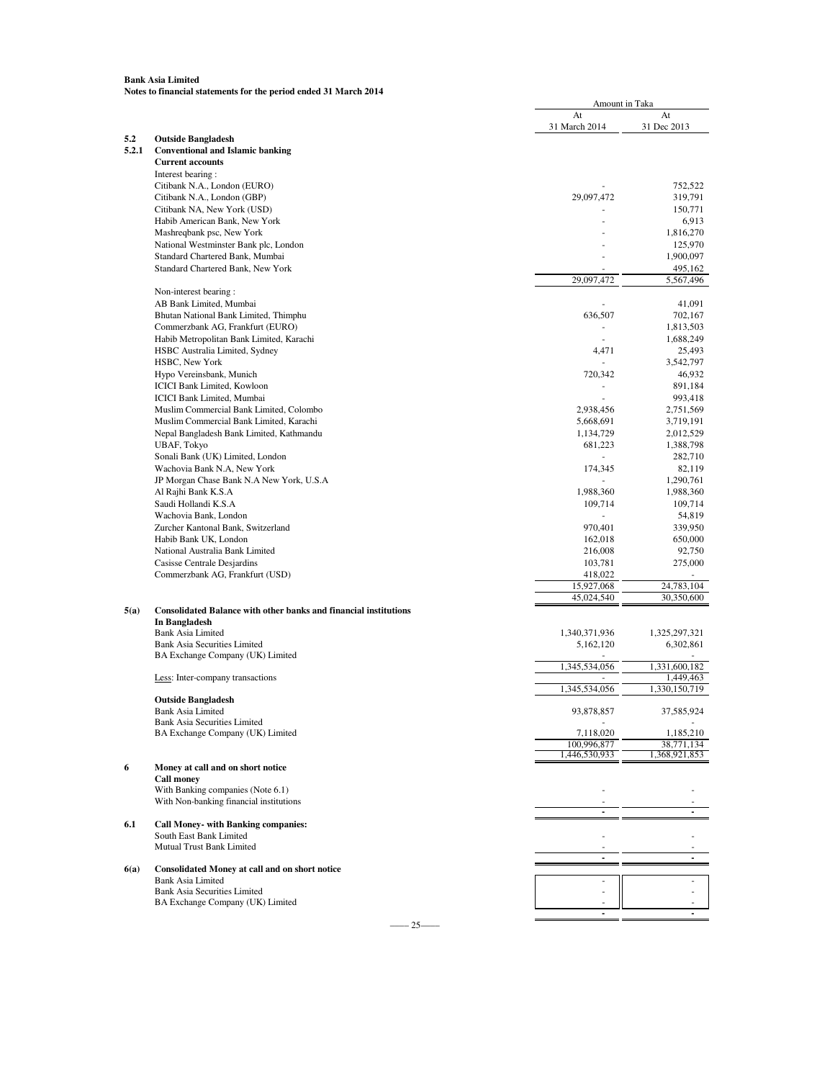|       |                                                                         | At<br>31 March 2014          | At<br>31 Dec 2013           |
|-------|-------------------------------------------------------------------------|------------------------------|-----------------------------|
| 5.2   | <b>Outside Bangladesh</b>                                               |                              |                             |
| 5.2.1 | <b>Conventional and Islamic banking</b>                                 |                              |                             |
|       | <b>Current accounts</b>                                                 |                              |                             |
|       | Interest bearing:                                                       |                              |                             |
|       | Citibank N.A., London (EURO)                                            |                              | 752,522                     |
|       | Citibank N.A., London (GBP)                                             | 29,097,472                   | 319,791                     |
|       | Citibank NA, New York (USD)<br>Habib American Bank, New York            |                              | 150,771<br>6,913            |
|       | Mashreqbank psc, New York                                               |                              | 1,816,270                   |
|       | National Westminster Bank plc, London                                   |                              | 125,970                     |
|       | Standard Chartered Bank, Mumbai                                         |                              | 1,900,097                   |
|       | Standard Chartered Bank, New York                                       |                              | 495,162                     |
|       |                                                                         | 29,097,472                   | 5,567,496                   |
|       | Non-interest bearing:<br>AB Bank Limited, Mumbai                        |                              | 41,091                      |
|       | Bhutan National Bank Limited, Thimphu                                   | 636,507                      | 702,167                     |
|       | Commerzbank AG, Frankfurt (EURO)                                        | $\overline{\phantom{m}}$     | 1,813,503                   |
|       | Habib Metropolitan Bank Limited, Karachi                                |                              | 1,688,249                   |
|       | HSBC Australia Limited, Sydney                                          | 4,471                        | 25,493                      |
|       | HSBC, New York                                                          | $\overline{\phantom{a}}$     | 3,542,797                   |
|       | Hypo Vereinsbank, Munich                                                | 720,342                      | 46,932                      |
|       | <b>ICICI Bank Limited, Kowloon</b><br><b>ICICI Bank Limited, Mumbai</b> |                              | 891,184<br>993,418          |
|       | Muslim Commercial Bank Limited, Colombo                                 | 2,938,456                    | 2,751,569                   |
|       | Muslim Commercial Bank Limited, Karachi                                 | 5,668,691                    | 3,719,191                   |
|       | Nepal Bangladesh Bank Limited, Kathmandu                                | 1,134,729                    | 2,012,529                   |
|       | UBAF, Tokyo                                                             | 681,223                      | 1,388,798                   |
|       | Sonali Bank (UK) Limited, London                                        |                              | 282,710                     |
|       | Wachovia Bank N.A, New York                                             | 174,345                      | 82,119                      |
|       | JP Morgan Chase Bank N.A New York, U.S.A<br>Al Rajhi Bank K.S.A         | 1,988,360                    | 1,290,761<br>1,988,360      |
|       | Saudi Hollandi K.S.A                                                    | 109,714                      | 109,714                     |
|       | Wachovia Bank, London                                                   |                              | 54,819                      |
|       | Zurcher Kantonal Bank, Switzerland                                      | 970,401                      | 339,950                     |
|       | Habib Bank UK, London                                                   | 162,018                      | 650,000                     |
|       | National Australia Bank Limited                                         | 216,008                      | 92,750                      |
|       | Casisse Centrale Desjardins                                             | 103,781                      | 275,000                     |
|       | Commerzbank AG, Frankfurt (USD)                                         | 418,022<br>15,927,068        | 24,783,104                  |
|       |                                                                         | 45,024,540                   | 30,350,600                  |
| 5(a)  | <b>Consolidated Balance with other banks and financial institutions</b> |                              |                             |
|       | In Bangladesh                                                           |                              |                             |
|       | <b>Bank Asia Limited</b><br>Bank Asia Securities Limited                | 1,340,371,936<br>5,162,120   | 1,325,297,321<br>6,302,861  |
|       | BA Exchange Company (UK) Limited                                        |                              |                             |
|       |                                                                         | 1,345,534,056                | 1,331,600,182               |
|       | Less: Inter-company transactions                                        |                              | 1,449,463                   |
|       | <b>Outside Bangladesh</b>                                               | 1,345,534,056                | 1,330,150,719               |
|       | Bank Asia Limited                                                       | 93,878,857                   | 37,585,924                  |
|       | <b>Bank Asia Securities Limited</b>                                     |                              |                             |
|       | BA Exchange Company (UK) Limited                                        | 7,118,020                    | 1,185,210                   |
|       |                                                                         | 100,996,877<br>1,446,530,933 | 38,771,134<br>1,368,921,853 |
| 6     | Money at call and on short notice                                       |                              |                             |
|       | <b>Call money</b>                                                       |                              |                             |
|       | With Banking companies (Note 6.1)                                       |                              |                             |
|       | With Non-banking financial institutions                                 |                              |                             |
|       |                                                                         | $\blacksquare$               |                             |
| 6.1   | <b>Call Money- with Banking companies:</b><br>South East Bank Limited   |                              |                             |
|       | Mutual Trust Bank Limited                                               |                              |                             |
|       |                                                                         | $\overline{a}$               | $\blacksquare$              |
| 6(a)  | Consolidated Money at call and on short notice                          |                              |                             |
|       | <b>Bank Asia Limited</b><br><b>Bank Asia Securities Limited</b>         |                              |                             |
|       | BA Exchange Company (UK) Limited                                        |                              |                             |
|       |                                                                         |                              |                             |

Amount in Taka

 $-$  25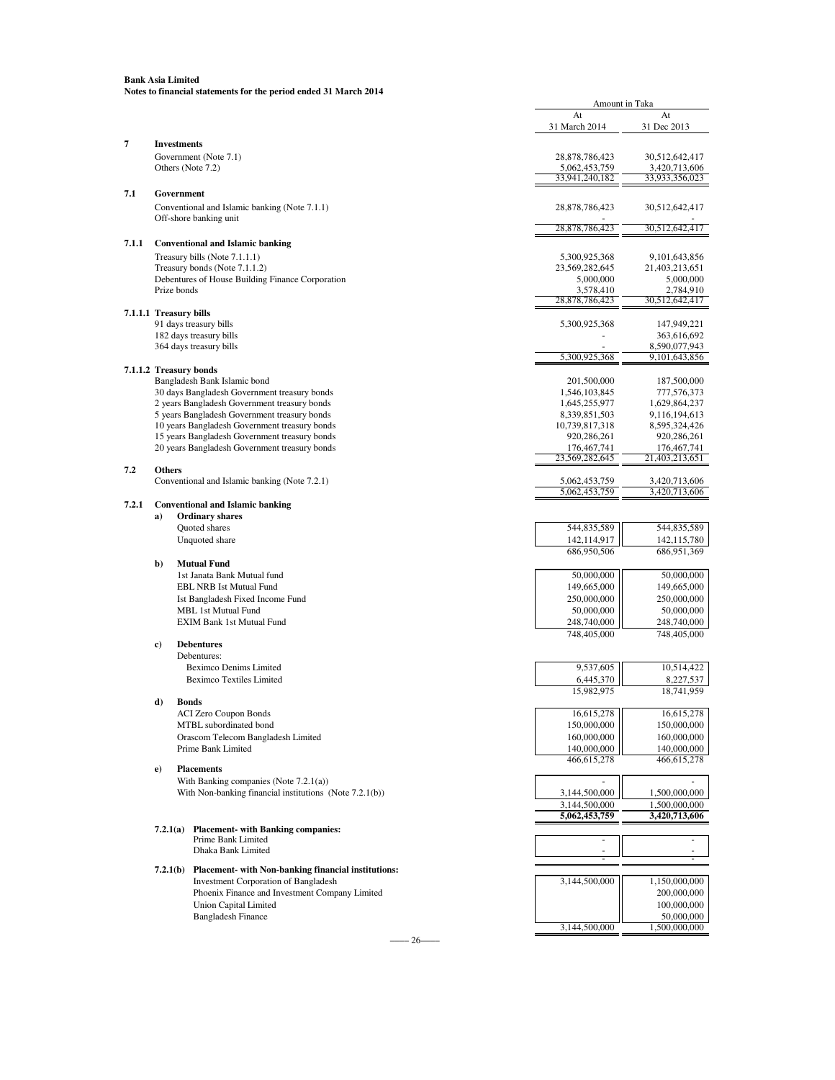| 31 March 2014<br>31 Dec 2013<br>7<br><b>Investments</b><br>Government (Note 7.1)<br>28,878,786,423<br>30,512,642,417<br>Others (Note 7.2)<br>5,062,453,759<br>3,420,713,606<br>33,941,240,182<br>33,933,356,023<br>7.1<br>Government<br>Conventional and Islamic banking (Note 7.1.1)<br>28,878,786,423<br>30,512,642,417<br>Off-shore banking unit<br>28,878,786,423<br>30,512,642,417<br>7.1.1<br><b>Conventional and Islamic banking</b><br>Treasury bills (Note 7.1.1.1)<br>5,300,925,368<br>9,101,643,856<br>Treasury bonds (Note 7.1.1.2)<br>23,569,282,645<br>21,403,213,651<br>Debentures of House Building Finance Corporation<br>5,000,000<br>5,000,000<br>Prize bonds<br>3,578,410<br>2,784,910<br>28,878,786,423<br>30,512,642,417<br>7.1.1.1 Treasury bills<br>91 days treasury bills<br>5,300,925,368<br>147,949,221<br>182 days treasury bills<br>363,616,692<br>364 days treasury bills<br>8,590,077,943<br>5,300,925,368<br>9, 101, 643, 856<br>7.1.1.2 Treasury bonds<br>Bangladesh Bank Islamic bond<br>201,500,000<br>187,500,000<br>30 days Bangladesh Government treasury bonds<br>1,546,103,845<br>777,576,373<br>2 years Bangladesh Government treasury bonds<br>1,645,255,977<br>1,629,864,237<br>5 years Bangladesh Government treasury bonds<br>8,339,851,503<br>9,116,194,613<br>10 years Bangladesh Government treasury bonds<br>10,739,817,318<br>8,595,324,426<br>15 years Bangladesh Government treasury bonds<br>920,286,261<br>920,286,261<br>20 years Bangladesh Government treasury bonds<br>176, 467, 741<br>176, 467, 741<br>23,569,282,645<br>21,403,213,651<br>7.2<br><b>Others</b><br>Conventional and Islamic banking (Note 7.2.1)<br>5,062,453,759<br>3,420,713,606<br>5,062,453,759<br>3,420,713,606<br>7.2.1<br><b>Conventional and Islamic banking</b><br><b>Ordinary shares</b><br>a)<br>Quoted shares<br>544,835,589<br>544,835,589<br>Unquoted share<br>142,114,917<br>142, 115, 780<br>686,950,506<br>686,951,369<br><b>Mutual Fund</b><br>b)<br>1st Janata Bank Mutual fund<br>50,000,000<br>50,000,000<br>149,665,000<br>149,665,000<br><b>EBL NRB Ist Mutual Fund</b><br>250,000,000<br>250,000,000<br>Ist Bangladesh Fixed Income Fund<br><b>MBL 1st Mutual Fund</b><br>50,000,000<br>50,000,000<br><b>EXIM Bank 1st Mutual Fund</b><br>248,740,000<br>248,740,000<br>748,405,000<br>748,405,000<br><b>Debentures</b><br>c)<br>Debentures:<br>9,537,605<br>10,514,422<br><b>Beximco Denims Limited</b><br><b>Beximco Textiles Limited</b><br>6,445,370<br>8,227,537<br>15,982,975<br>18,741,959<br>d)<br><b>Bonds</b><br><b>ACI Zero Coupon Bonds</b><br>16,615,278<br>16,615,278<br>150,000,000<br>150,000,000<br>MTBL subordinated bond<br>160,000,000<br>160,000,000<br>Orascom Telecom Bangladesh Limited<br>140,000,000<br>140,000,000<br>Prime Bank Limited<br>466, 615, 278<br>466,615,278<br><b>Placements</b><br>$\bf e)$<br>With Banking companies (Note $7.2.1(a)$ )<br>With Non-banking financial institutions (Note 7.2.1(b))<br>3,144,500,000<br>1,500,000,000<br>3,144,500,000<br>1,500,000,000<br>5,062,453,759<br>3,420,713,606<br><b>Placement-</b> with Banking companies:<br>7.2.1(a)<br>Prime Bank Limited<br>Dhaka Bank Limited<br>7.2.1(b) Placement- with Non-banking financial institutions:<br>Investment Corporation of Bangladesh<br>1,150,000,000<br>3,144,500,000<br>Phoenix Finance and Investment Company Limited<br>200,000,000<br><b>Union Capital Limited</b><br>100,000,000<br><b>Bangladesh Finance</b><br>50,000,000<br>3,144,500,000<br>1,500,000,000 |  | At | At |
|----------------------------------------------------------------------------------------------------------------------------------------------------------------------------------------------------------------------------------------------------------------------------------------------------------------------------------------------------------------------------------------------------------------------------------------------------------------------------------------------------------------------------------------------------------------------------------------------------------------------------------------------------------------------------------------------------------------------------------------------------------------------------------------------------------------------------------------------------------------------------------------------------------------------------------------------------------------------------------------------------------------------------------------------------------------------------------------------------------------------------------------------------------------------------------------------------------------------------------------------------------------------------------------------------------------------------------------------------------------------------------------------------------------------------------------------------------------------------------------------------------------------------------------------------------------------------------------------------------------------------------------------------------------------------------------------------------------------------------------------------------------------------------------------------------------------------------------------------------------------------------------------------------------------------------------------------------------------------------------------------------------------------------------------------------------------------------------------------------------------------------------------------------------------------------------------------------------------------------------------------------------------------------------------------------------------------------------------------------------------------------------------------------------------------------------------------------------------------------------------------------------------------------------------------------------------------------------------------------------------------------------------------------------------------------------------------------------------------------------------------------------------------------------------------------------------------------------------------------------------------------------------------------------------------------------------------------------------------------------------------------------------------------------------------------------------------------------------------------------------------------------------------------------------------------------------------------------------------------------------------------------------------------------------------------------------------------------------------------------------------------------------------------------------------------------------------------------------------------------------------------------------------------------------------|--|----|----|
|                                                                                                                                                                                                                                                                                                                                                                                                                                                                                                                                                                                                                                                                                                                                                                                                                                                                                                                                                                                                                                                                                                                                                                                                                                                                                                                                                                                                                                                                                                                                                                                                                                                                                                                                                                                                                                                                                                                                                                                                                                                                                                                                                                                                                                                                                                                                                                                                                                                                                                                                                                                                                                                                                                                                                                                                                                                                                                                                                                                                                                                                                                                                                                                                                                                                                                                                                                                                                                                                                                                                                    |  |    |    |
|                                                                                                                                                                                                                                                                                                                                                                                                                                                                                                                                                                                                                                                                                                                                                                                                                                                                                                                                                                                                                                                                                                                                                                                                                                                                                                                                                                                                                                                                                                                                                                                                                                                                                                                                                                                                                                                                                                                                                                                                                                                                                                                                                                                                                                                                                                                                                                                                                                                                                                                                                                                                                                                                                                                                                                                                                                                                                                                                                                                                                                                                                                                                                                                                                                                                                                                                                                                                                                                                                                                                                    |  |    |    |
|                                                                                                                                                                                                                                                                                                                                                                                                                                                                                                                                                                                                                                                                                                                                                                                                                                                                                                                                                                                                                                                                                                                                                                                                                                                                                                                                                                                                                                                                                                                                                                                                                                                                                                                                                                                                                                                                                                                                                                                                                                                                                                                                                                                                                                                                                                                                                                                                                                                                                                                                                                                                                                                                                                                                                                                                                                                                                                                                                                                                                                                                                                                                                                                                                                                                                                                                                                                                                                                                                                                                                    |  |    |    |
|                                                                                                                                                                                                                                                                                                                                                                                                                                                                                                                                                                                                                                                                                                                                                                                                                                                                                                                                                                                                                                                                                                                                                                                                                                                                                                                                                                                                                                                                                                                                                                                                                                                                                                                                                                                                                                                                                                                                                                                                                                                                                                                                                                                                                                                                                                                                                                                                                                                                                                                                                                                                                                                                                                                                                                                                                                                                                                                                                                                                                                                                                                                                                                                                                                                                                                                                                                                                                                                                                                                                                    |  |    |    |
|                                                                                                                                                                                                                                                                                                                                                                                                                                                                                                                                                                                                                                                                                                                                                                                                                                                                                                                                                                                                                                                                                                                                                                                                                                                                                                                                                                                                                                                                                                                                                                                                                                                                                                                                                                                                                                                                                                                                                                                                                                                                                                                                                                                                                                                                                                                                                                                                                                                                                                                                                                                                                                                                                                                                                                                                                                                                                                                                                                                                                                                                                                                                                                                                                                                                                                                                                                                                                                                                                                                                                    |  |    |    |
|                                                                                                                                                                                                                                                                                                                                                                                                                                                                                                                                                                                                                                                                                                                                                                                                                                                                                                                                                                                                                                                                                                                                                                                                                                                                                                                                                                                                                                                                                                                                                                                                                                                                                                                                                                                                                                                                                                                                                                                                                                                                                                                                                                                                                                                                                                                                                                                                                                                                                                                                                                                                                                                                                                                                                                                                                                                                                                                                                                                                                                                                                                                                                                                                                                                                                                                                                                                                                                                                                                                                                    |  |    |    |
|                                                                                                                                                                                                                                                                                                                                                                                                                                                                                                                                                                                                                                                                                                                                                                                                                                                                                                                                                                                                                                                                                                                                                                                                                                                                                                                                                                                                                                                                                                                                                                                                                                                                                                                                                                                                                                                                                                                                                                                                                                                                                                                                                                                                                                                                                                                                                                                                                                                                                                                                                                                                                                                                                                                                                                                                                                                                                                                                                                                                                                                                                                                                                                                                                                                                                                                                                                                                                                                                                                                                                    |  |    |    |
|                                                                                                                                                                                                                                                                                                                                                                                                                                                                                                                                                                                                                                                                                                                                                                                                                                                                                                                                                                                                                                                                                                                                                                                                                                                                                                                                                                                                                                                                                                                                                                                                                                                                                                                                                                                                                                                                                                                                                                                                                                                                                                                                                                                                                                                                                                                                                                                                                                                                                                                                                                                                                                                                                                                                                                                                                                                                                                                                                                                                                                                                                                                                                                                                                                                                                                                                                                                                                                                                                                                                                    |  |    |    |
|                                                                                                                                                                                                                                                                                                                                                                                                                                                                                                                                                                                                                                                                                                                                                                                                                                                                                                                                                                                                                                                                                                                                                                                                                                                                                                                                                                                                                                                                                                                                                                                                                                                                                                                                                                                                                                                                                                                                                                                                                                                                                                                                                                                                                                                                                                                                                                                                                                                                                                                                                                                                                                                                                                                                                                                                                                                                                                                                                                                                                                                                                                                                                                                                                                                                                                                                                                                                                                                                                                                                                    |  |    |    |
|                                                                                                                                                                                                                                                                                                                                                                                                                                                                                                                                                                                                                                                                                                                                                                                                                                                                                                                                                                                                                                                                                                                                                                                                                                                                                                                                                                                                                                                                                                                                                                                                                                                                                                                                                                                                                                                                                                                                                                                                                                                                                                                                                                                                                                                                                                                                                                                                                                                                                                                                                                                                                                                                                                                                                                                                                                                                                                                                                                                                                                                                                                                                                                                                                                                                                                                                                                                                                                                                                                                                                    |  |    |    |
|                                                                                                                                                                                                                                                                                                                                                                                                                                                                                                                                                                                                                                                                                                                                                                                                                                                                                                                                                                                                                                                                                                                                                                                                                                                                                                                                                                                                                                                                                                                                                                                                                                                                                                                                                                                                                                                                                                                                                                                                                                                                                                                                                                                                                                                                                                                                                                                                                                                                                                                                                                                                                                                                                                                                                                                                                                                                                                                                                                                                                                                                                                                                                                                                                                                                                                                                                                                                                                                                                                                                                    |  |    |    |
|                                                                                                                                                                                                                                                                                                                                                                                                                                                                                                                                                                                                                                                                                                                                                                                                                                                                                                                                                                                                                                                                                                                                                                                                                                                                                                                                                                                                                                                                                                                                                                                                                                                                                                                                                                                                                                                                                                                                                                                                                                                                                                                                                                                                                                                                                                                                                                                                                                                                                                                                                                                                                                                                                                                                                                                                                                                                                                                                                                                                                                                                                                                                                                                                                                                                                                                                                                                                                                                                                                                                                    |  |    |    |
|                                                                                                                                                                                                                                                                                                                                                                                                                                                                                                                                                                                                                                                                                                                                                                                                                                                                                                                                                                                                                                                                                                                                                                                                                                                                                                                                                                                                                                                                                                                                                                                                                                                                                                                                                                                                                                                                                                                                                                                                                                                                                                                                                                                                                                                                                                                                                                                                                                                                                                                                                                                                                                                                                                                                                                                                                                                                                                                                                                                                                                                                                                                                                                                                                                                                                                                                                                                                                                                                                                                                                    |  |    |    |
|                                                                                                                                                                                                                                                                                                                                                                                                                                                                                                                                                                                                                                                                                                                                                                                                                                                                                                                                                                                                                                                                                                                                                                                                                                                                                                                                                                                                                                                                                                                                                                                                                                                                                                                                                                                                                                                                                                                                                                                                                                                                                                                                                                                                                                                                                                                                                                                                                                                                                                                                                                                                                                                                                                                                                                                                                                                                                                                                                                                                                                                                                                                                                                                                                                                                                                                                                                                                                                                                                                                                                    |  |    |    |
|                                                                                                                                                                                                                                                                                                                                                                                                                                                                                                                                                                                                                                                                                                                                                                                                                                                                                                                                                                                                                                                                                                                                                                                                                                                                                                                                                                                                                                                                                                                                                                                                                                                                                                                                                                                                                                                                                                                                                                                                                                                                                                                                                                                                                                                                                                                                                                                                                                                                                                                                                                                                                                                                                                                                                                                                                                                                                                                                                                                                                                                                                                                                                                                                                                                                                                                                                                                                                                                                                                                                                    |  |    |    |
|                                                                                                                                                                                                                                                                                                                                                                                                                                                                                                                                                                                                                                                                                                                                                                                                                                                                                                                                                                                                                                                                                                                                                                                                                                                                                                                                                                                                                                                                                                                                                                                                                                                                                                                                                                                                                                                                                                                                                                                                                                                                                                                                                                                                                                                                                                                                                                                                                                                                                                                                                                                                                                                                                                                                                                                                                                                                                                                                                                                                                                                                                                                                                                                                                                                                                                                                                                                                                                                                                                                                                    |  |    |    |
|                                                                                                                                                                                                                                                                                                                                                                                                                                                                                                                                                                                                                                                                                                                                                                                                                                                                                                                                                                                                                                                                                                                                                                                                                                                                                                                                                                                                                                                                                                                                                                                                                                                                                                                                                                                                                                                                                                                                                                                                                                                                                                                                                                                                                                                                                                                                                                                                                                                                                                                                                                                                                                                                                                                                                                                                                                                                                                                                                                                                                                                                                                                                                                                                                                                                                                                                                                                                                                                                                                                                                    |  |    |    |
|                                                                                                                                                                                                                                                                                                                                                                                                                                                                                                                                                                                                                                                                                                                                                                                                                                                                                                                                                                                                                                                                                                                                                                                                                                                                                                                                                                                                                                                                                                                                                                                                                                                                                                                                                                                                                                                                                                                                                                                                                                                                                                                                                                                                                                                                                                                                                                                                                                                                                                                                                                                                                                                                                                                                                                                                                                                                                                                                                                                                                                                                                                                                                                                                                                                                                                                                                                                                                                                                                                                                                    |  |    |    |
|                                                                                                                                                                                                                                                                                                                                                                                                                                                                                                                                                                                                                                                                                                                                                                                                                                                                                                                                                                                                                                                                                                                                                                                                                                                                                                                                                                                                                                                                                                                                                                                                                                                                                                                                                                                                                                                                                                                                                                                                                                                                                                                                                                                                                                                                                                                                                                                                                                                                                                                                                                                                                                                                                                                                                                                                                                                                                                                                                                                                                                                                                                                                                                                                                                                                                                                                                                                                                                                                                                                                                    |  |    |    |
|                                                                                                                                                                                                                                                                                                                                                                                                                                                                                                                                                                                                                                                                                                                                                                                                                                                                                                                                                                                                                                                                                                                                                                                                                                                                                                                                                                                                                                                                                                                                                                                                                                                                                                                                                                                                                                                                                                                                                                                                                                                                                                                                                                                                                                                                                                                                                                                                                                                                                                                                                                                                                                                                                                                                                                                                                                                                                                                                                                                                                                                                                                                                                                                                                                                                                                                                                                                                                                                                                                                                                    |  |    |    |
|                                                                                                                                                                                                                                                                                                                                                                                                                                                                                                                                                                                                                                                                                                                                                                                                                                                                                                                                                                                                                                                                                                                                                                                                                                                                                                                                                                                                                                                                                                                                                                                                                                                                                                                                                                                                                                                                                                                                                                                                                                                                                                                                                                                                                                                                                                                                                                                                                                                                                                                                                                                                                                                                                                                                                                                                                                                                                                                                                                                                                                                                                                                                                                                                                                                                                                                                                                                                                                                                                                                                                    |  |    |    |
|                                                                                                                                                                                                                                                                                                                                                                                                                                                                                                                                                                                                                                                                                                                                                                                                                                                                                                                                                                                                                                                                                                                                                                                                                                                                                                                                                                                                                                                                                                                                                                                                                                                                                                                                                                                                                                                                                                                                                                                                                                                                                                                                                                                                                                                                                                                                                                                                                                                                                                                                                                                                                                                                                                                                                                                                                                                                                                                                                                                                                                                                                                                                                                                                                                                                                                                                                                                                                                                                                                                                                    |  |    |    |
|                                                                                                                                                                                                                                                                                                                                                                                                                                                                                                                                                                                                                                                                                                                                                                                                                                                                                                                                                                                                                                                                                                                                                                                                                                                                                                                                                                                                                                                                                                                                                                                                                                                                                                                                                                                                                                                                                                                                                                                                                                                                                                                                                                                                                                                                                                                                                                                                                                                                                                                                                                                                                                                                                                                                                                                                                                                                                                                                                                                                                                                                                                                                                                                                                                                                                                                                                                                                                                                                                                                                                    |  |    |    |
|                                                                                                                                                                                                                                                                                                                                                                                                                                                                                                                                                                                                                                                                                                                                                                                                                                                                                                                                                                                                                                                                                                                                                                                                                                                                                                                                                                                                                                                                                                                                                                                                                                                                                                                                                                                                                                                                                                                                                                                                                                                                                                                                                                                                                                                                                                                                                                                                                                                                                                                                                                                                                                                                                                                                                                                                                                                                                                                                                                                                                                                                                                                                                                                                                                                                                                                                                                                                                                                                                                                                                    |  |    |    |
|                                                                                                                                                                                                                                                                                                                                                                                                                                                                                                                                                                                                                                                                                                                                                                                                                                                                                                                                                                                                                                                                                                                                                                                                                                                                                                                                                                                                                                                                                                                                                                                                                                                                                                                                                                                                                                                                                                                                                                                                                                                                                                                                                                                                                                                                                                                                                                                                                                                                                                                                                                                                                                                                                                                                                                                                                                                                                                                                                                                                                                                                                                                                                                                                                                                                                                                                                                                                                                                                                                                                                    |  |    |    |
|                                                                                                                                                                                                                                                                                                                                                                                                                                                                                                                                                                                                                                                                                                                                                                                                                                                                                                                                                                                                                                                                                                                                                                                                                                                                                                                                                                                                                                                                                                                                                                                                                                                                                                                                                                                                                                                                                                                                                                                                                                                                                                                                                                                                                                                                                                                                                                                                                                                                                                                                                                                                                                                                                                                                                                                                                                                                                                                                                                                                                                                                                                                                                                                                                                                                                                                                                                                                                                                                                                                                                    |  |    |    |
|                                                                                                                                                                                                                                                                                                                                                                                                                                                                                                                                                                                                                                                                                                                                                                                                                                                                                                                                                                                                                                                                                                                                                                                                                                                                                                                                                                                                                                                                                                                                                                                                                                                                                                                                                                                                                                                                                                                                                                                                                                                                                                                                                                                                                                                                                                                                                                                                                                                                                                                                                                                                                                                                                                                                                                                                                                                                                                                                                                                                                                                                                                                                                                                                                                                                                                                                                                                                                                                                                                                                                    |  |    |    |
|                                                                                                                                                                                                                                                                                                                                                                                                                                                                                                                                                                                                                                                                                                                                                                                                                                                                                                                                                                                                                                                                                                                                                                                                                                                                                                                                                                                                                                                                                                                                                                                                                                                                                                                                                                                                                                                                                                                                                                                                                                                                                                                                                                                                                                                                                                                                                                                                                                                                                                                                                                                                                                                                                                                                                                                                                                                                                                                                                                                                                                                                                                                                                                                                                                                                                                                                                                                                                                                                                                                                                    |  |    |    |
|                                                                                                                                                                                                                                                                                                                                                                                                                                                                                                                                                                                                                                                                                                                                                                                                                                                                                                                                                                                                                                                                                                                                                                                                                                                                                                                                                                                                                                                                                                                                                                                                                                                                                                                                                                                                                                                                                                                                                                                                                                                                                                                                                                                                                                                                                                                                                                                                                                                                                                                                                                                                                                                                                                                                                                                                                                                                                                                                                                                                                                                                                                                                                                                                                                                                                                                                                                                                                                                                                                                                                    |  |    |    |
|                                                                                                                                                                                                                                                                                                                                                                                                                                                                                                                                                                                                                                                                                                                                                                                                                                                                                                                                                                                                                                                                                                                                                                                                                                                                                                                                                                                                                                                                                                                                                                                                                                                                                                                                                                                                                                                                                                                                                                                                                                                                                                                                                                                                                                                                                                                                                                                                                                                                                                                                                                                                                                                                                                                                                                                                                                                                                                                                                                                                                                                                                                                                                                                                                                                                                                                                                                                                                                                                                                                                                    |  |    |    |
|                                                                                                                                                                                                                                                                                                                                                                                                                                                                                                                                                                                                                                                                                                                                                                                                                                                                                                                                                                                                                                                                                                                                                                                                                                                                                                                                                                                                                                                                                                                                                                                                                                                                                                                                                                                                                                                                                                                                                                                                                                                                                                                                                                                                                                                                                                                                                                                                                                                                                                                                                                                                                                                                                                                                                                                                                                                                                                                                                                                                                                                                                                                                                                                                                                                                                                                                                                                                                                                                                                                                                    |  |    |    |
|                                                                                                                                                                                                                                                                                                                                                                                                                                                                                                                                                                                                                                                                                                                                                                                                                                                                                                                                                                                                                                                                                                                                                                                                                                                                                                                                                                                                                                                                                                                                                                                                                                                                                                                                                                                                                                                                                                                                                                                                                                                                                                                                                                                                                                                                                                                                                                                                                                                                                                                                                                                                                                                                                                                                                                                                                                                                                                                                                                                                                                                                                                                                                                                                                                                                                                                                                                                                                                                                                                                                                    |  |    |    |
|                                                                                                                                                                                                                                                                                                                                                                                                                                                                                                                                                                                                                                                                                                                                                                                                                                                                                                                                                                                                                                                                                                                                                                                                                                                                                                                                                                                                                                                                                                                                                                                                                                                                                                                                                                                                                                                                                                                                                                                                                                                                                                                                                                                                                                                                                                                                                                                                                                                                                                                                                                                                                                                                                                                                                                                                                                                                                                                                                                                                                                                                                                                                                                                                                                                                                                                                                                                                                                                                                                                                                    |  |    |    |
|                                                                                                                                                                                                                                                                                                                                                                                                                                                                                                                                                                                                                                                                                                                                                                                                                                                                                                                                                                                                                                                                                                                                                                                                                                                                                                                                                                                                                                                                                                                                                                                                                                                                                                                                                                                                                                                                                                                                                                                                                                                                                                                                                                                                                                                                                                                                                                                                                                                                                                                                                                                                                                                                                                                                                                                                                                                                                                                                                                                                                                                                                                                                                                                                                                                                                                                                                                                                                                                                                                                                                    |  |    |    |
|                                                                                                                                                                                                                                                                                                                                                                                                                                                                                                                                                                                                                                                                                                                                                                                                                                                                                                                                                                                                                                                                                                                                                                                                                                                                                                                                                                                                                                                                                                                                                                                                                                                                                                                                                                                                                                                                                                                                                                                                                                                                                                                                                                                                                                                                                                                                                                                                                                                                                                                                                                                                                                                                                                                                                                                                                                                                                                                                                                                                                                                                                                                                                                                                                                                                                                                                                                                                                                                                                                                                                    |  |    |    |
|                                                                                                                                                                                                                                                                                                                                                                                                                                                                                                                                                                                                                                                                                                                                                                                                                                                                                                                                                                                                                                                                                                                                                                                                                                                                                                                                                                                                                                                                                                                                                                                                                                                                                                                                                                                                                                                                                                                                                                                                                                                                                                                                                                                                                                                                                                                                                                                                                                                                                                                                                                                                                                                                                                                                                                                                                                                                                                                                                                                                                                                                                                                                                                                                                                                                                                                                                                                                                                                                                                                                                    |  |    |    |
|                                                                                                                                                                                                                                                                                                                                                                                                                                                                                                                                                                                                                                                                                                                                                                                                                                                                                                                                                                                                                                                                                                                                                                                                                                                                                                                                                                                                                                                                                                                                                                                                                                                                                                                                                                                                                                                                                                                                                                                                                                                                                                                                                                                                                                                                                                                                                                                                                                                                                                                                                                                                                                                                                                                                                                                                                                                                                                                                                                                                                                                                                                                                                                                                                                                                                                                                                                                                                                                                                                                                                    |  |    |    |
|                                                                                                                                                                                                                                                                                                                                                                                                                                                                                                                                                                                                                                                                                                                                                                                                                                                                                                                                                                                                                                                                                                                                                                                                                                                                                                                                                                                                                                                                                                                                                                                                                                                                                                                                                                                                                                                                                                                                                                                                                                                                                                                                                                                                                                                                                                                                                                                                                                                                                                                                                                                                                                                                                                                                                                                                                                                                                                                                                                                                                                                                                                                                                                                                                                                                                                                                                                                                                                                                                                                                                    |  |    |    |
|                                                                                                                                                                                                                                                                                                                                                                                                                                                                                                                                                                                                                                                                                                                                                                                                                                                                                                                                                                                                                                                                                                                                                                                                                                                                                                                                                                                                                                                                                                                                                                                                                                                                                                                                                                                                                                                                                                                                                                                                                                                                                                                                                                                                                                                                                                                                                                                                                                                                                                                                                                                                                                                                                                                                                                                                                                                                                                                                                                                                                                                                                                                                                                                                                                                                                                                                                                                                                                                                                                                                                    |  |    |    |
|                                                                                                                                                                                                                                                                                                                                                                                                                                                                                                                                                                                                                                                                                                                                                                                                                                                                                                                                                                                                                                                                                                                                                                                                                                                                                                                                                                                                                                                                                                                                                                                                                                                                                                                                                                                                                                                                                                                                                                                                                                                                                                                                                                                                                                                                                                                                                                                                                                                                                                                                                                                                                                                                                                                                                                                                                                                                                                                                                                                                                                                                                                                                                                                                                                                                                                                                                                                                                                                                                                                                                    |  |    |    |
|                                                                                                                                                                                                                                                                                                                                                                                                                                                                                                                                                                                                                                                                                                                                                                                                                                                                                                                                                                                                                                                                                                                                                                                                                                                                                                                                                                                                                                                                                                                                                                                                                                                                                                                                                                                                                                                                                                                                                                                                                                                                                                                                                                                                                                                                                                                                                                                                                                                                                                                                                                                                                                                                                                                                                                                                                                                                                                                                                                                                                                                                                                                                                                                                                                                                                                                                                                                                                                                                                                                                                    |  |    |    |
|                                                                                                                                                                                                                                                                                                                                                                                                                                                                                                                                                                                                                                                                                                                                                                                                                                                                                                                                                                                                                                                                                                                                                                                                                                                                                                                                                                                                                                                                                                                                                                                                                                                                                                                                                                                                                                                                                                                                                                                                                                                                                                                                                                                                                                                                                                                                                                                                                                                                                                                                                                                                                                                                                                                                                                                                                                                                                                                                                                                                                                                                                                                                                                                                                                                                                                                                                                                                                                                                                                                                                    |  |    |    |
|                                                                                                                                                                                                                                                                                                                                                                                                                                                                                                                                                                                                                                                                                                                                                                                                                                                                                                                                                                                                                                                                                                                                                                                                                                                                                                                                                                                                                                                                                                                                                                                                                                                                                                                                                                                                                                                                                                                                                                                                                                                                                                                                                                                                                                                                                                                                                                                                                                                                                                                                                                                                                                                                                                                                                                                                                                                                                                                                                                                                                                                                                                                                                                                                                                                                                                                                                                                                                                                                                                                                                    |  |    |    |
|                                                                                                                                                                                                                                                                                                                                                                                                                                                                                                                                                                                                                                                                                                                                                                                                                                                                                                                                                                                                                                                                                                                                                                                                                                                                                                                                                                                                                                                                                                                                                                                                                                                                                                                                                                                                                                                                                                                                                                                                                                                                                                                                                                                                                                                                                                                                                                                                                                                                                                                                                                                                                                                                                                                                                                                                                                                                                                                                                                                                                                                                                                                                                                                                                                                                                                                                                                                                                                                                                                                                                    |  |    |    |
|                                                                                                                                                                                                                                                                                                                                                                                                                                                                                                                                                                                                                                                                                                                                                                                                                                                                                                                                                                                                                                                                                                                                                                                                                                                                                                                                                                                                                                                                                                                                                                                                                                                                                                                                                                                                                                                                                                                                                                                                                                                                                                                                                                                                                                                                                                                                                                                                                                                                                                                                                                                                                                                                                                                                                                                                                                                                                                                                                                                                                                                                                                                                                                                                                                                                                                                                                                                                                                                                                                                                                    |  |    |    |
|                                                                                                                                                                                                                                                                                                                                                                                                                                                                                                                                                                                                                                                                                                                                                                                                                                                                                                                                                                                                                                                                                                                                                                                                                                                                                                                                                                                                                                                                                                                                                                                                                                                                                                                                                                                                                                                                                                                                                                                                                                                                                                                                                                                                                                                                                                                                                                                                                                                                                                                                                                                                                                                                                                                                                                                                                                                                                                                                                                                                                                                                                                                                                                                                                                                                                                                                                                                                                                                                                                                                                    |  |    |    |
|                                                                                                                                                                                                                                                                                                                                                                                                                                                                                                                                                                                                                                                                                                                                                                                                                                                                                                                                                                                                                                                                                                                                                                                                                                                                                                                                                                                                                                                                                                                                                                                                                                                                                                                                                                                                                                                                                                                                                                                                                                                                                                                                                                                                                                                                                                                                                                                                                                                                                                                                                                                                                                                                                                                                                                                                                                                                                                                                                                                                                                                                                                                                                                                                                                                                                                                                                                                                                                                                                                                                                    |  |    |    |
|                                                                                                                                                                                                                                                                                                                                                                                                                                                                                                                                                                                                                                                                                                                                                                                                                                                                                                                                                                                                                                                                                                                                                                                                                                                                                                                                                                                                                                                                                                                                                                                                                                                                                                                                                                                                                                                                                                                                                                                                                                                                                                                                                                                                                                                                                                                                                                                                                                                                                                                                                                                                                                                                                                                                                                                                                                                                                                                                                                                                                                                                                                                                                                                                                                                                                                                                                                                                                                                                                                                                                    |  |    |    |
|                                                                                                                                                                                                                                                                                                                                                                                                                                                                                                                                                                                                                                                                                                                                                                                                                                                                                                                                                                                                                                                                                                                                                                                                                                                                                                                                                                                                                                                                                                                                                                                                                                                                                                                                                                                                                                                                                                                                                                                                                                                                                                                                                                                                                                                                                                                                                                                                                                                                                                                                                                                                                                                                                                                                                                                                                                                                                                                                                                                                                                                                                                                                                                                                                                                                                                                                                                                                                                                                                                                                                    |  |    |    |
|                                                                                                                                                                                                                                                                                                                                                                                                                                                                                                                                                                                                                                                                                                                                                                                                                                                                                                                                                                                                                                                                                                                                                                                                                                                                                                                                                                                                                                                                                                                                                                                                                                                                                                                                                                                                                                                                                                                                                                                                                                                                                                                                                                                                                                                                                                                                                                                                                                                                                                                                                                                                                                                                                                                                                                                                                                                                                                                                                                                                                                                                                                                                                                                                                                                                                                                                                                                                                                                                                                                                                    |  |    |    |
|                                                                                                                                                                                                                                                                                                                                                                                                                                                                                                                                                                                                                                                                                                                                                                                                                                                                                                                                                                                                                                                                                                                                                                                                                                                                                                                                                                                                                                                                                                                                                                                                                                                                                                                                                                                                                                                                                                                                                                                                                                                                                                                                                                                                                                                                                                                                                                                                                                                                                                                                                                                                                                                                                                                                                                                                                                                                                                                                                                                                                                                                                                                                                                                                                                                                                                                                                                                                                                                                                                                                                    |  |    |    |
|                                                                                                                                                                                                                                                                                                                                                                                                                                                                                                                                                                                                                                                                                                                                                                                                                                                                                                                                                                                                                                                                                                                                                                                                                                                                                                                                                                                                                                                                                                                                                                                                                                                                                                                                                                                                                                                                                                                                                                                                                                                                                                                                                                                                                                                                                                                                                                                                                                                                                                                                                                                                                                                                                                                                                                                                                                                                                                                                                                                                                                                                                                                                                                                                                                                                                                                                                                                                                                                                                                                                                    |  |    |    |
|                                                                                                                                                                                                                                                                                                                                                                                                                                                                                                                                                                                                                                                                                                                                                                                                                                                                                                                                                                                                                                                                                                                                                                                                                                                                                                                                                                                                                                                                                                                                                                                                                                                                                                                                                                                                                                                                                                                                                                                                                                                                                                                                                                                                                                                                                                                                                                                                                                                                                                                                                                                                                                                                                                                                                                                                                                                                                                                                                                                                                                                                                                                                                                                                                                                                                                                                                                                                                                                                                                                                                    |  |    |    |
|                                                                                                                                                                                                                                                                                                                                                                                                                                                                                                                                                                                                                                                                                                                                                                                                                                                                                                                                                                                                                                                                                                                                                                                                                                                                                                                                                                                                                                                                                                                                                                                                                                                                                                                                                                                                                                                                                                                                                                                                                                                                                                                                                                                                                                                                                                                                                                                                                                                                                                                                                                                                                                                                                                                                                                                                                                                                                                                                                                                                                                                                                                                                                                                                                                                                                                                                                                                                                                                                                                                                                    |  |    |    |
|                                                                                                                                                                                                                                                                                                                                                                                                                                                                                                                                                                                                                                                                                                                                                                                                                                                                                                                                                                                                                                                                                                                                                                                                                                                                                                                                                                                                                                                                                                                                                                                                                                                                                                                                                                                                                                                                                                                                                                                                                                                                                                                                                                                                                                                                                                                                                                                                                                                                                                                                                                                                                                                                                                                                                                                                                                                                                                                                                                                                                                                                                                                                                                                                                                                                                                                                                                                                                                                                                                                                                    |  |    |    |
|                                                                                                                                                                                                                                                                                                                                                                                                                                                                                                                                                                                                                                                                                                                                                                                                                                                                                                                                                                                                                                                                                                                                                                                                                                                                                                                                                                                                                                                                                                                                                                                                                                                                                                                                                                                                                                                                                                                                                                                                                                                                                                                                                                                                                                                                                                                                                                                                                                                                                                                                                                                                                                                                                                                                                                                                                                                                                                                                                                                                                                                                                                                                                                                                                                                                                                                                                                                                                                                                                                                                                    |  |    |    |
|                                                                                                                                                                                                                                                                                                                                                                                                                                                                                                                                                                                                                                                                                                                                                                                                                                                                                                                                                                                                                                                                                                                                                                                                                                                                                                                                                                                                                                                                                                                                                                                                                                                                                                                                                                                                                                                                                                                                                                                                                                                                                                                                                                                                                                                                                                                                                                                                                                                                                                                                                                                                                                                                                                                                                                                                                                                                                                                                                                                                                                                                                                                                                                                                                                                                                                                                                                                                                                                                                                                                                    |  |    |    |
|                                                                                                                                                                                                                                                                                                                                                                                                                                                                                                                                                                                                                                                                                                                                                                                                                                                                                                                                                                                                                                                                                                                                                                                                                                                                                                                                                                                                                                                                                                                                                                                                                                                                                                                                                                                                                                                                                                                                                                                                                                                                                                                                                                                                                                                                                                                                                                                                                                                                                                                                                                                                                                                                                                                                                                                                                                                                                                                                                                                                                                                                                                                                                                                                                                                                                                                                                                                                                                                                                                                                                    |  |    |    |

Amount in Taka

–––– 26––––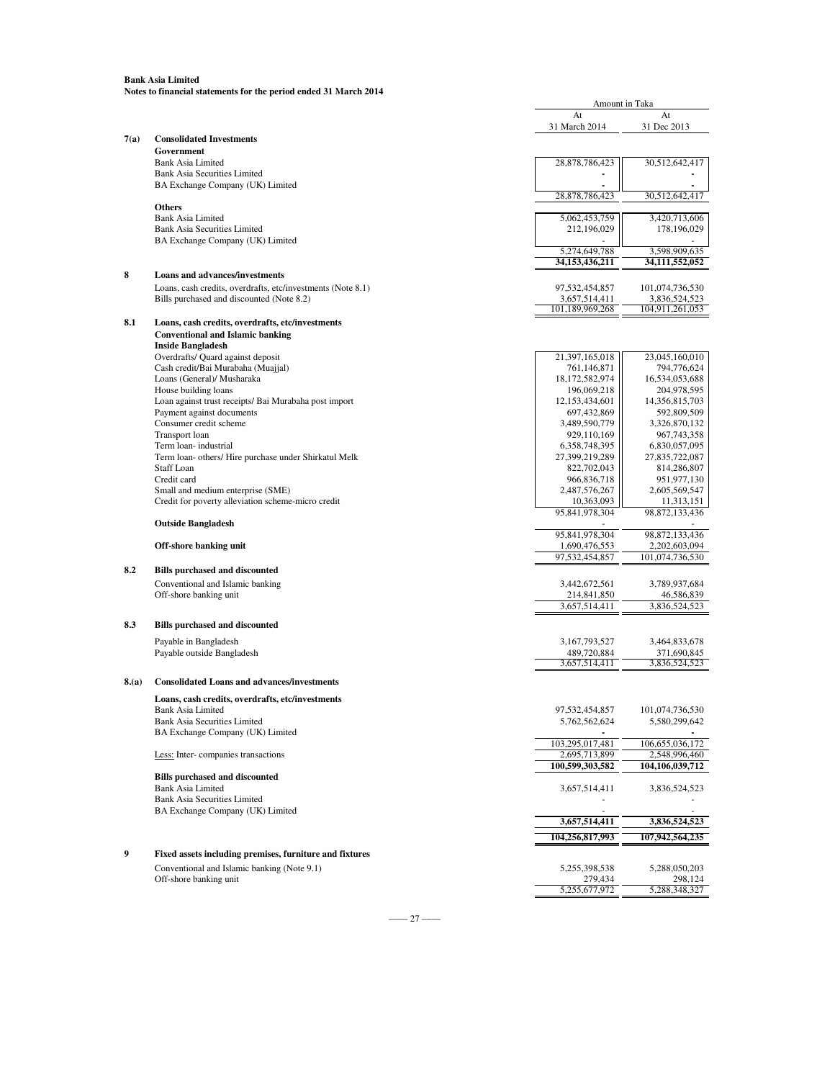| At<br>At<br>31 March 2014<br>31 Dec 2013<br>7(a)<br><b>Consolidated Investments</b><br>Government<br><b>Bank Asia Limited</b><br>28,878,786,423<br>30,512,642,417<br><b>Bank Asia Securities Limited</b><br>BA Exchange Company (UK) Limited<br>28,878,786,423<br>30,512,642,417<br><b>Others</b><br><b>Bank Asia Limited</b><br>5,062,453,759<br>3,420,713,606<br><b>Bank Asia Securities Limited</b><br>212,196,029<br>178,196,029<br>BA Exchange Company (UK) Limited<br>5,274,649,788<br>3,598,909,635<br>34,153,436,211<br>34,111,552,052<br>8<br><b>Loans and advances/investments</b><br>Loans, cash credits, overdrafts, etc/investments (Note 8.1)<br>97,532,454,857<br>101,074,736,530<br>Bills purchased and discounted (Note 8.2)<br>3,657,514,411<br>3,836,524,523<br>101,189,969,268<br>104,911,261,053<br>8.1<br>Loans, cash credits, overdrafts, etc/investments<br><b>Conventional and Islamic banking</b><br><b>Inside Bangladesh</b><br>Overdrafts/ Quard against deposit<br>21,397,165,018<br>23,045,160,010<br>Cash credit/Bai Murabaha (Muajjal)<br>794,776,624<br>761,146,871<br>Loans (General)/ Musharaka<br>18,172,582,974<br>16,534,053,688<br>House building loans<br>196,069,218<br>204,978,595<br>Loan against trust receipts/ Bai Murabaha post import<br>12,153,434,601<br>14,356,815,703<br>Payment against documents<br>697,432,869<br>592,809,509<br>Consumer credit scheme<br>3,489,590,779<br>3,326,870,132<br>Transport loan<br>929,110,169<br>967,743,358<br>Term loan-industrial<br>6, 358, 748, 395<br>6,830,057,095<br>Term loan- others/ Hire purchase under Shirkatul Melk<br>27,399,219,289<br>27,835,722,087<br><b>Staff Loan</b><br>822,702,043<br>814,286,807<br>Credit card<br>966,836,718<br>951,977,130<br>Small and medium enterprise (SME)<br>2,487,576,267<br>2,605,569,547<br>Credit for poverty alleviation scheme-micro credit<br>10,363,093<br>11,313,151<br>95,841,978,304<br>98, 872, 133, 436<br><b>Outside Bangladesh</b><br>95,841,978,304<br>98,872,133,436<br>Off-shore banking unit<br>1,690,476,553<br>2,202,603,094<br>97,532,454,857<br>101,074,736,530<br>8.2<br><b>Bills purchased and discounted</b><br>Conventional and Islamic banking<br>3,442,672,561<br>3,789,937,684<br>Off-shore banking unit<br>214,841,850<br>46,586,839<br>3,657,514,411<br>3,836,524,523<br>8.3<br><b>Bills purchased and discounted</b><br>Payable in Bangladesh<br>3, 167, 793, 527<br>3,464,833,678<br>Payable outside Bangladesh<br>489,720,884<br>371,690,845<br>3,657,514,411<br>3,836,524,523<br>8(a)<br><b>Consolidated Loans and advances/investments</b><br>Loans, cash credits, overdrafts, etc/investments<br>101,074,736,530<br>97,532,454,857<br>Bank Asia Limited<br>5,580,299,642<br>5,762,562,624<br><b>Bank Asia Securities Limited</b> |
|--------------------------------------------------------------------------------------------------------------------------------------------------------------------------------------------------------------------------------------------------------------------------------------------------------------------------------------------------------------------------------------------------------------------------------------------------------------------------------------------------------------------------------------------------------------------------------------------------------------------------------------------------------------------------------------------------------------------------------------------------------------------------------------------------------------------------------------------------------------------------------------------------------------------------------------------------------------------------------------------------------------------------------------------------------------------------------------------------------------------------------------------------------------------------------------------------------------------------------------------------------------------------------------------------------------------------------------------------------------------------------------------------------------------------------------------------------------------------------------------------------------------------------------------------------------------------------------------------------------------------------------------------------------------------------------------------------------------------------------------------------------------------------------------------------------------------------------------------------------------------------------------------------------------------------------------------------------------------------------------------------------------------------------------------------------------------------------------------------------------------------------------------------------------------------------------------------------------------------------------------------------------------------------------------------------------------------------------------------------------------------------------------------------------------------------------------------------------------------------------------------------------------------------------------------------------------------------------------------------------------------------------------------------------------------------------------------------------------------------------------------------------------------------------------------------|
|                                                                                                                                                                                                                                                                                                                                                                                                                                                                                                                                                                                                                                                                                                                                                                                                                                                                                                                                                                                                                                                                                                                                                                                                                                                                                                                                                                                                                                                                                                                                                                                                                                                                                                                                                                                                                                                                                                                                                                                                                                                                                                                                                                                                                                                                                                                                                                                                                                                                                                                                                                                                                                                                                                                                                                                                              |
|                                                                                                                                                                                                                                                                                                                                                                                                                                                                                                                                                                                                                                                                                                                                                                                                                                                                                                                                                                                                                                                                                                                                                                                                                                                                                                                                                                                                                                                                                                                                                                                                                                                                                                                                                                                                                                                                                                                                                                                                                                                                                                                                                                                                                                                                                                                                                                                                                                                                                                                                                                                                                                                                                                                                                                                                              |
|                                                                                                                                                                                                                                                                                                                                                                                                                                                                                                                                                                                                                                                                                                                                                                                                                                                                                                                                                                                                                                                                                                                                                                                                                                                                                                                                                                                                                                                                                                                                                                                                                                                                                                                                                                                                                                                                                                                                                                                                                                                                                                                                                                                                                                                                                                                                                                                                                                                                                                                                                                                                                                                                                                                                                                                                              |
|                                                                                                                                                                                                                                                                                                                                                                                                                                                                                                                                                                                                                                                                                                                                                                                                                                                                                                                                                                                                                                                                                                                                                                                                                                                                                                                                                                                                                                                                                                                                                                                                                                                                                                                                                                                                                                                                                                                                                                                                                                                                                                                                                                                                                                                                                                                                                                                                                                                                                                                                                                                                                                                                                                                                                                                                              |
|                                                                                                                                                                                                                                                                                                                                                                                                                                                                                                                                                                                                                                                                                                                                                                                                                                                                                                                                                                                                                                                                                                                                                                                                                                                                                                                                                                                                                                                                                                                                                                                                                                                                                                                                                                                                                                                                                                                                                                                                                                                                                                                                                                                                                                                                                                                                                                                                                                                                                                                                                                                                                                                                                                                                                                                                              |
|                                                                                                                                                                                                                                                                                                                                                                                                                                                                                                                                                                                                                                                                                                                                                                                                                                                                                                                                                                                                                                                                                                                                                                                                                                                                                                                                                                                                                                                                                                                                                                                                                                                                                                                                                                                                                                                                                                                                                                                                                                                                                                                                                                                                                                                                                                                                                                                                                                                                                                                                                                                                                                                                                                                                                                                                              |
|                                                                                                                                                                                                                                                                                                                                                                                                                                                                                                                                                                                                                                                                                                                                                                                                                                                                                                                                                                                                                                                                                                                                                                                                                                                                                                                                                                                                                                                                                                                                                                                                                                                                                                                                                                                                                                                                                                                                                                                                                                                                                                                                                                                                                                                                                                                                                                                                                                                                                                                                                                                                                                                                                                                                                                                                              |
|                                                                                                                                                                                                                                                                                                                                                                                                                                                                                                                                                                                                                                                                                                                                                                                                                                                                                                                                                                                                                                                                                                                                                                                                                                                                                                                                                                                                                                                                                                                                                                                                                                                                                                                                                                                                                                                                                                                                                                                                                                                                                                                                                                                                                                                                                                                                                                                                                                                                                                                                                                                                                                                                                                                                                                                                              |
|                                                                                                                                                                                                                                                                                                                                                                                                                                                                                                                                                                                                                                                                                                                                                                                                                                                                                                                                                                                                                                                                                                                                                                                                                                                                                                                                                                                                                                                                                                                                                                                                                                                                                                                                                                                                                                                                                                                                                                                                                                                                                                                                                                                                                                                                                                                                                                                                                                                                                                                                                                                                                                                                                                                                                                                                              |
|                                                                                                                                                                                                                                                                                                                                                                                                                                                                                                                                                                                                                                                                                                                                                                                                                                                                                                                                                                                                                                                                                                                                                                                                                                                                                                                                                                                                                                                                                                                                                                                                                                                                                                                                                                                                                                                                                                                                                                                                                                                                                                                                                                                                                                                                                                                                                                                                                                                                                                                                                                                                                                                                                                                                                                                                              |
|                                                                                                                                                                                                                                                                                                                                                                                                                                                                                                                                                                                                                                                                                                                                                                                                                                                                                                                                                                                                                                                                                                                                                                                                                                                                                                                                                                                                                                                                                                                                                                                                                                                                                                                                                                                                                                                                                                                                                                                                                                                                                                                                                                                                                                                                                                                                                                                                                                                                                                                                                                                                                                                                                                                                                                                                              |
|                                                                                                                                                                                                                                                                                                                                                                                                                                                                                                                                                                                                                                                                                                                                                                                                                                                                                                                                                                                                                                                                                                                                                                                                                                                                                                                                                                                                                                                                                                                                                                                                                                                                                                                                                                                                                                                                                                                                                                                                                                                                                                                                                                                                                                                                                                                                                                                                                                                                                                                                                                                                                                                                                                                                                                                                              |
|                                                                                                                                                                                                                                                                                                                                                                                                                                                                                                                                                                                                                                                                                                                                                                                                                                                                                                                                                                                                                                                                                                                                                                                                                                                                                                                                                                                                                                                                                                                                                                                                                                                                                                                                                                                                                                                                                                                                                                                                                                                                                                                                                                                                                                                                                                                                                                                                                                                                                                                                                                                                                                                                                                                                                                                                              |
|                                                                                                                                                                                                                                                                                                                                                                                                                                                                                                                                                                                                                                                                                                                                                                                                                                                                                                                                                                                                                                                                                                                                                                                                                                                                                                                                                                                                                                                                                                                                                                                                                                                                                                                                                                                                                                                                                                                                                                                                                                                                                                                                                                                                                                                                                                                                                                                                                                                                                                                                                                                                                                                                                                                                                                                                              |
|                                                                                                                                                                                                                                                                                                                                                                                                                                                                                                                                                                                                                                                                                                                                                                                                                                                                                                                                                                                                                                                                                                                                                                                                                                                                                                                                                                                                                                                                                                                                                                                                                                                                                                                                                                                                                                                                                                                                                                                                                                                                                                                                                                                                                                                                                                                                                                                                                                                                                                                                                                                                                                                                                                                                                                                                              |
|                                                                                                                                                                                                                                                                                                                                                                                                                                                                                                                                                                                                                                                                                                                                                                                                                                                                                                                                                                                                                                                                                                                                                                                                                                                                                                                                                                                                                                                                                                                                                                                                                                                                                                                                                                                                                                                                                                                                                                                                                                                                                                                                                                                                                                                                                                                                                                                                                                                                                                                                                                                                                                                                                                                                                                                                              |
|                                                                                                                                                                                                                                                                                                                                                                                                                                                                                                                                                                                                                                                                                                                                                                                                                                                                                                                                                                                                                                                                                                                                                                                                                                                                                                                                                                                                                                                                                                                                                                                                                                                                                                                                                                                                                                                                                                                                                                                                                                                                                                                                                                                                                                                                                                                                                                                                                                                                                                                                                                                                                                                                                                                                                                                                              |
|                                                                                                                                                                                                                                                                                                                                                                                                                                                                                                                                                                                                                                                                                                                                                                                                                                                                                                                                                                                                                                                                                                                                                                                                                                                                                                                                                                                                                                                                                                                                                                                                                                                                                                                                                                                                                                                                                                                                                                                                                                                                                                                                                                                                                                                                                                                                                                                                                                                                                                                                                                                                                                                                                                                                                                                                              |
|                                                                                                                                                                                                                                                                                                                                                                                                                                                                                                                                                                                                                                                                                                                                                                                                                                                                                                                                                                                                                                                                                                                                                                                                                                                                                                                                                                                                                                                                                                                                                                                                                                                                                                                                                                                                                                                                                                                                                                                                                                                                                                                                                                                                                                                                                                                                                                                                                                                                                                                                                                                                                                                                                                                                                                                                              |
|                                                                                                                                                                                                                                                                                                                                                                                                                                                                                                                                                                                                                                                                                                                                                                                                                                                                                                                                                                                                                                                                                                                                                                                                                                                                                                                                                                                                                                                                                                                                                                                                                                                                                                                                                                                                                                                                                                                                                                                                                                                                                                                                                                                                                                                                                                                                                                                                                                                                                                                                                                                                                                                                                                                                                                                                              |
|                                                                                                                                                                                                                                                                                                                                                                                                                                                                                                                                                                                                                                                                                                                                                                                                                                                                                                                                                                                                                                                                                                                                                                                                                                                                                                                                                                                                                                                                                                                                                                                                                                                                                                                                                                                                                                                                                                                                                                                                                                                                                                                                                                                                                                                                                                                                                                                                                                                                                                                                                                                                                                                                                                                                                                                                              |
|                                                                                                                                                                                                                                                                                                                                                                                                                                                                                                                                                                                                                                                                                                                                                                                                                                                                                                                                                                                                                                                                                                                                                                                                                                                                                                                                                                                                                                                                                                                                                                                                                                                                                                                                                                                                                                                                                                                                                                                                                                                                                                                                                                                                                                                                                                                                                                                                                                                                                                                                                                                                                                                                                                                                                                                                              |
|                                                                                                                                                                                                                                                                                                                                                                                                                                                                                                                                                                                                                                                                                                                                                                                                                                                                                                                                                                                                                                                                                                                                                                                                                                                                                                                                                                                                                                                                                                                                                                                                                                                                                                                                                                                                                                                                                                                                                                                                                                                                                                                                                                                                                                                                                                                                                                                                                                                                                                                                                                                                                                                                                                                                                                                                              |
|                                                                                                                                                                                                                                                                                                                                                                                                                                                                                                                                                                                                                                                                                                                                                                                                                                                                                                                                                                                                                                                                                                                                                                                                                                                                                                                                                                                                                                                                                                                                                                                                                                                                                                                                                                                                                                                                                                                                                                                                                                                                                                                                                                                                                                                                                                                                                                                                                                                                                                                                                                                                                                                                                                                                                                                                              |
|                                                                                                                                                                                                                                                                                                                                                                                                                                                                                                                                                                                                                                                                                                                                                                                                                                                                                                                                                                                                                                                                                                                                                                                                                                                                                                                                                                                                                                                                                                                                                                                                                                                                                                                                                                                                                                                                                                                                                                                                                                                                                                                                                                                                                                                                                                                                                                                                                                                                                                                                                                                                                                                                                                                                                                                                              |
|                                                                                                                                                                                                                                                                                                                                                                                                                                                                                                                                                                                                                                                                                                                                                                                                                                                                                                                                                                                                                                                                                                                                                                                                                                                                                                                                                                                                                                                                                                                                                                                                                                                                                                                                                                                                                                                                                                                                                                                                                                                                                                                                                                                                                                                                                                                                                                                                                                                                                                                                                                                                                                                                                                                                                                                                              |
|                                                                                                                                                                                                                                                                                                                                                                                                                                                                                                                                                                                                                                                                                                                                                                                                                                                                                                                                                                                                                                                                                                                                                                                                                                                                                                                                                                                                                                                                                                                                                                                                                                                                                                                                                                                                                                                                                                                                                                                                                                                                                                                                                                                                                                                                                                                                                                                                                                                                                                                                                                                                                                                                                                                                                                                                              |
|                                                                                                                                                                                                                                                                                                                                                                                                                                                                                                                                                                                                                                                                                                                                                                                                                                                                                                                                                                                                                                                                                                                                                                                                                                                                                                                                                                                                                                                                                                                                                                                                                                                                                                                                                                                                                                                                                                                                                                                                                                                                                                                                                                                                                                                                                                                                                                                                                                                                                                                                                                                                                                                                                                                                                                                                              |
|                                                                                                                                                                                                                                                                                                                                                                                                                                                                                                                                                                                                                                                                                                                                                                                                                                                                                                                                                                                                                                                                                                                                                                                                                                                                                                                                                                                                                                                                                                                                                                                                                                                                                                                                                                                                                                                                                                                                                                                                                                                                                                                                                                                                                                                                                                                                                                                                                                                                                                                                                                                                                                                                                                                                                                                                              |
|                                                                                                                                                                                                                                                                                                                                                                                                                                                                                                                                                                                                                                                                                                                                                                                                                                                                                                                                                                                                                                                                                                                                                                                                                                                                                                                                                                                                                                                                                                                                                                                                                                                                                                                                                                                                                                                                                                                                                                                                                                                                                                                                                                                                                                                                                                                                                                                                                                                                                                                                                                                                                                                                                                                                                                                                              |
|                                                                                                                                                                                                                                                                                                                                                                                                                                                                                                                                                                                                                                                                                                                                                                                                                                                                                                                                                                                                                                                                                                                                                                                                                                                                                                                                                                                                                                                                                                                                                                                                                                                                                                                                                                                                                                                                                                                                                                                                                                                                                                                                                                                                                                                                                                                                                                                                                                                                                                                                                                                                                                                                                                                                                                                                              |
|                                                                                                                                                                                                                                                                                                                                                                                                                                                                                                                                                                                                                                                                                                                                                                                                                                                                                                                                                                                                                                                                                                                                                                                                                                                                                                                                                                                                                                                                                                                                                                                                                                                                                                                                                                                                                                                                                                                                                                                                                                                                                                                                                                                                                                                                                                                                                                                                                                                                                                                                                                                                                                                                                                                                                                                                              |
|                                                                                                                                                                                                                                                                                                                                                                                                                                                                                                                                                                                                                                                                                                                                                                                                                                                                                                                                                                                                                                                                                                                                                                                                                                                                                                                                                                                                                                                                                                                                                                                                                                                                                                                                                                                                                                                                                                                                                                                                                                                                                                                                                                                                                                                                                                                                                                                                                                                                                                                                                                                                                                                                                                                                                                                                              |
|                                                                                                                                                                                                                                                                                                                                                                                                                                                                                                                                                                                                                                                                                                                                                                                                                                                                                                                                                                                                                                                                                                                                                                                                                                                                                                                                                                                                                                                                                                                                                                                                                                                                                                                                                                                                                                                                                                                                                                                                                                                                                                                                                                                                                                                                                                                                                                                                                                                                                                                                                                                                                                                                                                                                                                                                              |
|                                                                                                                                                                                                                                                                                                                                                                                                                                                                                                                                                                                                                                                                                                                                                                                                                                                                                                                                                                                                                                                                                                                                                                                                                                                                                                                                                                                                                                                                                                                                                                                                                                                                                                                                                                                                                                                                                                                                                                                                                                                                                                                                                                                                                                                                                                                                                                                                                                                                                                                                                                                                                                                                                                                                                                                                              |
|                                                                                                                                                                                                                                                                                                                                                                                                                                                                                                                                                                                                                                                                                                                                                                                                                                                                                                                                                                                                                                                                                                                                                                                                                                                                                                                                                                                                                                                                                                                                                                                                                                                                                                                                                                                                                                                                                                                                                                                                                                                                                                                                                                                                                                                                                                                                                                                                                                                                                                                                                                                                                                                                                                                                                                                                              |
|                                                                                                                                                                                                                                                                                                                                                                                                                                                                                                                                                                                                                                                                                                                                                                                                                                                                                                                                                                                                                                                                                                                                                                                                                                                                                                                                                                                                                                                                                                                                                                                                                                                                                                                                                                                                                                                                                                                                                                                                                                                                                                                                                                                                                                                                                                                                                                                                                                                                                                                                                                                                                                                                                                                                                                                                              |
|                                                                                                                                                                                                                                                                                                                                                                                                                                                                                                                                                                                                                                                                                                                                                                                                                                                                                                                                                                                                                                                                                                                                                                                                                                                                                                                                                                                                                                                                                                                                                                                                                                                                                                                                                                                                                                                                                                                                                                                                                                                                                                                                                                                                                                                                                                                                                                                                                                                                                                                                                                                                                                                                                                                                                                                                              |
|                                                                                                                                                                                                                                                                                                                                                                                                                                                                                                                                                                                                                                                                                                                                                                                                                                                                                                                                                                                                                                                                                                                                                                                                                                                                                                                                                                                                                                                                                                                                                                                                                                                                                                                                                                                                                                                                                                                                                                                                                                                                                                                                                                                                                                                                                                                                                                                                                                                                                                                                                                                                                                                                                                                                                                                                              |
|                                                                                                                                                                                                                                                                                                                                                                                                                                                                                                                                                                                                                                                                                                                                                                                                                                                                                                                                                                                                                                                                                                                                                                                                                                                                                                                                                                                                                                                                                                                                                                                                                                                                                                                                                                                                                                                                                                                                                                                                                                                                                                                                                                                                                                                                                                                                                                                                                                                                                                                                                                                                                                                                                                                                                                                                              |
|                                                                                                                                                                                                                                                                                                                                                                                                                                                                                                                                                                                                                                                                                                                                                                                                                                                                                                                                                                                                                                                                                                                                                                                                                                                                                                                                                                                                                                                                                                                                                                                                                                                                                                                                                                                                                                                                                                                                                                                                                                                                                                                                                                                                                                                                                                                                                                                                                                                                                                                                                                                                                                                                                                                                                                                                              |
|                                                                                                                                                                                                                                                                                                                                                                                                                                                                                                                                                                                                                                                                                                                                                                                                                                                                                                                                                                                                                                                                                                                                                                                                                                                                                                                                                                                                                                                                                                                                                                                                                                                                                                                                                                                                                                                                                                                                                                                                                                                                                                                                                                                                                                                                                                                                                                                                                                                                                                                                                                                                                                                                                                                                                                                                              |
|                                                                                                                                                                                                                                                                                                                                                                                                                                                                                                                                                                                                                                                                                                                                                                                                                                                                                                                                                                                                                                                                                                                                                                                                                                                                                                                                                                                                                                                                                                                                                                                                                                                                                                                                                                                                                                                                                                                                                                                                                                                                                                                                                                                                                                                                                                                                                                                                                                                                                                                                                                                                                                                                                                                                                                                                              |
|                                                                                                                                                                                                                                                                                                                                                                                                                                                                                                                                                                                                                                                                                                                                                                                                                                                                                                                                                                                                                                                                                                                                                                                                                                                                                                                                                                                                                                                                                                                                                                                                                                                                                                                                                                                                                                                                                                                                                                                                                                                                                                                                                                                                                                                                                                                                                                                                                                                                                                                                                                                                                                                                                                                                                                                                              |
|                                                                                                                                                                                                                                                                                                                                                                                                                                                                                                                                                                                                                                                                                                                                                                                                                                                                                                                                                                                                                                                                                                                                                                                                                                                                                                                                                                                                                                                                                                                                                                                                                                                                                                                                                                                                                                                                                                                                                                                                                                                                                                                                                                                                                                                                                                                                                                                                                                                                                                                                                                                                                                                                                                                                                                                                              |
|                                                                                                                                                                                                                                                                                                                                                                                                                                                                                                                                                                                                                                                                                                                                                                                                                                                                                                                                                                                                                                                                                                                                                                                                                                                                                                                                                                                                                                                                                                                                                                                                                                                                                                                                                                                                                                                                                                                                                                                                                                                                                                                                                                                                                                                                                                                                                                                                                                                                                                                                                                                                                                                                                                                                                                                                              |
|                                                                                                                                                                                                                                                                                                                                                                                                                                                                                                                                                                                                                                                                                                                                                                                                                                                                                                                                                                                                                                                                                                                                                                                                                                                                                                                                                                                                                                                                                                                                                                                                                                                                                                                                                                                                                                                                                                                                                                                                                                                                                                                                                                                                                                                                                                                                                                                                                                                                                                                                                                                                                                                                                                                                                                                                              |
|                                                                                                                                                                                                                                                                                                                                                                                                                                                                                                                                                                                                                                                                                                                                                                                                                                                                                                                                                                                                                                                                                                                                                                                                                                                                                                                                                                                                                                                                                                                                                                                                                                                                                                                                                                                                                                                                                                                                                                                                                                                                                                                                                                                                                                                                                                                                                                                                                                                                                                                                                                                                                                                                                                                                                                                                              |
| BA Exchange Company (UK) Limited                                                                                                                                                                                                                                                                                                                                                                                                                                                                                                                                                                                                                                                                                                                                                                                                                                                                                                                                                                                                                                                                                                                                                                                                                                                                                                                                                                                                                                                                                                                                                                                                                                                                                                                                                                                                                                                                                                                                                                                                                                                                                                                                                                                                                                                                                                                                                                                                                                                                                                                                                                                                                                                                                                                                                                             |
| 103,295,017,481<br>106,655,036,172<br>2,548,996,460                                                                                                                                                                                                                                                                                                                                                                                                                                                                                                                                                                                                                                                                                                                                                                                                                                                                                                                                                                                                                                                                                                                                                                                                                                                                                                                                                                                                                                                                                                                                                                                                                                                                                                                                                                                                                                                                                                                                                                                                                                                                                                                                                                                                                                                                                                                                                                                                                                                                                                                                                                                                                                                                                                                                                          |
| Less: Inter-companies transactions<br>2,695,713,899<br>100,599,303,582<br>104,106,039,712                                                                                                                                                                                                                                                                                                                                                                                                                                                                                                                                                                                                                                                                                                                                                                                                                                                                                                                                                                                                                                                                                                                                                                                                                                                                                                                                                                                                                                                                                                                                                                                                                                                                                                                                                                                                                                                                                                                                                                                                                                                                                                                                                                                                                                                                                                                                                                                                                                                                                                                                                                                                                                                                                                                    |
| <b>Bills purchased and discounted</b>                                                                                                                                                                                                                                                                                                                                                                                                                                                                                                                                                                                                                                                                                                                                                                                                                                                                                                                                                                                                                                                                                                                                                                                                                                                                                                                                                                                                                                                                                                                                                                                                                                                                                                                                                                                                                                                                                                                                                                                                                                                                                                                                                                                                                                                                                                                                                                                                                                                                                                                                                                                                                                                                                                                                                                        |
| <b>Bank Asia Limited</b><br>3,657,514,411<br>3,836,524,523                                                                                                                                                                                                                                                                                                                                                                                                                                                                                                                                                                                                                                                                                                                                                                                                                                                                                                                                                                                                                                                                                                                                                                                                                                                                                                                                                                                                                                                                                                                                                                                                                                                                                                                                                                                                                                                                                                                                                                                                                                                                                                                                                                                                                                                                                                                                                                                                                                                                                                                                                                                                                                                                                                                                                   |
| <b>Bank Asia Securities Limited</b>                                                                                                                                                                                                                                                                                                                                                                                                                                                                                                                                                                                                                                                                                                                                                                                                                                                                                                                                                                                                                                                                                                                                                                                                                                                                                                                                                                                                                                                                                                                                                                                                                                                                                                                                                                                                                                                                                                                                                                                                                                                                                                                                                                                                                                                                                                                                                                                                                                                                                                                                                                                                                                                                                                                                                                          |
| BA Exchange Company (UK) Limited                                                                                                                                                                                                                                                                                                                                                                                                                                                                                                                                                                                                                                                                                                                                                                                                                                                                                                                                                                                                                                                                                                                                                                                                                                                                                                                                                                                                                                                                                                                                                                                                                                                                                                                                                                                                                                                                                                                                                                                                                                                                                                                                                                                                                                                                                                                                                                                                                                                                                                                                                                                                                                                                                                                                                                             |
| 3,657,514,411<br>3,836,524,523                                                                                                                                                                                                                                                                                                                                                                                                                                                                                                                                                                                                                                                                                                                                                                                                                                                                                                                                                                                                                                                                                                                                                                                                                                                                                                                                                                                                                                                                                                                                                                                                                                                                                                                                                                                                                                                                                                                                                                                                                                                                                                                                                                                                                                                                                                                                                                                                                                                                                                                                                                                                                                                                                                                                                                               |
| 104,256,817,993<br>107,942,564,235                                                                                                                                                                                                                                                                                                                                                                                                                                                                                                                                                                                                                                                                                                                                                                                                                                                                                                                                                                                                                                                                                                                                                                                                                                                                                                                                                                                                                                                                                                                                                                                                                                                                                                                                                                                                                                                                                                                                                                                                                                                                                                                                                                                                                                                                                                                                                                                                                                                                                                                                                                                                                                                                                                                                                                           |
| 9<br>Fixed assets including premises, furniture and fixtures                                                                                                                                                                                                                                                                                                                                                                                                                                                                                                                                                                                                                                                                                                                                                                                                                                                                                                                                                                                                                                                                                                                                                                                                                                                                                                                                                                                                                                                                                                                                                                                                                                                                                                                                                                                                                                                                                                                                                                                                                                                                                                                                                                                                                                                                                                                                                                                                                                                                                                                                                                                                                                                                                                                                                 |
| Conventional and Islamic banking (Note 9.1)<br>5,255,398,538<br>5,288,050,203                                                                                                                                                                                                                                                                                                                                                                                                                                                                                                                                                                                                                                                                                                                                                                                                                                                                                                                                                                                                                                                                                                                                                                                                                                                                                                                                                                                                                                                                                                                                                                                                                                                                                                                                                                                                                                                                                                                                                                                                                                                                                                                                                                                                                                                                                                                                                                                                                                                                                                                                                                                                                                                                                                                                |
| Off-shore banking unit<br>279,434<br>298,124                                                                                                                                                                                                                                                                                                                                                                                                                                                                                                                                                                                                                                                                                                                                                                                                                                                                                                                                                                                                                                                                                                                                                                                                                                                                                                                                                                                                                                                                                                                                                                                                                                                                                                                                                                                                                                                                                                                                                                                                                                                                                                                                                                                                                                                                                                                                                                                                                                                                                                                                                                                                                                                                                                                                                                 |
| 5,255,677,972                                                                                                                                                                                                                                                                                                                                                                                                                                                                                                                                                                                                                                                                                                                                                                                                                                                                                                                                                                                                                                                                                                                                                                                                                                                                                                                                                                                                                                                                                                                                                                                                                                                                                                                                                                                                                                                                                                                                                                                                                                                                                                                                                                                                                                                                                                                                                                                                                                                                                                                                                                                                                                                                                                                                                                                                |

 $-$  27 –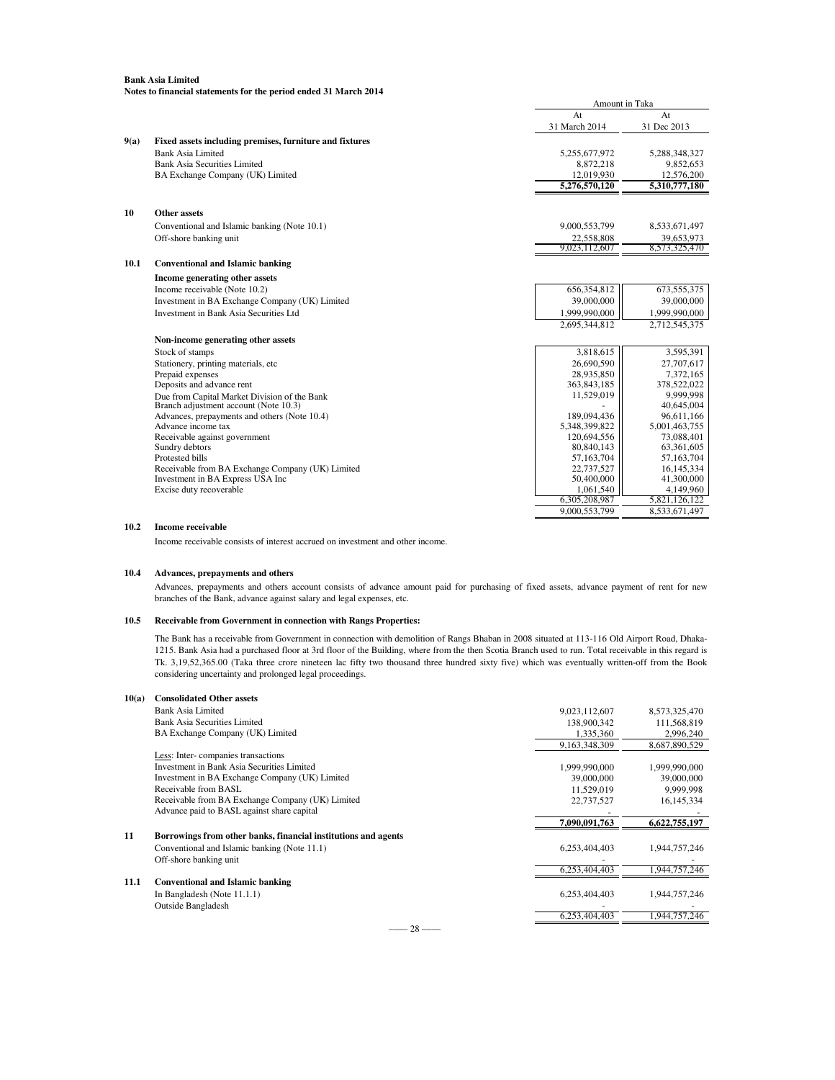|      | Notes to financial statements for the period ended 31 March 2014 |                          |                          |
|------|------------------------------------------------------------------|--------------------------|--------------------------|
|      |                                                                  | Amount in Taka           |                          |
|      |                                                                  | At                       | At                       |
|      |                                                                  | 31 March 2014            | 31 Dec 2013              |
| 9(a) | Fixed assets including premises, furniture and fixtures          |                          |                          |
|      | <b>Bank Asia Limited</b>                                         | 5,255,677,972            | 5,288,348,327            |
|      | <b>Bank Asia Securities Limited</b>                              | 8,872,218                | 9,852,653                |
|      | BA Exchange Company (UK) Limited                                 | 12,019,930               | 12,576,200               |
|      |                                                                  | 5,276,570,120            | 5,310,777,180            |
| 10   | Other assets                                                     |                          |                          |
|      | Conventional and Islamic banking (Note 10.1)                     | 9,000,553,799            | 8,533,671,497            |
|      | Off-shore banking unit                                           | 22,558,808               | 39,653,973               |
|      |                                                                  | 9.023.112.607            | 8.573.325.470            |
| 10.1 | <b>Conventional and Islamic banking</b>                          |                          |                          |
|      | Income generating other assets                                   |                          |                          |
|      | Income receivable (Note 10.2)                                    | 656, 354, 812            | 673, 555, 375            |
|      | Investment in BA Exchange Company (UK) Limited                   | 39,000,000               | 39,000,000               |
|      | Investment in Bank Asia Securities Ltd                           | 1,999,990,000            | 1,999,990,000            |
|      |                                                                  | 2.695.344.812            | 2,712,545,375            |
|      | Non-income generating other assets                               |                          |                          |
|      | Stock of stamps                                                  | 3,818,615                | 3,595,391                |
|      | Stationery, printing materials, etc.                             | 26,690,590               | 27,707,617               |
|      | Prepaid expenses                                                 | 28,935,850               | 7,372,165                |
|      | Deposits and advance rent                                        | 363,843,185              | 378,522,022              |
|      | Due from Capital Market Division of the Bank                     | 11,529,019               | 9,999,998                |
|      | Branch adjustment account (Note 10.3)                            |                          | 40,645,004               |
|      | Advances, prepayments and others (Note 10.4)                     | 189,094,436              | 96,611,166               |
|      | Advance income tax                                               | 5,348,399,822            | 5,001,463,755            |
|      | Receivable against government                                    | 120,694,556              | 73,088,401               |
|      | Sundry debtors<br>Protested bills                                | 80,840,143<br>57,163,704 | 63,361,605<br>57,163,704 |
|      | Receivable from BA Exchange Company (UK) Limited                 | 22,737,527               | 16,145,334               |
|      | Investment in BA Express USA Inc                                 | 50,400,000               | 41,300,000               |
|      | Excise duty recoverable                                          | 1,061,540                | 4,149,960                |
|      |                                                                  | 6,305,208,987            | 5.821.126.122            |
|      |                                                                  | 9,000,553,799            | 8,533,671,497            |

#### **10.2 Income receivable**

**Bank Asia Limited**

Income receivable consists of interest accrued on investment and other income.

### **10.4 Advances, prepayments and others**

Advances, prepayments and others account consists of advance amount paid for purchasing of fixed assets, advance payment of rent for new branches of the Bank, advance against salary and legal expenses, etc.

### **10.5 Receivable from Government in connection with Rangs Properties:**

The Bank has a receivable from Government in connection with demolition of Rangs Bhaban in 2008 situated at 113-116 Old Airport Road, Dhaka-1215. Bank Asia had a purchased floor at 3rd floor of the Building, where from the then Scotia Branch used to run. Total receivable in this regard is Tk. 3,19,52,365.00 (Taka three crore nineteen lac fifty two thousand three hundred sixty five) which was eventually written-off from the Book considering uncertainty and prolonged legal proceedings.

| 10(a) | <b>Consolidated Other assets</b>                               |               |               |
|-------|----------------------------------------------------------------|---------------|---------------|
|       | <b>Bank Asia Limited</b>                                       | 9,023,112,607 | 8,573,325,470 |
|       | <b>Bank Asia Securities Limited</b>                            | 138,900,342   | 111,568,819   |
|       | BA Exchange Company (UK) Limited                               | 1.335.360     | 2.996.240     |
|       |                                                                | 9.163.348.309 | 8,687,890,529 |
|       | Less: Inter-companies transactions                             |               |               |
|       | Investment in Bank Asia Securities Limited                     | 1,999,990,000 | 1,999,990,000 |
|       | Investment in BA Exchange Company (UK) Limited                 | 39,000,000    | 39,000,000    |
|       | Receivable from BASL                                           | 11,529,019    | 9,999,998     |
|       | Receivable from BA Exchange Company (UK) Limited               | 22,737,527    | 16,145,334    |
|       | Advance paid to BASL against share capital                     |               |               |
|       |                                                                | 7,090,091,763 | 6,622,755,197 |
| 11    | Borrowings from other banks, financial institutions and agents |               |               |
|       | Conventional and Islamic banking (Note 11.1)                   | 6.253.404.403 | 1.944.757.246 |
|       | Off-shore banking unit                                         |               |               |
|       |                                                                | 6.253.404.403 | 1.944.757.246 |
| 11.1  | <b>Conventional and Islamic banking</b>                        |               |               |
|       | In Bangladesh (Note 11.1.1)                                    | 6,253,404,403 | 1,944,757,246 |
|       | Outside Bangladesh                                             |               |               |
|       |                                                                | 6,253,404,403 | 1,944,757,246 |

 $-$  28  $-$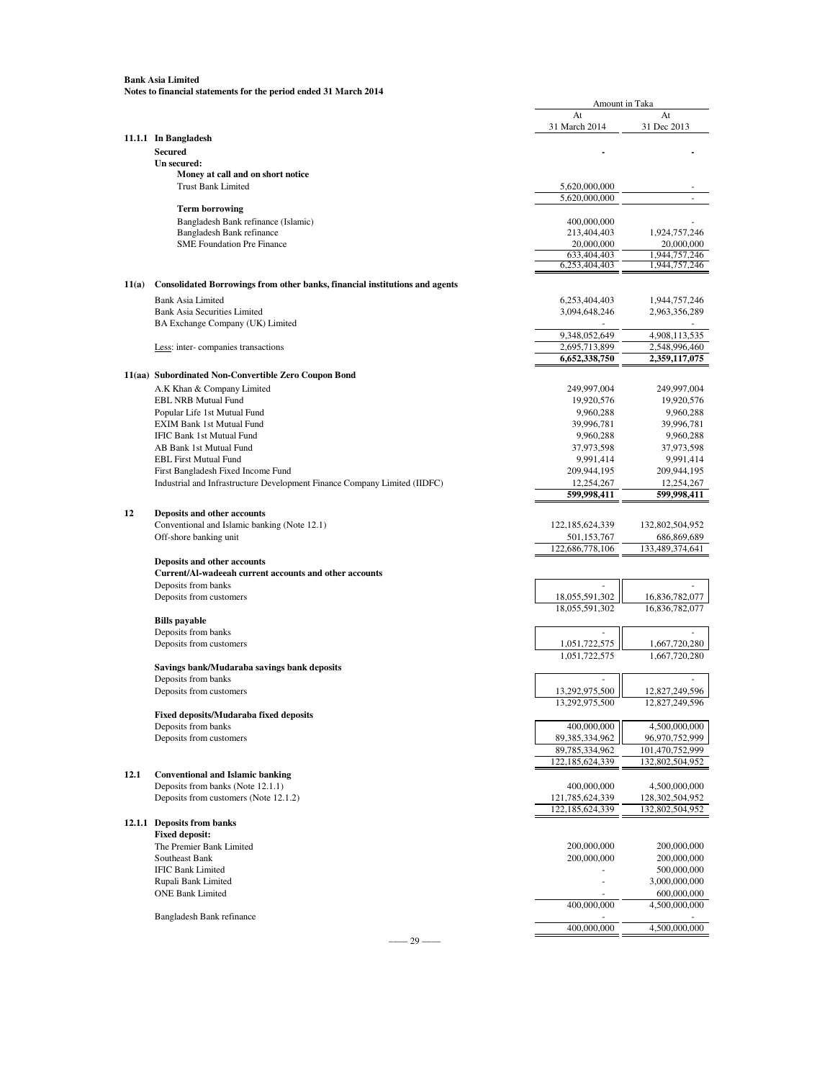|       |                                                                             | Amount in Taka                    |                                    |
|-------|-----------------------------------------------------------------------------|-----------------------------------|------------------------------------|
|       |                                                                             | At                                | At                                 |
|       |                                                                             | 31 March 2014                     | 31 Dec 2013                        |
|       | 11.1.1 In Bangladesh                                                        |                                   |                                    |
|       | <b>Secured</b><br>Un secured:                                               |                                   |                                    |
|       | Money at call and on short notice                                           |                                   |                                    |
|       | <b>Trust Bank Limited</b>                                                   | 5,620,000,000                     |                                    |
|       |                                                                             | 5,620,000,000                     |                                    |
|       | <b>Term borrowing</b>                                                       |                                   |                                    |
|       | Bangladesh Bank refinance (Islamic)<br>Bangladesh Bank refinance            | 400,000,000<br>213,404,403        |                                    |
|       | <b>SME Foundation Pre Finance</b>                                           | 20,000,000                        | 1,924,757,246<br>20,000,000        |
|       |                                                                             | 633,404,403                       | 1,944,757,246                      |
|       |                                                                             | 6,253,404,403                     | 1,944,757,246                      |
| 11(a) | Consolidated Borrowings from other banks, financial institutions and agents |                                   |                                    |
|       | <b>Bank Asia Limited</b>                                                    | 6,253,404,403                     | 1,944,757,246                      |
|       | <b>Bank Asia Securities Limited</b>                                         | 3,094,648,246                     | 2,963,356,289                      |
|       | BA Exchange Company (UK) Limited                                            |                                   |                                    |
|       |                                                                             | 9,348,052,649                     | 4,908,113,535                      |
|       | Less: inter-companies transactions                                          | 2,695,713,899                     | 2,548,996,460                      |
|       |                                                                             | 6,652,338,750                     | 2,359,117,075                      |
|       | 11(aa) Subordinated Non-Convertible Zero Coupon Bond                        |                                   |                                    |
|       | A.K Khan & Company Limited                                                  | 249,997,004                       | 249,997,004                        |
|       | <b>EBL NRB Mutual Fund</b><br>Popular Life 1st Mutual Fund                  | 19,920,576                        | 19,920,576                         |
|       | EXIM Bank 1st Mutual Fund                                                   | 9,960,288<br>39,996,781           | 9,960,288<br>39,996,781            |
|       | IFIC Bank 1st Mutual Fund                                                   | 9,960,288                         | 9,960,288                          |
|       | AB Bank 1st Mutual Fund                                                     | 37,973,598                        | 37,973,598                         |
|       | <b>EBL First Mutual Fund</b>                                                | 9,991,414                         | 9,991,414                          |
|       | First Bangladesh Fixed Income Fund                                          | 209,944,195                       | 209,944,195                        |
|       | Industrial and Infrastructure Development Finance Company Limited (IIDFC)   | 12,254,267                        | 12,254,267                         |
|       |                                                                             | 599,998,411                       | 599,998,411                        |
|       |                                                                             |                                   |                                    |
| 12    | Deposits and other accounts                                                 |                                   |                                    |
|       | Conventional and Islamic banking (Note 12.1)                                | 122, 185, 624, 339                | 132,802,504,952                    |
|       | Off-shore banking unit                                                      | 501,153,767<br>122,686,778,106    | 686,869,689<br>133,489,374,641     |
|       | Deposits and other accounts                                                 |                                   |                                    |
|       | Current/Al-wadeeah current accounts and other accounts                      |                                   |                                    |
|       | Deposits from banks                                                         |                                   |                                    |
|       | Deposits from customers                                                     | 18,055,591,302                    | 16,836,782,077                     |
|       |                                                                             | 18,055,591,302                    | 16,836,782,077                     |
|       | <b>Bills</b> payable                                                        |                                   |                                    |
|       | Deposits from banks                                                         |                                   |                                    |
|       | Deposits from customers                                                     | 1,051,722,575                     | 1,667,720,280                      |
|       |                                                                             | 1.051.722.575                     | 1,667,720,280                      |
|       | Savings bank/Mudaraba savings bank deposits                                 |                                   |                                    |
|       | Deposits from banks                                                         |                                   |                                    |
|       | Deposits from customers                                                     | 13,292,975,500                    | 12,827,249,596                     |
|       |                                                                             | 13,292,975,500                    | 12,827,249                         |
|       | Fixed deposits/Mudaraba fixed deposits                                      |                                   |                                    |
|       | Deposits from banks                                                         | 400,000,000                       | 4,500,000,000                      |
|       | Deposits from customers                                                     | 89,385,334,962                    | 96,970,752,999                     |
|       |                                                                             | 89,785,334,962<br>122,185,624,339 | 101,470,752,999<br>132,802,504,952 |
| 12.1  | <b>Conventional and Islamic banking</b>                                     |                                   |                                    |
|       | Deposits from banks (Note 12.1.1)                                           | 400,000,000                       | 4,500,000,000                      |
|       | Deposits from customers (Note 12.1.2)                                       | 121,785,624,339                   | 128,302,504,952                    |
|       |                                                                             | 122,185,624,339                   | 132,802,504,952                    |
|       | 12.1.1 Deposits from banks                                                  |                                   |                                    |
|       | <b>Fixed deposit:</b>                                                       |                                   |                                    |
|       | The Premier Bank Limited                                                    | 200,000,000                       | 200,000,000                        |
|       | Southeast Bank                                                              | 200,000,000                       | 200,000,000                        |
|       | <b>IFIC Bank Limited</b>                                                    |                                   | 500,000,000                        |
|       | Rupali Bank Limited                                                         | ä,                                | 3,000,000,000                      |
|       | <b>ONE Bank Limited</b>                                                     |                                   | 600,000,000                        |
|       |                                                                             | 400,000,000                       | 4,500,000,000                      |
|       | Bangladesh Bank refinance                                                   |                                   |                                    |
|       |                                                                             | 400,000,000                       | 4,500,000,000                      |

 $-$ –––29 –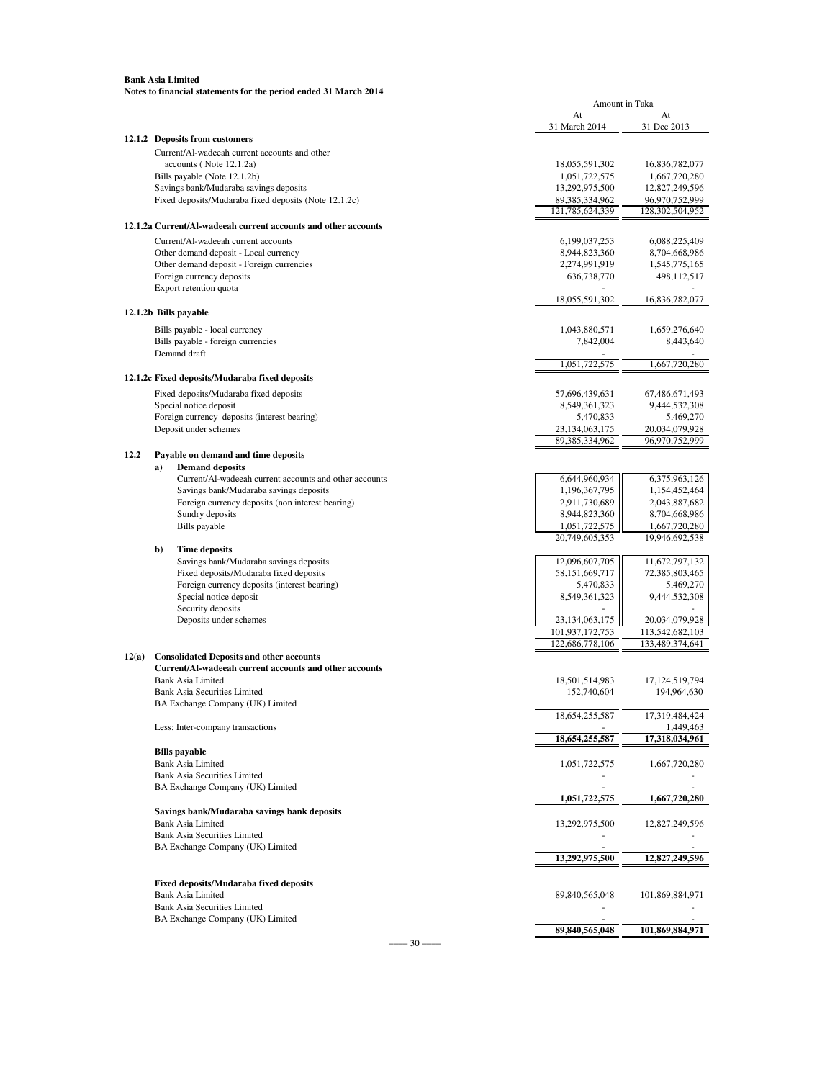|       |                                                                          | <b>Amount in Taka</b>         |                               |
|-------|--------------------------------------------------------------------------|-------------------------------|-------------------------------|
|       |                                                                          | At                            | At                            |
|       | 12.1.2 Deposits from customers                                           | 31 March 2014                 | 31 Dec 2013                   |
|       |                                                                          |                               |                               |
|       | Current/Al-wadeeah current accounts and other<br>accounts (Note 12.1.2a) | 18,055,591,302                | 16,836,782,077                |
|       | Bills payable (Note 12.1.2b)                                             | 1,051,722,575                 | 1,667,720,280                 |
|       | Savings bank/Mudaraba savings deposits                                   | 13,292,975,500                | 12,827,249,596                |
|       | Fixed deposits/Mudaraba fixed deposits (Note 12.1.2c)                    | 89,385,334,962                | 96,970,752,999                |
|       |                                                                          | 121,785,624,339               | 128,302,504,952               |
|       | 12.1.2a Current/Al-wadeeah current accounts and other accounts           |                               |                               |
|       | Current/Al-wadeeah current accounts                                      | 6,199,037,253                 | 6,088,225,409                 |
|       | Other demand deposit - Local currency                                    | 8,944,823,360                 | 8,704,668,986                 |
|       | Other demand deposit - Foreign currencies                                | 2,274,991,919                 | 1,545,775,165                 |
|       | Foreign currency deposits                                                | 636,738,770                   | 498,112,517                   |
|       | Export retention quota                                                   |                               |                               |
|       |                                                                          | 18,055,591,302                | 16,836,782,077                |
|       | 12.1.2b Bills payable                                                    |                               |                               |
|       | Bills payable - local currency                                           | 1,043,880,571                 | 1,659,276,640                 |
|       | Bills payable - foreign currencies                                       | 7,842,004                     | 8,443,640                     |
|       | Demand draft                                                             |                               |                               |
|       |                                                                          | 1,051,722,575                 | 1.667.720.280                 |
|       | 12.1.2c Fixed deposits/Mudaraba fixed deposits                           |                               |                               |
|       | Fixed deposits/Mudaraba fixed deposits                                   | 57,696,439,631                | 67,486,671,493                |
|       | Special notice deposit                                                   | 8,549,361,323                 | 9,444,532,308                 |
|       | Foreign currency deposits (interest bearing)                             | 5,470,833                     | 5,469,270                     |
|       | Deposit under schemes                                                    | 23,134,063,175                | 20,034,079,928                |
|       |                                                                          | 89,385,334,962                | 96,970,752,999                |
| 12.2  | Payable on demand and time deposits                                      |                               |                               |
|       | <b>Demand deposits</b><br>a)                                             |                               |                               |
|       | Current/Al-wadeeah current accounts and other accounts                   | 6,644,960,934                 | 6,375,963,126                 |
|       | Savings bank/Mudaraba savings deposits                                   | 1,196,367,795                 | 1,154,452,464                 |
|       | Foreign currency deposits (non interest bearing)                         | 2,911,730,689                 | 2,043,887,682                 |
|       | Sundry deposits                                                          | 8,944,823,360                 | 8,704,668,986                 |
|       | Bills payable                                                            | 1,051,722,575                 | 1,667,720,280                 |
|       | b)<br><b>Time deposits</b>                                               | 20,749,605,353                | 19,946,692,538                |
|       | Savings bank/Mudaraba savings deposits                                   | 12,096,607,705                | 11,672,797,132                |
|       | Fixed deposits/Mudaraba fixed deposits                                   | 58,151,669,717                | 72,385,803,465                |
|       | Foreign currency deposits (interest bearing)                             | 5,470,833                     | 5,469,270                     |
|       | Special notice deposit                                                   | 8,549,361,323                 | 9,444,532,308                 |
|       | Security deposits                                                        |                               |                               |
|       | Deposits under schemes                                                   | 23,134,063,175                | 20,034,079,928                |
|       |                                                                          | 101,937,172,753               | 113,542,682,103               |
|       |                                                                          | 122,686,778,106               | 133,489,374,641               |
| 12(a) | <b>Consolidated Deposits and other accounts</b>                          |                               |                               |
|       | Current/Al-wadeeah current accounts and other accounts                   |                               |                               |
|       | <b>Bank Asia Limited</b><br><b>Bank Asia Securities Limited</b>          | 18,501,514,983<br>152,740,604 | 17,124,519,794<br>194,964,630 |
|       | BA Exchange Company (UK) Limited                                         |                               |                               |
|       |                                                                          | 18,654,255,587                | 17,319,484,424                |
|       | Less: Inter-company transactions                                         |                               | 1,449,463                     |
|       |                                                                          | 18,654,255,587                | 17,318,034,961                |
|       | <b>Bills</b> payable                                                     |                               |                               |
|       | <b>Bank Asia Limited</b>                                                 | 1,051,722,575                 | 1,667,720,280                 |
|       | <b>Bank Asia Securities Limited</b>                                      |                               |                               |
|       | BA Exchange Company (UK) Limited                                         |                               |                               |
|       |                                                                          | 1,051,722,575                 | 1,667,720,280                 |
|       | Savings bank/Mudaraba savings bank deposits                              |                               |                               |
|       | <b>Bank Asia Limited</b>                                                 | 13,292,975,500                | 12,827,249,596                |
|       | <b>Bank Asia Securities Limited</b>                                      |                               |                               |
|       | BA Exchange Company (UK) Limited                                         |                               |                               |
|       |                                                                          | 13,292,975,500                | 12,827,249,596                |
|       | <b>Fixed deposits/Mudaraba fixed deposits</b>                            |                               |                               |
|       | <b>Bank Asia Limited</b>                                                 | 89,840,565,048                | 101,869,884,971               |
|       | <b>Bank Asia Securities Limited</b>                                      |                               |                               |
|       | BA Exchange Company (UK) Limited                                         |                               |                               |
|       |                                                                          | 89,840,565,048                | 101,869,884,971               |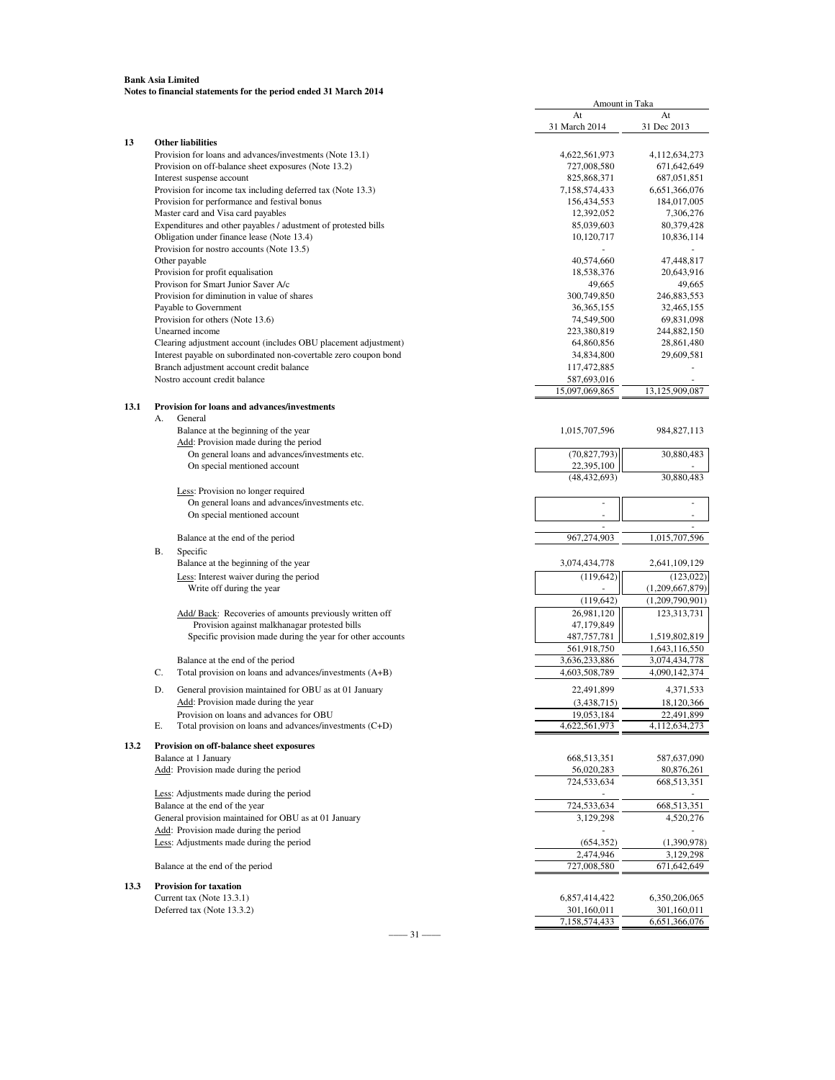|      |                                                                            |                                                                  | At                           | At              |
|------|----------------------------------------------------------------------------|------------------------------------------------------------------|------------------------------|-----------------|
|      |                                                                            |                                                                  | 31 March 2014                | 31 Dec 2013     |
| 13   |                                                                            | <b>Other liabilities</b>                                         |                              |                 |
|      |                                                                            | Provision for loans and advances/investments (Note 13.1)         | 4,622,561,973                | 4,112,634,273   |
|      |                                                                            | Provision on off-balance sheet exposures (Note 13.2)             | 727,008,580                  | 671,642,649     |
|      |                                                                            | Interest suspense account                                        | 825,868,371                  | 687,051,851     |
|      |                                                                            | Provision for income tax including deferred tax (Note 13.3)      | 7,158,574,433                | 6,651,366,076   |
|      |                                                                            | Provision for performance and festival bonus                     | 156,434,553                  | 184,017,005     |
|      |                                                                            | Master card and Visa card payables                               | 12,392,052                   | 7,306,276       |
|      |                                                                            | Expenditures and other payables / adustment of protested bills   | 85,039,603                   | 80,379,428      |
|      |                                                                            | Obligation under finance lease (Note 13.4)                       | 10,120,717                   | 10,836,114      |
|      |                                                                            | Provision for nostro accounts (Note 13.5)                        |                              |                 |
|      |                                                                            | Other payable                                                    | 40,574,660                   | 47,448,817      |
|      |                                                                            | Provision for profit equalisation                                | 18,538,376                   | 20,643,916      |
|      |                                                                            | Provison for Smart Junior Saver A/c                              | 49,665                       | 49,665          |
|      |                                                                            | Provision for diminution in value of shares                      | 300,749,850                  | 246,883,553     |
|      |                                                                            | Payable to Government                                            | 36, 365, 155                 | 32,465,155      |
|      |                                                                            | Provision for others (Note 13.6)                                 | 74,549,500                   | 69,831,098      |
|      |                                                                            | Unearned income                                                  | 223,380,819                  | 244,882,150     |
|      |                                                                            | Clearing adjustment account (includes OBU placement adjustment)  | 64,860,856                   | 28,861,480      |
|      |                                                                            | Interest payable on subordinated non-covertable zero coupon bond | 34,834,800                   | 29,609,581      |
|      |                                                                            | Branch adjustment account credit balance                         | 117,472,885                  |                 |
|      |                                                                            | Nostro account credit balance                                    | 587,693,016                  |                 |
|      |                                                                            |                                                                  | 15,097,069,865               | 13,125,909,087  |
| 13.1 |                                                                            | <b>Provision for loans and advances/investments</b>              |                              |                 |
|      | А.                                                                         | General                                                          |                              |                 |
|      |                                                                            | Balance at the beginning of the year                             | 1,015,707,596                | 984, 827, 113   |
|      |                                                                            | Add: Provision made during the period                            |                              |                 |
|      |                                                                            | On general loans and advances/investments etc.                   | (70, 827, 793)               | 30,880,483      |
|      |                                                                            | On special mentioned account                                     | 22,395,100<br>(48, 432, 693) | 30,880,483      |
|      |                                                                            |                                                                  |                              |                 |
|      |                                                                            | Less: Provision no longer required                               |                              |                 |
|      |                                                                            | On general loans and advances/investments etc.                   | $\bar{ }$                    |                 |
|      |                                                                            | On special mentioned account                                     |                              | ÷,              |
|      |                                                                            |                                                                  | 967,274,903                  |                 |
|      |                                                                            | Balance at the end of the period                                 |                              | 1,015,707,596   |
|      | В.                                                                         | Specific                                                         |                              |                 |
|      |                                                                            | Balance at the beginning of the year                             | 3,074,434,778                | 2,641,109,129   |
|      |                                                                            | Less: Interest waiver during the period                          | (119, 642)                   | (123, 022)      |
|      |                                                                            | Write off during the year                                        |                              | (1,209,667,879) |
|      |                                                                            |                                                                  | (119, 642)                   | (1,209,790,901) |
|      |                                                                            | Add/ Back: Recoveries of amounts previously written off          | 26,981,120                   | 123,313,731     |
|      |                                                                            | Provision against malkhanagar protested bills                    | 47,179,849                   |                 |
|      |                                                                            | Specific provision made during the year for other accounts       | 487,757,781                  | 1,519,802,819   |
|      |                                                                            |                                                                  | 561,918,750                  | 1,643,116,550   |
|      |                                                                            | Balance at the end of the period                                 | 3,636,233,886                | 3,074,434,778   |
|      | C.                                                                         | Total provision on loans and advances/investments (A+B)          | 4,603,508,789                | 4,090,142,374   |
|      | D.                                                                         | General provision maintained for OBU as at 01 January            | 22,491,899                   | 4,371,533       |
|      |                                                                            | Add: Provision made during the year                              | (3,438,715)                  | 18,120,366      |
|      |                                                                            | Provision on loans and advances for OBU                          | 19,053,184                   | 22,491,899      |
|      | E.                                                                         | Total provision on loans and advances/investments (C+D)          | 4,622,561,973                | 4,112,634,273   |
|      |                                                                            |                                                                  |                              |                 |
| 13.2 |                                                                            | Provision on off-balance sheet exposures                         |                              |                 |
|      | Balance at 1 January                                                       |                                                                  | 668,513,351                  | 587,637,090     |
|      |                                                                            | Add: Provision made during the period                            | 56,020,283                   | 80,876,261      |
|      |                                                                            |                                                                  | 724,533,634                  | 668,513,351     |
|      | Less: Adjustments made during the period<br>Balance at the end of the year |                                                                  |                              |                 |
|      |                                                                            |                                                                  | 724,533,634                  | 668,513,351     |
|      |                                                                            | General provision maintained for OBU as at 01 January            | 3,129,298                    | 4,520,276       |
|      |                                                                            | Add: Provision made during the period                            |                              |                 |
|      |                                                                            | Less: Adjustments made during the period                         | (654, 352)                   | (1,390,978)     |
|      |                                                                            |                                                                  | 2.474.946                    | 3,129,298       |
|      |                                                                            | Balance at the end of the period                                 | 727,008,580                  | 671,642,649     |
| 13.3 |                                                                            | <b>Provision for taxation</b>                                    |                              |                 |
|      |                                                                            | Current tax (Note 13.3.1)                                        | 6,857,414,422                | 6,350,206,065   |
|      |                                                                            | Deferred tax (Note 13.3.2)                                       | 301,160,011                  | 301,160,011     |
|      |                                                                            |                                                                  | 7,158,574,433                | 6,651,366,076   |

Amount in Taka

–––– 31 ––––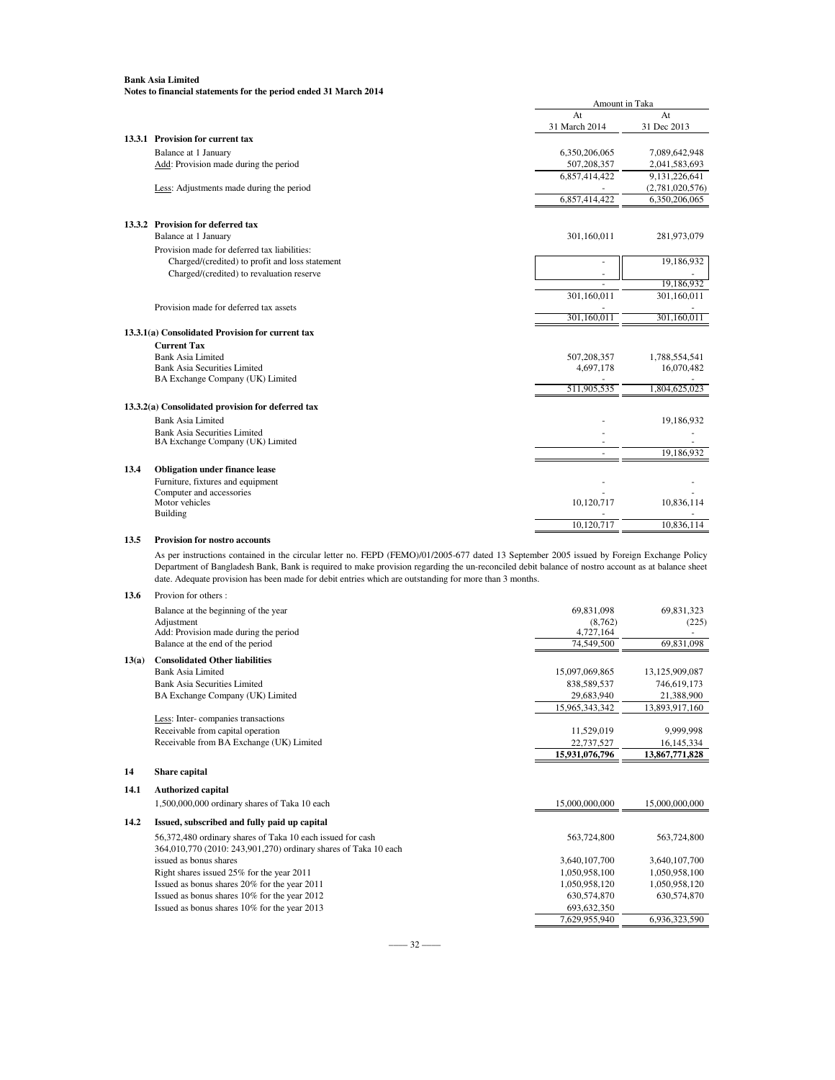|      |                                                   | Amount in Taka |                 |
|------|---------------------------------------------------|----------------|-----------------|
|      |                                                   | At             | At              |
|      |                                                   | 31 March 2014  | 31 Dec 2013     |
|      | 13.3.1 Provision for current tax                  |                |                 |
|      | Balance at 1 January                              | 6,350,206,065  | 7,089,642,948   |
|      | Add: Provision made during the period             | 507,208,357    | 2,041,583,693   |
|      |                                                   | 6,857,414,422  | 9,131,226,641   |
|      | Less: Adjustments made during the period          |                | (2,781,020,576) |
|      |                                                   | 6,857,414,422  | 6,350,206,065   |
|      | 13.3.2 Provision for deferred tax                 |                |                 |
|      | Balance at 1 January                              | 301,160,011    | 281,973,079     |
|      | Provision made for deferred tax liabilities:      |                |                 |
|      | Charged/(credited) to profit and loss statement   | ä,             | 19,186,932      |
|      | Charged/(credited) to revaluation reserve         | $\sim$         |                 |
|      |                                                   | ٠              | 19,186,932      |
|      |                                                   | 301,160,011    | 301,160,011     |
|      | Provision made for deferred tax assets            |                |                 |
|      |                                                   | 301,160,011    | 301,160,011     |
|      | 13.3.1(a) Consolidated Provision for current tax  |                |                 |
|      | <b>Current Tax</b>                                |                |                 |
|      | Bank Asia Limited                                 | 507,208,357    | 1,788,554,541   |
|      | <b>Bank Asia Securities Limited</b>               | 4,697,178      | 16,070,482      |
|      | BA Exchange Company (UK) Limited                  |                |                 |
|      |                                                   | 511,905,535    | 1,804,625,023   |
|      | 13.3.2(a) Consolidated provision for deferred tax |                |                 |
|      | <b>Bank Asia Limited</b>                          |                | 19,186,932      |
|      | <b>Bank Asia Securities Limited</b>               |                |                 |
|      | BA Exchange Company (UK) Limited                  |                |                 |
|      |                                                   |                | 19,186,932      |
| 13.4 | <b>Obligation under finance lease</b>             |                |                 |
|      | Furniture, fixtures and equipment                 |                |                 |
|      | Computer and accessories                          |                |                 |
|      | Motor vehicles                                    | 10,120,717     | 10,836,114      |
|      | Building                                          |                |                 |
|      |                                                   | 10,120,717     | 10,836,114      |
| 13.5 | <b>Provision for nostro accounts</b>              |                |                 |

As per instructions contained in the circular letter no. FEPD (FEMO)/01/2005-677 dated 13 September 2005 issued by Foreign Exchange Policy Department of Bangladesh Bank, Bank is required to make provision regarding the un-reconciled debit balance of nostro account as at balance sheet date. Adequate provision has been made for debit entries which are outstanding for more than 3 months.

#### **13.6** Provion for others :

|       | Balance at the beginning of the year     | 69.831.098     | 69.831.323     |
|-------|------------------------------------------|----------------|----------------|
|       | Adjustment                               | (8.762)        | (225)          |
|       | Add: Provision made during the period    | 4,727,164      |                |
|       | Balance at the end of the period         | 74,549,500     | 69,831,098     |
| 13(a) | <b>Consolidated Other liabilities</b>    |                |                |
|       | Bank Asia Limited                        | 15,097,069,865 | 13,125,909,087 |
|       | Bank Asia Securities Limited             | 838,589,537    | 746,619,173    |
|       | BA Exchange Company (UK) Limited         | 29,683,940     | 21,388,900     |
|       |                                          | 15,965,343,342 | 13,893,917,160 |
|       | Less: Inter-companies transactions       |                |                |
|       | Receivable from capital operation        | 11.529.019     | 9.999.998      |
|       | Receivable from BA Exchange (UK) Limited | 22,737,527     | 16,145,334     |
|       |                                          | 15,931,076,796 | 13,867,771,828 |
| 14    | Share capital                            |                |                |

### **14.1 Authorized capital**

|      | 1,500,000,000 ordinary shares of Taka 10 each                   | 15,000,000,000 | 15,000,000,000 |
|------|-----------------------------------------------------------------|----------------|----------------|
| 14.2 | Issued, subscribed and fully paid up capital                    |                |                |
|      | 56,372,480 ordinary shares of Taka 10 each issued for cash      | 563,724,800    | 563,724,800    |
|      | 364,010,770 (2010: 243,901,270) ordinary shares of Taka 10 each |                |                |
|      | issued as bonus shares                                          | 3,640,107,700  | 3,640,107,700  |
|      | Right shares issued 25% for the year 2011                       | 1,050,958,100  | 1,050,958,100  |
|      | Issued as bonus shares 20% for the year 2011                    | 1,050,958,120  | 1,050,958,120  |
|      | Issued as bonus shares 10% for the year 2012                    | 630, 574, 870  | 630,574,870    |
|      | Issued as bonus shares 10% for the year 2013                    | 693, 632, 350  |                |
|      |                                                                 | 7.629.955.940  | 6.936.323.590  |
|      |                                                                 |                |                |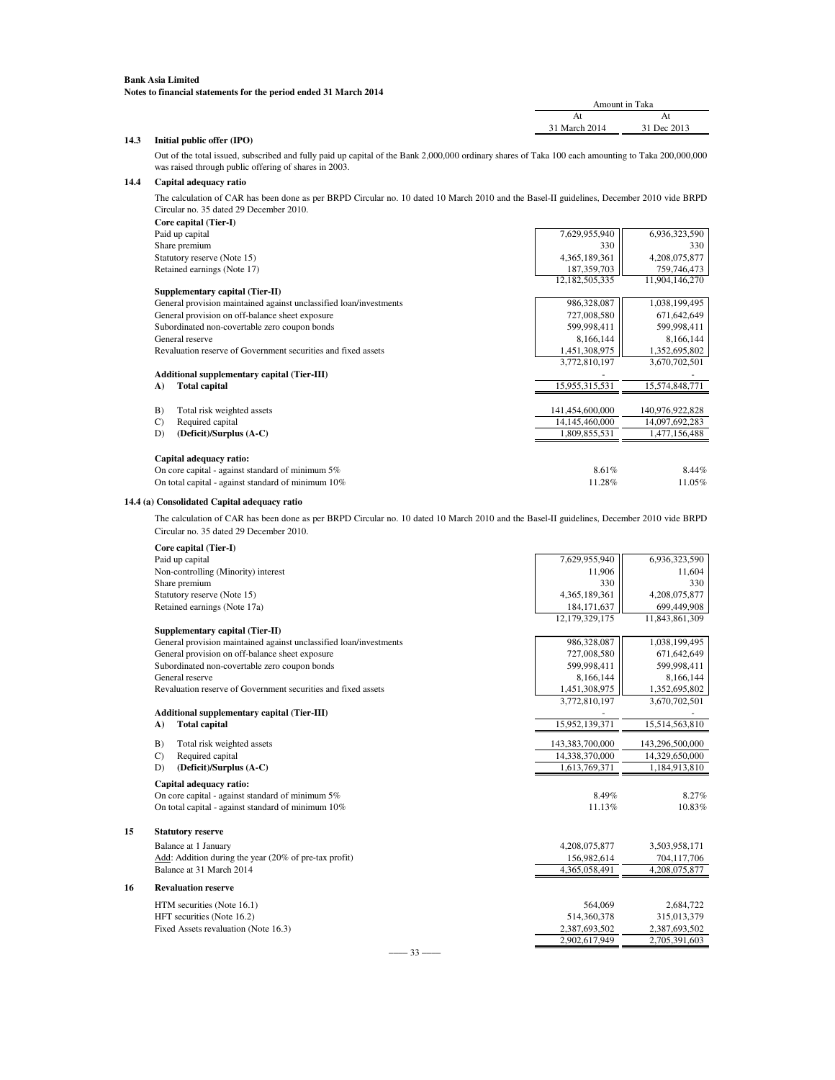| Amount in Taka |             |  |
|----------------|-------------|--|
| At             | At          |  |
| 31 March 2014  | 31 Dec 2013 |  |
|                |             |  |

### **14.3 Initial public offer (IPO)**

Out of the total issued, subscribed and fully paid up capital of the Bank 2,000,000 ordinary shares of Taka 100 each amounting to Taka 200,000,000 was raised through public offering of shares in 2003.

### **14.4 Capital adequacy ratio**

The calculation of CAR has been done as per BRPD Circular no. 10 dated 10 March 2010 and the Basel-II guidelines, December 2010 vide BRPD Circular no. 35 dated 29 December 2010.

| Core capital (Tier-I)                                              |                 |                 |
|--------------------------------------------------------------------|-----------------|-----------------|
| Paid up capital                                                    | 7,629,955,940   | 6,936,323,590   |
| Share premium                                                      | 330             | 330             |
| Statutory reserve (Note 15)                                        | 4,365,189,361   | 4,208,075,877   |
| Retained earnings (Note 17)                                        | 187, 359, 703   | 759,746,473     |
|                                                                    | 12,182,505,335  | 11,904,146,270  |
| Supplementary capital (Tier-II)                                    |                 |                 |
| General provision maintained against unclassified loan/investments | 986,328,087     | 1,038,199,495   |
| General provision on off-balance sheet exposure                    | 727,008,580     | 671,642,649     |
| Subordinated non-covertable zero coupon bonds                      | 599,998,411     | 599,998,411     |
| General reserve                                                    | 8,166,144       | 8,166,144       |
| Revaluation reserve of Government securities and fixed assets      | 1,451,308,975   | 1,352,695,802   |
|                                                                    | 3,772,810,197   | 3,670,702,501   |
| <b>Additional supplementary capital (Tier-III)</b>                 |                 |                 |
| <b>Total capital</b><br>A)                                         | 15,955,315,531  | 15,574,848,771  |
|                                                                    |                 |                 |
| Total risk weighted assets<br>B)                                   | 141,454,600,000 | 140,976,922,828 |
| Required capital<br>$\mathcal{C}$                                  | 14,145,460,000  | 14,097,692,283  |
| (Deficit)/Surplus (A-C)<br>D)                                      | 1,809,855,531   | 1,477,156,488   |
| Capital adequacy ratio:                                            |                 |                 |
| On core capital - against standard of minimum $5\%$                | 8.61%           | 8.44%           |
| On total capital - against standard of minimum 10%                 | 11.28%          | 11.05%          |
|                                                                    |                 |                 |

### **14.4 (a) Consolidated Capital adequacy ratio**

**15** 

The calculation of CAR has been done as per BRPD Circular no. 10 dated 10 March 2010 and the Basel-II guidelines, December 2010 vide BRPD Circular no. 35 dated 29 December 2010.

| Paid up capital<br>7,629,955,940<br>6,936,323,590<br>Non-controlling (Minority) interest<br>11,604<br>11,906<br>Share premium<br>330<br>330<br>Statutory reserve (Note 15)<br>4,365,189,361<br>4,208,075,877<br>Retained earnings (Note 17a)<br>699,449,908<br>184, 171, 637<br>12,179,329,175<br>11,843,861,309<br>Supplementary capital (Tier-II)<br>General provision maintained against unclassified loan/investments<br>986,328,087<br>1,038,199,495<br>General provision on off-balance sheet exposure<br>727,008,580<br>671,642,649<br>Subordinated non-covertable zero coupon bonds<br>599,998,411<br>599,998,411<br>General reserve<br>8,166,144<br>8,166,144<br>1,451,308,975<br>1,352,695,802<br>Revaluation reserve of Government securities and fixed assets<br>3,772,810,197<br>3,670,702,501<br>Additional supplementary capital (Tier-III)<br><b>Total capital</b><br>15,952,139,371<br>15,514,563,810<br>A)<br>B)<br>Total risk weighted assets<br>143,383,700,000<br>143,296,500,000<br>$\mathcal{C}$<br>Required capital<br>14,338,370,000<br>14,329,650,000<br>(Deficit)/Surplus (A-C)<br>1,613,769,371<br>D)<br>1,184,913,810<br>Capital adequacy ratio:<br>On core capital - against standard of minimum $5\%$<br>8.49%<br>8.27%<br>On total capital - against standard of minimum 10%<br>11.13%<br><b>Statutory reserve</b><br>Balance at 1 January<br>4,208,075,877<br>3,503,958,171<br>Add: Addition during the year (20% of pre-tax profit)<br>156,982,614<br>704,117,706<br>Balance at 31 March 2014<br>4,365,058,491<br>4,208,075,877<br><b>Revaluation reserve</b><br>564,069<br>HTM securities (Note 16.1)<br>2,684,722<br>HFT securities (Note 16.2)<br>514,360,378<br>315,013,379<br>Fixed Assets revaluation (Note 16.3)<br>2,387,693,502<br>2,387,693,502<br>2,902,617,949<br>2,705,391,603 |    | Core capital (Tier-I) |        |
|-------------------------------------------------------------------------------------------------------------------------------------------------------------------------------------------------------------------------------------------------------------------------------------------------------------------------------------------------------------------------------------------------------------------------------------------------------------------------------------------------------------------------------------------------------------------------------------------------------------------------------------------------------------------------------------------------------------------------------------------------------------------------------------------------------------------------------------------------------------------------------------------------------------------------------------------------------------------------------------------------------------------------------------------------------------------------------------------------------------------------------------------------------------------------------------------------------------------------------------------------------------------------------------------------------------------------------------------------------------------------------------------------------------------------------------------------------------------------------------------------------------------------------------------------------------------------------------------------------------------------------------------------------------------------------------------------------------------------------------------------------------------------------------------------------------------------------|----|-----------------------|--------|
|                                                                                                                                                                                                                                                                                                                                                                                                                                                                                                                                                                                                                                                                                                                                                                                                                                                                                                                                                                                                                                                                                                                                                                                                                                                                                                                                                                                                                                                                                                                                                                                                                                                                                                                                                                                                                               |    |                       |        |
|                                                                                                                                                                                                                                                                                                                                                                                                                                                                                                                                                                                                                                                                                                                                                                                                                                                                                                                                                                                                                                                                                                                                                                                                                                                                                                                                                                                                                                                                                                                                                                                                                                                                                                                                                                                                                               |    |                       |        |
|                                                                                                                                                                                                                                                                                                                                                                                                                                                                                                                                                                                                                                                                                                                                                                                                                                                                                                                                                                                                                                                                                                                                                                                                                                                                                                                                                                                                                                                                                                                                                                                                                                                                                                                                                                                                                               |    |                       |        |
|                                                                                                                                                                                                                                                                                                                                                                                                                                                                                                                                                                                                                                                                                                                                                                                                                                                                                                                                                                                                                                                                                                                                                                                                                                                                                                                                                                                                                                                                                                                                                                                                                                                                                                                                                                                                                               |    |                       |        |
|                                                                                                                                                                                                                                                                                                                                                                                                                                                                                                                                                                                                                                                                                                                                                                                                                                                                                                                                                                                                                                                                                                                                                                                                                                                                                                                                                                                                                                                                                                                                                                                                                                                                                                                                                                                                                               |    |                       |        |
|                                                                                                                                                                                                                                                                                                                                                                                                                                                                                                                                                                                                                                                                                                                                                                                                                                                                                                                                                                                                                                                                                                                                                                                                                                                                                                                                                                                                                                                                                                                                                                                                                                                                                                                                                                                                                               |    |                       |        |
|                                                                                                                                                                                                                                                                                                                                                                                                                                                                                                                                                                                                                                                                                                                                                                                                                                                                                                                                                                                                                                                                                                                                                                                                                                                                                                                                                                                                                                                                                                                                                                                                                                                                                                                                                                                                                               |    |                       |        |
|                                                                                                                                                                                                                                                                                                                                                                                                                                                                                                                                                                                                                                                                                                                                                                                                                                                                                                                                                                                                                                                                                                                                                                                                                                                                                                                                                                                                                                                                                                                                                                                                                                                                                                                                                                                                                               |    |                       |        |
|                                                                                                                                                                                                                                                                                                                                                                                                                                                                                                                                                                                                                                                                                                                                                                                                                                                                                                                                                                                                                                                                                                                                                                                                                                                                                                                                                                                                                                                                                                                                                                                                                                                                                                                                                                                                                               |    |                       |        |
|                                                                                                                                                                                                                                                                                                                                                                                                                                                                                                                                                                                                                                                                                                                                                                                                                                                                                                                                                                                                                                                                                                                                                                                                                                                                                                                                                                                                                                                                                                                                                                                                                                                                                                                                                                                                                               |    |                       |        |
|                                                                                                                                                                                                                                                                                                                                                                                                                                                                                                                                                                                                                                                                                                                                                                                                                                                                                                                                                                                                                                                                                                                                                                                                                                                                                                                                                                                                                                                                                                                                                                                                                                                                                                                                                                                                                               |    |                       |        |
|                                                                                                                                                                                                                                                                                                                                                                                                                                                                                                                                                                                                                                                                                                                                                                                                                                                                                                                                                                                                                                                                                                                                                                                                                                                                                                                                                                                                                                                                                                                                                                                                                                                                                                                                                                                                                               |    |                       |        |
|                                                                                                                                                                                                                                                                                                                                                                                                                                                                                                                                                                                                                                                                                                                                                                                                                                                                                                                                                                                                                                                                                                                                                                                                                                                                                                                                                                                                                                                                                                                                                                                                                                                                                                                                                                                                                               |    |                       |        |
|                                                                                                                                                                                                                                                                                                                                                                                                                                                                                                                                                                                                                                                                                                                                                                                                                                                                                                                                                                                                                                                                                                                                                                                                                                                                                                                                                                                                                                                                                                                                                                                                                                                                                                                                                                                                                               |    |                       |        |
|                                                                                                                                                                                                                                                                                                                                                                                                                                                                                                                                                                                                                                                                                                                                                                                                                                                                                                                                                                                                                                                                                                                                                                                                                                                                                                                                                                                                                                                                                                                                                                                                                                                                                                                                                                                                                               |    |                       |        |
|                                                                                                                                                                                                                                                                                                                                                                                                                                                                                                                                                                                                                                                                                                                                                                                                                                                                                                                                                                                                                                                                                                                                                                                                                                                                                                                                                                                                                                                                                                                                                                                                                                                                                                                                                                                                                               |    |                       |        |
|                                                                                                                                                                                                                                                                                                                                                                                                                                                                                                                                                                                                                                                                                                                                                                                                                                                                                                                                                                                                                                                                                                                                                                                                                                                                                                                                                                                                                                                                                                                                                                                                                                                                                                                                                                                                                               |    |                       |        |
|                                                                                                                                                                                                                                                                                                                                                                                                                                                                                                                                                                                                                                                                                                                                                                                                                                                                                                                                                                                                                                                                                                                                                                                                                                                                                                                                                                                                                                                                                                                                                                                                                                                                                                                                                                                                                               |    |                       |        |
|                                                                                                                                                                                                                                                                                                                                                                                                                                                                                                                                                                                                                                                                                                                                                                                                                                                                                                                                                                                                                                                                                                                                                                                                                                                                                                                                                                                                                                                                                                                                                                                                                                                                                                                                                                                                                               |    |                       |        |
|                                                                                                                                                                                                                                                                                                                                                                                                                                                                                                                                                                                                                                                                                                                                                                                                                                                                                                                                                                                                                                                                                                                                                                                                                                                                                                                                                                                                                                                                                                                                                                                                                                                                                                                                                                                                                               |    |                       |        |
|                                                                                                                                                                                                                                                                                                                                                                                                                                                                                                                                                                                                                                                                                                                                                                                                                                                                                                                                                                                                                                                                                                                                                                                                                                                                                                                                                                                                                                                                                                                                                                                                                                                                                                                                                                                                                               |    |                       | 10.83% |
|                                                                                                                                                                                                                                                                                                                                                                                                                                                                                                                                                                                                                                                                                                                                                                                                                                                                                                                                                                                                                                                                                                                                                                                                                                                                                                                                                                                                                                                                                                                                                                                                                                                                                                                                                                                                                               |    |                       |        |
|                                                                                                                                                                                                                                                                                                                                                                                                                                                                                                                                                                                                                                                                                                                                                                                                                                                                                                                                                                                                                                                                                                                                                                                                                                                                                                                                                                                                                                                                                                                                                                                                                                                                                                                                                                                                                               | 15 |                       |        |
|                                                                                                                                                                                                                                                                                                                                                                                                                                                                                                                                                                                                                                                                                                                                                                                                                                                                                                                                                                                                                                                                                                                                                                                                                                                                                                                                                                                                                                                                                                                                                                                                                                                                                                                                                                                                                               |    |                       |        |
|                                                                                                                                                                                                                                                                                                                                                                                                                                                                                                                                                                                                                                                                                                                                                                                                                                                                                                                                                                                                                                                                                                                                                                                                                                                                                                                                                                                                                                                                                                                                                                                                                                                                                                                                                                                                                               |    |                       |        |
|                                                                                                                                                                                                                                                                                                                                                                                                                                                                                                                                                                                                                                                                                                                                                                                                                                                                                                                                                                                                                                                                                                                                                                                                                                                                                                                                                                                                                                                                                                                                                                                                                                                                                                                                                                                                                               |    |                       |        |
|                                                                                                                                                                                                                                                                                                                                                                                                                                                                                                                                                                                                                                                                                                                                                                                                                                                                                                                                                                                                                                                                                                                                                                                                                                                                                                                                                                                                                                                                                                                                                                                                                                                                                                                                                                                                                               | 16 |                       |        |
|                                                                                                                                                                                                                                                                                                                                                                                                                                                                                                                                                                                                                                                                                                                                                                                                                                                                                                                                                                                                                                                                                                                                                                                                                                                                                                                                                                                                                                                                                                                                                                                                                                                                                                                                                                                                                               |    |                       |        |
|                                                                                                                                                                                                                                                                                                                                                                                                                                                                                                                                                                                                                                                                                                                                                                                                                                                                                                                                                                                                                                                                                                                                                                                                                                                                                                                                                                                                                                                                                                                                                                                                                                                                                                                                                                                                                               |    |                       |        |
|                                                                                                                                                                                                                                                                                                                                                                                                                                                                                                                                                                                                                                                                                                                                                                                                                                                                                                                                                                                                                                                                                                                                                                                                                                                                                                                                                                                                                                                                                                                                                                                                                                                                                                                                                                                                                               |    |                       |        |
|                                                                                                                                                                                                                                                                                                                                                                                                                                                                                                                                                                                                                                                                                                                                                                                                                                                                                                                                                                                                                                                                                                                                                                                                                                                                                                                                                                                                                                                                                                                                                                                                                                                                                                                                                                                                                               |    |                       |        |

–––– 33 ––––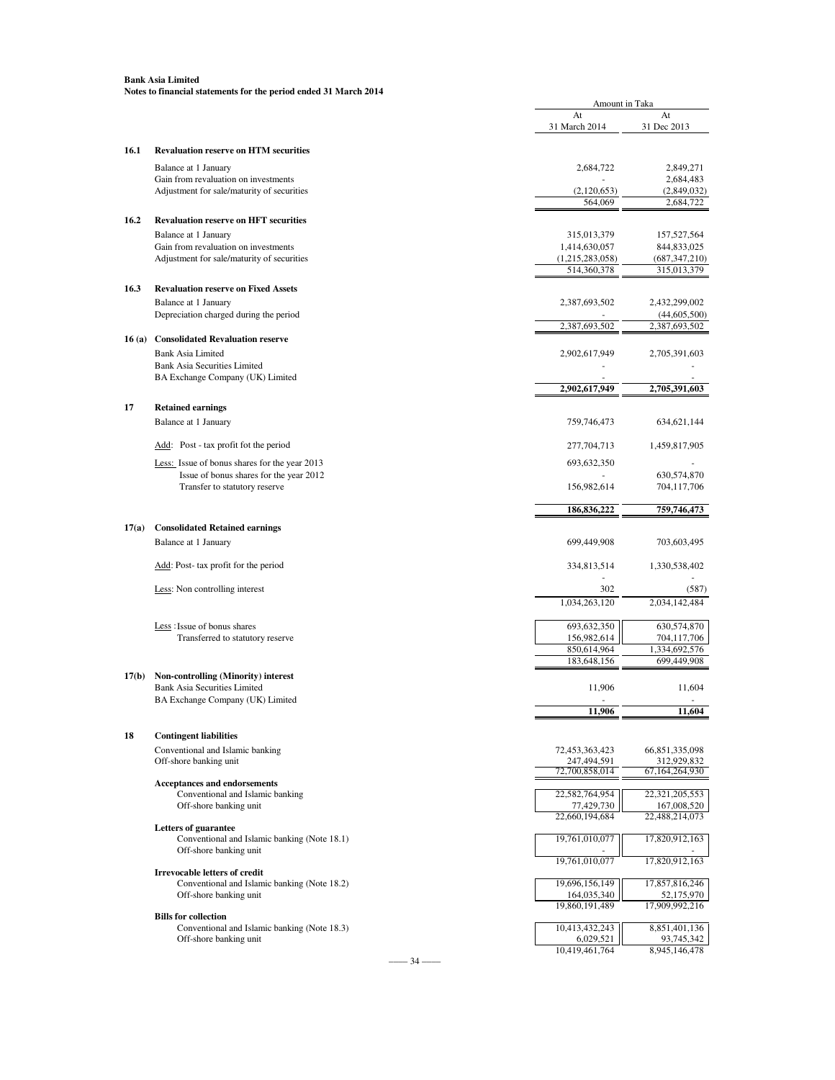|       |                                                            | At                            | At                            |
|-------|------------------------------------------------------------|-------------------------------|-------------------------------|
|       |                                                            | 31 March 2014                 | 31 Dec 2013                   |
| 16.1  | <b>Revaluation reserve on HTM securities</b>               |                               |                               |
|       | Balance at 1 January                                       | 2,684,722                     | 2,849,271                     |
|       | Gain from revaluation on investments                       |                               | 2,684,483                     |
|       | Adjustment for sale/maturity of securities                 | (2,120,653)                   | (2,849,032)                   |
|       |                                                            | 564,069                       | 2,684,722                     |
| 16.2  | <b>Revaluation reserve on HFT securities</b>               |                               |                               |
|       | Balance at 1 January                                       | 315,013,379                   | 157,527,564                   |
|       | Gain from revaluation on investments                       | 1,414,630,057                 | 844,833,025                   |
|       | Adjustment for sale/maturity of securities                 | (1,215,283,058)               | (687,347,210)                 |
|       |                                                            | 514,360,378                   | 315,013,379                   |
| 16.3  | <b>Revaluation reserve on Fixed Assets</b>                 |                               |                               |
|       | Balance at 1 January                                       | 2,387,693,502                 | 2,432,299,002                 |
|       | Depreciation charged during the period                     |                               | (44, 605, 500)                |
| 16(a) | <b>Consolidated Revaluation reserve</b>                    | 2,387,693,502                 | 2,387,693,502                 |
|       | <b>Bank Asia Limited</b>                                   | 2,902,617,949                 | 2,705,391,603                 |
|       | <b>Bank Asia Securities Limited</b>                        |                               |                               |
|       | BA Exchange Company (UK) Limited                           |                               |                               |
|       |                                                            | 2,902,617,949                 | 2,705,391,603                 |
| 17    | <b>Retained earnings</b>                                   |                               |                               |
|       | Balance at 1 January                                       | 759,746,473                   | 634,621,144                   |
|       |                                                            |                               |                               |
|       | Add: Post - tax profit fot the period                      | 277, 704, 713                 | 1,459,817,905                 |
|       | Less: Issue of bonus shares for the year 2013              | 693, 632, 350                 |                               |
|       | Issue of bonus shares for the year 2012                    |                               | 630,574,870                   |
|       | Transfer to statutory reserve                              | 156,982,614                   | 704,117,706                   |
|       |                                                            | 186,836,222                   | 759,746,473                   |
| 17(a) | <b>Consolidated Retained earnings</b>                      |                               |                               |
|       | Balance at 1 January                                       | 699,449,908                   | 703,603,495                   |
|       |                                                            |                               |                               |
|       | Add: Post- tax profit for the period                       | 334,813,514                   | 1,330,538,402                 |
|       | Less: Non controlling interest                             | 302                           | (587)                         |
|       |                                                            | 1,034,263,120                 | 2,034,142,484                 |
|       |                                                            |                               |                               |
|       | Less: Issue of bonus shares                                | 693,632,350                   | 630,574,870                   |
|       | Transferred to statutory reserve                           | 156,982,614                   | 704,117,706                   |
|       |                                                            | 850,614,964<br>183,648,156    | ,334,692,576<br>699,449,908   |
| 17(b) | Non-controlling (Minority) interest                        |                               |                               |
|       | <b>Bank Asia Securities Limited</b>                        | 11,906                        | 11,604                        |
|       | BA Exchange Company (UK) Limited                           |                               |                               |
|       |                                                            | 11,906                        | 11,604                        |
|       |                                                            |                               |                               |
| 18    | <b>Contingent liabilities</b>                              |                               |                               |
|       | Conventional and Islamic banking<br>Off-shore banking unit | 72,453,363,423<br>247,494,591 | 66,851,335,098<br>312,929,832 |
|       |                                                            | 72,700,858,014                | 67,164,264,930                |
|       | Acceptances and endorsements                               |                               |                               |
|       | Conventional and Islamic banking                           | 22,582,764,954                | 22,321,205,553                |
|       | Off-shore banking unit                                     | 77,429,730<br>22,660,194,684  | 167,008,520<br>22,488,214,073 |
|       | Letters of guarantee                                       |                               |                               |
|       | Conventional and Islamic banking (Note 18.1)               | 19,761,010,077                | 17,820,912,163                |
|       | Off-shore banking unit                                     | 19,761,010,077                | 17,820,912,163                |
|       | <b>Irrevocable letters of credit</b>                       |                               |                               |
|       | Conventional and Islamic banking (Note 18.2)               | 19,696,156,149                | 17,857,816,246                |
|       | Off-shore banking unit                                     | 164,035,340                   | 52,175,970                    |
|       | <b>Bills for collection</b>                                | 19,860,191,489                | 17,909,992,216                |
|       | Conventional and Islamic banking (Note 18.3)               | 10,413,432,243                | 8,851,401,136                 |
|       | Off-shore banking unit                                     | 6,029,521                     | 93,745,342                    |
|       |                                                            | 10,419,461,764                | 8,945,146,478                 |

Amount in Taka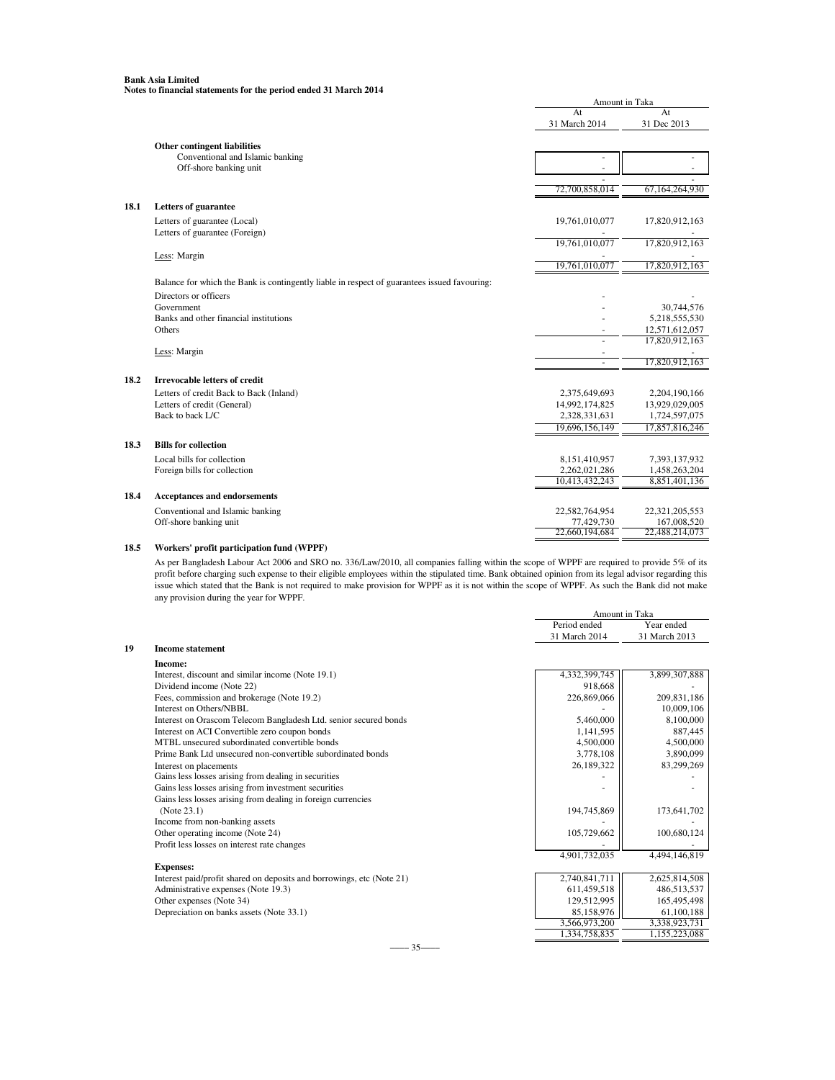|      |                                                                                              | Amount in Taka      |                   |
|------|----------------------------------------------------------------------------------------------|---------------------|-------------------|
|      |                                                                                              | At<br>31 March 2014 | At<br>31 Dec 2013 |
|      | Other contingent liabilities                                                                 |                     |                   |
|      | Conventional and Islamic banking                                                             | ÷,                  |                   |
|      | Off-shore banking unit                                                                       |                     |                   |
|      |                                                                                              | 72,700,858,014      | 67,164,264,930    |
|      |                                                                                              |                     |                   |
| 18.1 | <b>Letters of guarantee</b>                                                                  |                     |                   |
|      | Letters of guarantee (Local)                                                                 | 19,761,010,077      | 17,820,912,163    |
|      | Letters of guarantee (Foreign)                                                               |                     |                   |
|      |                                                                                              | 19,761,010,077      | 17,820,912,163    |
|      | Less: Margin                                                                                 |                     |                   |
|      |                                                                                              | 19,761,010,077      | 17,820,912,163    |
|      | Balance for which the Bank is contingently liable in respect of guarantees issued favouring: |                     |                   |
|      | Directors or officers                                                                        |                     |                   |
|      | Government                                                                                   |                     | 30,744,576        |
|      | Banks and other financial institutions                                                       |                     | 5,218,555,530     |
|      | Others                                                                                       |                     | 12,571,612,057    |
|      |                                                                                              |                     | 17,820,912,163    |
|      | Less: Margin                                                                                 |                     | 17,820,912,163    |
|      |                                                                                              | $\sim$              |                   |
| 18.2 | <b>Irrevocable letters of credit</b>                                                         |                     |                   |
|      | Letters of credit Back to Back (Inland)                                                      | 2,375,649,693       | 2,204,190,166     |
|      | Letters of credit (General)                                                                  | 14,992,174,825      | 13,929,029,005    |
|      | Back to back L/C                                                                             | 2,328,331,631       | 1,724,597,075     |
|      |                                                                                              | 19,696,156,149      | 17,857,816,246    |
| 18.3 | <b>Bills for collection</b>                                                                  |                     |                   |
|      | Local bills for collection                                                                   | 8,151,410,957       | 7,393,137,932     |
|      | Foreign bills for collection                                                                 | 2,262,021,286       | 1,458,263,204     |
|      |                                                                                              | 10,413,432,243      | 8,851,401,136     |
| 18.4 | <b>Acceptances and endorsements</b>                                                          |                     |                   |
|      | Conventional and Islamic banking                                                             | 22,582,764,954      | 22,321,205,553    |
|      | Off-shore banking unit                                                                       | 77,429,730          | 167,008,520       |
|      |                                                                                              | 22,660,194,684      | 22,488,214,073    |
|      |                                                                                              |                     |                   |

**18.5 Workers' profit participation fund (WPPF)**

As per Bangladesh Labour Act 2006 and SRO no. 336/Law/2010, all companies falling within the scope of WPPF are required to provide 5% of its profit before charging such expense to their eligible employees within the stipulated time. Bank obtained opinion from its legal advisor regarding this issue which stated that the Bank is not required to make provision for WPPF as it is not within the scope of WPPF. As such the Bank did not make any provision during the year for WPPF.

Amount in Taka

|    |                                                                       | Period ended  | Year ended    |
|----|-----------------------------------------------------------------------|---------------|---------------|
|    |                                                                       | 31 March 2014 | 31 March 2013 |
| 19 | <b>Income statement</b>                                               |               |               |
|    | Income:                                                               |               |               |
|    | Interest, discount and similar income (Note 19.1)                     | 4,332,399,745 | 3,899,307,888 |
|    | Dividend income (Note 22)                                             | 918,668       |               |
|    | Fees, commission and brokerage (Note 19.2)                            | 226,869,066   | 209,831,186   |
|    | Interest on Others/NBBL                                               |               | 10,009,106    |
|    | Interest on Orascom Telecom Bangladesh Ltd. senior secured bonds      | 5,460,000     | 8,100,000     |
|    | Interest on ACI Convertible zero coupon bonds                         | 1,141,595     | 887,445       |
|    | MTBL unsecured subordinated convertible bonds                         | 4,500,000     | 4,500,000     |
|    | Prime Bank Ltd unsecured non-convertible subordinated bonds           | 3,778,108     | 3,890,099     |
|    | Interest on placements                                                | 26,189,322    | 83,299,269    |
|    | Gains less losses arising from dealing in securities                  |               |               |
|    | Gains less losses arising from investment securities                  |               |               |
|    | Gains less losses arising from dealing in foreign currencies          |               |               |
|    | (Note 23.1)                                                           | 194,745,869   | 173,641,702   |
|    | Income from non-banking assets                                        |               |               |
|    | Other operating income (Note 24)                                      | 105,729,662   | 100,680,124   |
|    | Profit less losses on interest rate changes                           |               |               |
|    |                                                                       | 4,901,732,035 | 4,494,146,819 |
|    | <b>Expenses:</b>                                                      |               |               |
|    | Interest paid/profit shared on deposits and borrowings, etc (Note 21) | 2,740,841,711 | 2,625,814,508 |
|    | Administrative expenses (Note 19.3)                                   | 611,459,518   | 486,513,537   |
|    | Other expenses (Note 34)                                              | 129,512,995   | 165,495,498   |
|    | Depreciation on banks assets (Note 33.1)                              | 85,158,976    | 61,100,188    |
|    |                                                                       | 3,566,973,200 | 3,338,923,731 |
|    |                                                                       | 1,334,758,835 | 1,155,223,088 |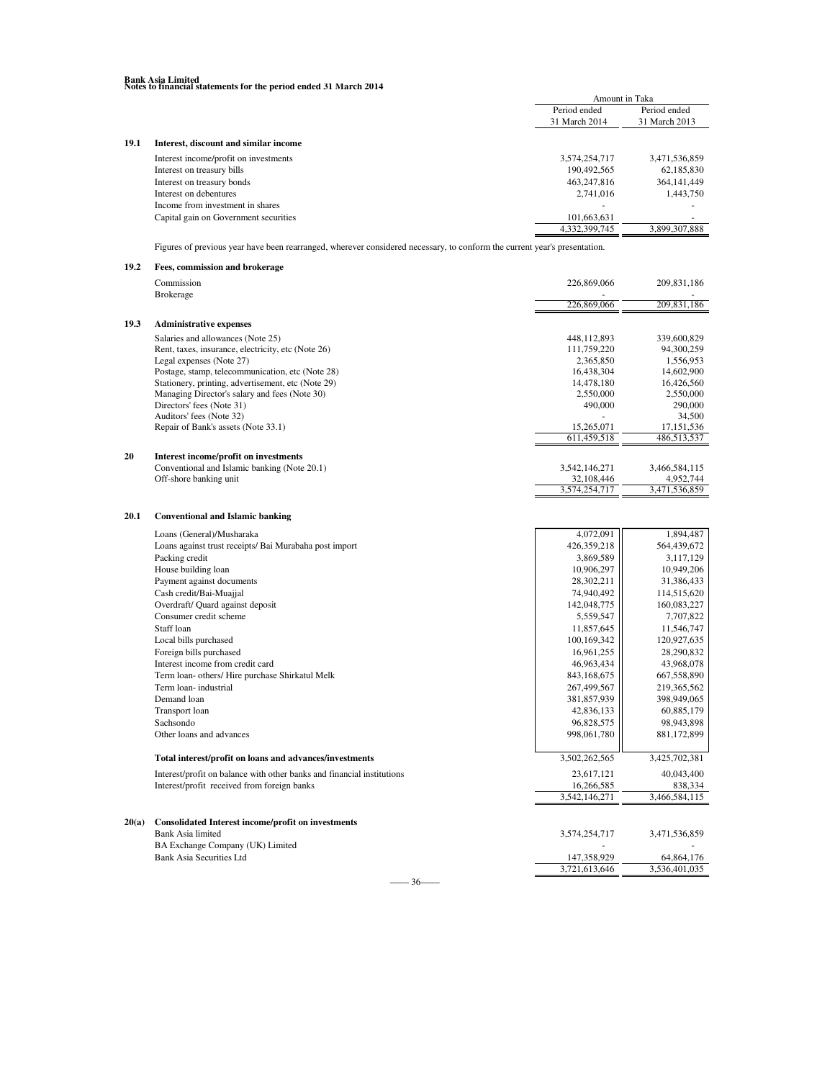|      |                                       | Amount in Taka |               |
|------|---------------------------------------|----------------|---------------|
|      |                                       | Period ended   | Period ended  |
|      |                                       | 31 March 2014  | 31 March 2013 |
| 19.1 | Interest, discount and similar income |                |               |
|      | Interest income/profit on investments | 3,574,254,717  | 3,471,536,859 |
|      | Interest on treasury bills            | 190,492,565    | 62,185,830    |
|      | Interest on treasury bonds            | 463.247.816    | 364, 141, 449 |
|      | Interest on debentures                | 2.741.016      | 1,443,750     |
|      | Income from investment in shares      |                |               |
|      | Capital gain on Government securities | 101,663,631    |               |
|      |                                       | 4,332,399,745  | 3,899,307,888 |
|      |                                       |                |               |

Figures of previous year have been rearranged, wherever considered necessary, to conform the current year's presentation.

| 19.2  | Fees, commission and brokerage                                         |                           |                             |
|-------|------------------------------------------------------------------------|---------------------------|-----------------------------|
|       | Commission                                                             | 226,869,066               | 209,831,186                 |
|       | <b>Brokerage</b>                                                       |                           |                             |
|       |                                                                        | 226,869,066               | 209,831,186                 |
| 19.3  | <b>Administrative expenses</b>                                         |                           |                             |
|       | Salaries and allowances (Note 25)                                      | 448,112,893               | 339,600,829                 |
|       | Rent, taxes, insurance, electricity, etc (Note 26)                     | 111,759,220               | 94,300,259                  |
|       | Legal expenses (Note 27)                                               | 2,365,850                 | 1,556,953                   |
|       | Postage, stamp, telecommunication, etc (Note 28)                       | 16,438,304                | 14,602,900                  |
|       | Stationery, printing, advertisement, etc (Note 29)                     | 14,478,180                | 16,426,560                  |
|       | Managing Director's salary and fees (Note 30)                          | 2,550,000                 | 2,550,000                   |
|       | Directors' fees (Note 31)                                              | 490,000                   | 290,000                     |
|       | Auditors' fees (Note 32)                                               |                           | 34,500                      |
|       | Repair of Bank's assets (Note 33.1)                                    | 15,265,071<br>611,459,518 | 17, 151, 536<br>486,513,537 |
|       |                                                                        |                           |                             |
| 20    | Interest income/profit on investments                                  |                           |                             |
|       | Conventional and Islamic banking (Note 20.1)                           | 3,542,146,271             | 3,466,584,115               |
|       | Off-shore banking unit                                                 | 32,108,446                | 4,952,744                   |
|       |                                                                        | 3,574,254,717             | 3,471,536,859               |
| 20.1  | <b>Conventional and Islamic banking</b>                                |                           |                             |
|       |                                                                        |                           |                             |
|       | Loans (General)/Musharaka                                              | 4,072,091                 | 1,894,487                   |
|       | Loans against trust receipts/ Bai Murabaha post import                 | 426,359,218               | 564,439,672                 |
|       | Packing credit                                                         | 3,869,589                 | 3,117,129                   |
|       | House building loan<br>Payment against documents                       | 10,906,297<br>28,302,211  | 10,949,206<br>31,386,433    |
|       | Cash credit/Bai-Muajjal                                                | 74,940,492                | 114,515,620                 |
|       | Overdraft/ Quard against deposit                                       | 142,048,775               | 160,083,227                 |
|       | Consumer credit scheme                                                 | 5,559,547                 | 7,707,822                   |
|       | Staff loan                                                             | 11,857,645                | 11,546,747                  |
|       | Local bills purchased                                                  | 100,169,342               | 120,927,635                 |
|       | Foreign bills purchased                                                | 16,961,255                | 28,290,832                  |
|       | Interest income from credit card                                       | 46,963,434                | 43,968,078                  |
|       | Term loan- others/ Hire purchase Shirkatul Melk                        | 843,168,675               | 667,558,890                 |
|       | Term loan-industrial                                                   | 267,499,567               | 219,365,562                 |
|       | Demand loan                                                            | 381,857,939               | 398,949,065                 |
|       | Transport loan                                                         | 42,836,133                | 60,885,179                  |
|       | Sachsondo                                                              | 96,828,575                | 98,943,898                  |
|       | Other loans and advances                                               | 998,061,780               | 881,172,899                 |
|       |                                                                        |                           |                             |
|       | Total interest/profit on loans and advances/investments                | 3,502,262,565             | 3,425,702,381               |
|       | Interest/profit on balance with other banks and financial institutions | 23,617,121                | 40,043,400                  |
|       | Interest/profit received from foreign banks                            | 16,266,585                | 838,334                     |
|       |                                                                        | 3,542,146,271             | 3,466,584,115               |
|       |                                                                        |                           |                             |
| 20(a) | <b>Consolidated Interest income/profit on investments</b>              |                           |                             |
|       | <b>Bank Asia limited</b>                                               | 3,574,254,717             | 3,471,536,859               |
|       | BA Exchange Company (UK) Limited<br><b>Bank Asia Securities Ltd</b>    | 147,358,929               | 64,864,176                  |
|       |                                                                        | 3.721.613.646             | 3.536.401.035               |
|       |                                                                        |                           |                             |

–––– 36––––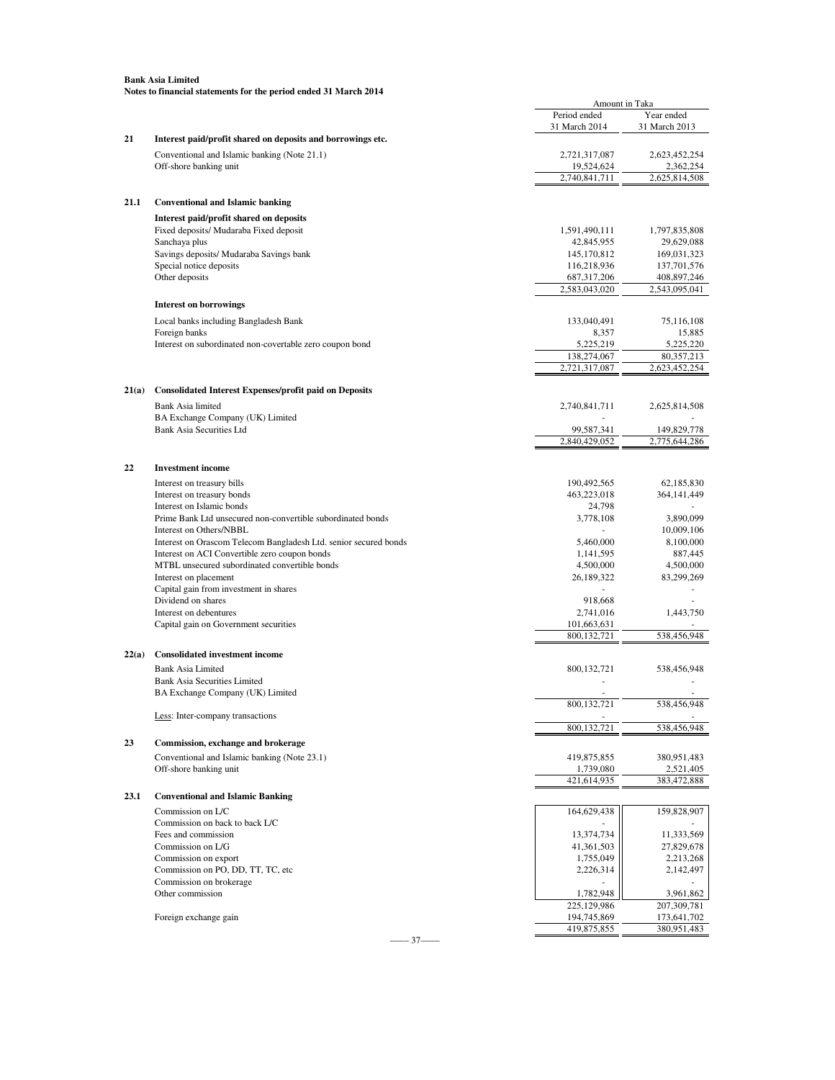|       | <b>Bank Asia Limited</b>                                         |                                |                               |
|-------|------------------------------------------------------------------|--------------------------------|-------------------------------|
|       | Notes to financial statements for the period ended 31 March 2014 |                                |                               |
|       |                                                                  | Amount in Taka<br>Period ended | Year ended                    |
|       |                                                                  | 31 March 2014                  | 31 March 2013                 |
| 21    | Interest paid/profit shared on deposits and borrowings etc.      |                                |                               |
|       | Conventional and Islamic banking (Note 21.1)                     | 2,721,317,087                  | 2,623,452,254                 |
|       | Off-shore banking unit                                           | 19,524,624                     | 2,362,254                     |
|       |                                                                  | 2,740,841,711                  | 2,625,814,508                 |
| 21.1  | <b>Conventional and Islamic banking</b>                          |                                |                               |
|       | Interest paid/profit shared on deposits                          |                                |                               |
|       | Fixed deposits/ Mudaraba Fixed deposit                           | 1,591,490,111                  | 1,797,835,808                 |
|       | Sanchaya plus                                                    | 42,845,955                     | 29,629,088                    |
|       | Savings deposits/ Mudaraba Savings bank                          | 145, 170, 812                  | 169,031,323                   |
|       | Special notice deposits                                          | 116,218,936                    | 137,701,576                   |
|       | Other deposits                                                   | 687, 317, 206                  | 408,897,246                   |
|       |                                                                  | 2,583,043,020                  | 2,543,095,041                 |
|       | <b>Interest on borrowings</b>                                    |                                |                               |
|       | Local banks including Bangladesh Bank                            | 133,040,491                    | 75,116,108                    |
|       | Foreign banks                                                    | 8,357                          | 15,885                        |
|       | Interest on subordinated non-covertable zero coupon bond         | 5,225,219<br>138,274,067       | 5,225,220                     |
|       |                                                                  | 2,721,317,087                  | 80, 357, 213<br>2,623,452,254 |
|       |                                                                  |                                |                               |
| 21(a) | <b>Consolidated Interest Expenses/profit paid on Deposits</b>    |                                |                               |
|       | Bank Asia limited                                                | 2,740,841,711                  | 2,625,814,508                 |
|       | BA Exchange Company (UK) Limited                                 |                                |                               |
|       | <b>Bank Asia Securities Ltd</b>                                  | 99,587,341<br>2,840,429,052    | 149,829,778<br>2,775,644,286  |
|       |                                                                  |                                |                               |
| 22    | <b>Investment</b> income                                         |                                |                               |
|       | Interest on treasury bills                                       | 190,492,565                    | 62,185,830                    |
|       | Interest on treasury bonds                                       | 463,223,018                    | 364, 141, 449                 |
|       | Interest on Islamic bonds                                        | 24,798                         |                               |
|       | Prime Bank Ltd unsecured non-convertible subordinated bonds      | 3,778,108                      | 3,890,099                     |
|       | Interest on Others/NBBL                                          |                                | 10,009,106                    |
|       | Interest on Orascom Telecom Bangladesh Ltd. senior secured bonds | 5,460,000                      | 8,100,000                     |
|       | Interest on ACI Convertible zero coupon bonds                    | 1,141,595                      | 887,445                       |
|       | MTBL unsecured subordinated convertible bonds                    | 4,500,000                      | 4,500,000<br>83,299,269       |
|       | Interest on placement<br>Capital gain from investment in shares  | 26,189,322                     |                               |
|       | Dividend on shares                                               | 918,668                        |                               |
|       | Interest on debentures                                           | 2,741,016                      | 1,443,750                     |
|       | Capital gain on Government securities                            | 101,663,631                    |                               |
|       |                                                                  | 800.132.721                    | 538,456,948                   |
| 22(a) | <b>Consolidated investment income</b>                            |                                |                               |
|       | <b>Bank Asia Limited</b>                                         | 800, 132, 721                  | 538,456,948                   |
|       | <b>Bank Asia Securities Limited</b>                              |                                |                               |
|       | BA Exchange Company (UK) Limited                                 |                                |                               |
|       | Less: Inter-company transactions                                 | 800,132,721                    | 538,456,948                   |
|       |                                                                  | 800,132,721                    | 538,456,948                   |
| 23    | Commission, exchange and brokerage                               |                                |                               |
|       | Conventional and Islamic banking (Note 23.1)                     | 419,875,855                    | 380,951,483                   |
|       | Off-shore banking unit                                           | 1,739,080                      | 2,521,405                     |
|       |                                                                  | 421,614,935                    | 383,472,888                   |
| 23.1  | <b>Conventional and Islamic Banking</b>                          |                                |                               |
|       | Commission on L/C                                                | 164,629,438                    | 159,828,907                   |
|       | Commission on back to back L/C                                   |                                |                               |
|       | Fees and commission                                              | 13,374,734                     | 11,333,569                    |
|       | Commission on L/G                                                | 41,361,503                     | 27,829,678                    |
|       | Commission on export<br>Commission on PO, DD, TT, TC, etc        | 1,755,049<br>2,226,314         | 2,213,268<br>2,142,497        |
|       |                                                                  |                                |                               |

538,456,948

225,129,986 207,309,781<br>194,745,869 173,641,702

419,875,855

–––– 37––––

Commission on brokerage and the commission on brokerage and the commission on brokerage and the commission of  $1,782,948$  and  $3,961,862$ Other commission 3,961,862 1,782,948 3,961,862 3,961,862 3,961,862 3,961,862 3,961,862 3,961,862 3,961,862 3,9730 3,9731 3,9731 3,9731 3,9731 3,9731 3,9731 3,9731 3,9731 3,9731 3,9731 3,9731 3,9731 3,9731 3,9731 3,9731 3,9

Foreign exchange gain 194,745,869 173,641,702 194,745,869 173,641,702 194,745,869 173,641,702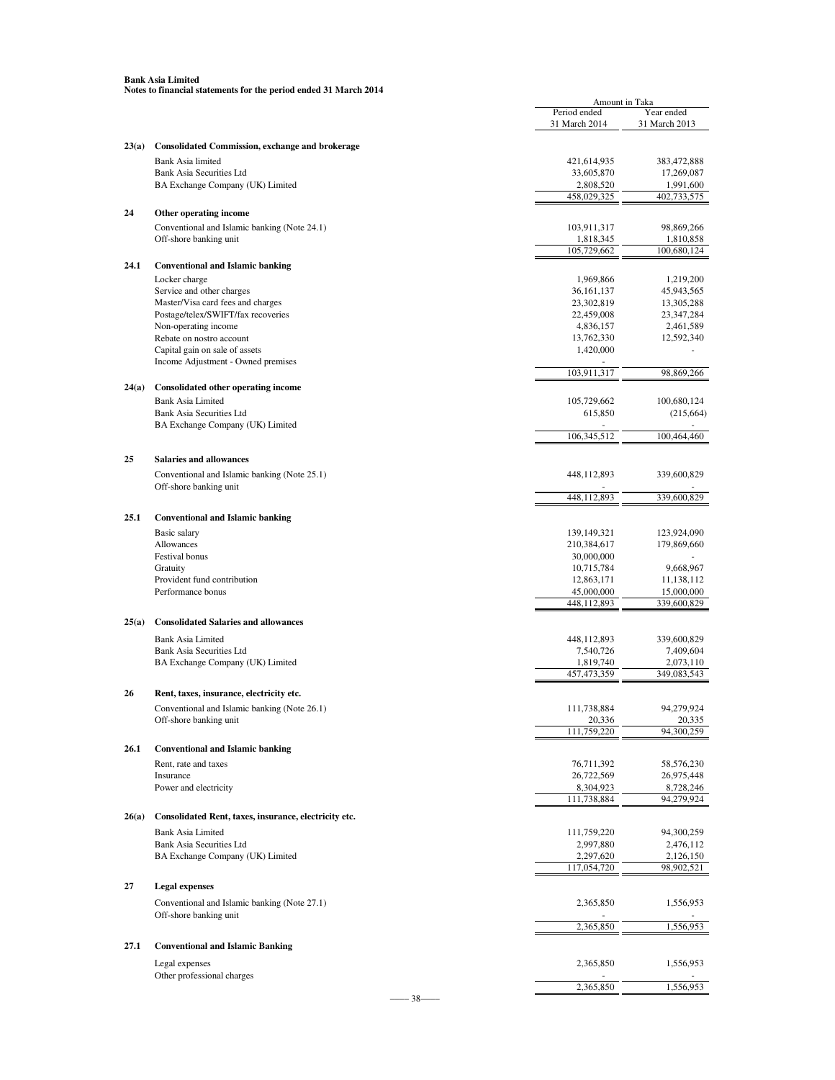|       |                                                        | Amount in Taka |               |
|-------|--------------------------------------------------------|----------------|---------------|
|       |                                                        | Period ended   | Year ended    |
|       |                                                        | 31 March 2014  | 31 March 2013 |
|       |                                                        |                |               |
| 23(a) | <b>Consolidated Commission, exchange and brokerage</b> |                |               |
|       | Bank Asia limited                                      | 421,614,935    | 383,472,888   |
|       | <b>Bank Asia Securities Ltd</b>                        | 33,605,870     | 17,269,087    |
|       | BA Exchange Company (UK) Limited                       | 2,808,520      | 1,991,600     |
|       |                                                        | 458,029,325    | 402,733,575   |
| 24    | Other operating income                                 |                |               |
|       | Conventional and Islamic banking (Note 24.1)           | 103,911,317    | 98,869,266    |
|       | Off-shore banking unit                                 | 1,818,345      | 1,810,858     |
|       |                                                        | 105,729,662    | 100,680,124   |
| 24.1  | <b>Conventional and Islamic banking</b>                |                |               |
|       |                                                        | 1,969,866      | 1,219,200     |
|       | Locker charge                                          | 36, 161, 137   |               |
|       | Service and other charges                              |                | 45,943,565    |
|       | Master/Visa card fees and charges                      | 23,302,819     | 13,305,288    |
|       | Postage/telex/SWIFT/fax recoveries                     | 22,459,008     | 23, 347, 284  |
|       | Non-operating income                                   | 4,836,157      | 2,461,589     |
|       | Rebate on nostro account                               | 13,762,330     | 12,592,340    |
|       | Capital gain on sale of assets                         | 1,420,000      |               |
|       | Income Adjustment - Owned premises                     | 103.911.317    | 98,869,266    |
|       |                                                        |                |               |
| 24(a) | Consolidated other operating income                    |                |               |
|       | <b>Bank Asia Limited</b>                               | 105,729,662    | 100,680,124   |
|       | <b>Bank Asia Securities Ltd</b>                        | 615,850        | (215, 664)    |
|       | BA Exchange Company (UK) Limited                       |                |               |
|       |                                                        | 106, 345, 512  | 100,464,460   |
|       |                                                        |                |               |
| 25    | <b>Salaries and allowances</b>                         |                |               |
|       | Conventional and Islamic banking (Note 25.1)           | 448,112,893    | 339,600,829   |
|       | Off-shore banking unit                                 |                |               |
|       |                                                        | 448,112,893    | 339,600,829   |
|       |                                                        |                |               |
| 25.1  | <b>Conventional and Islamic banking</b>                |                |               |
|       | Basic salary                                           | 139,149,321    | 123,924,090   |
|       | Allowances                                             | 210,384,617    | 179,869,660   |
|       | Festival bonus                                         | 30,000,000     |               |
|       | Gratuity                                               | 10,715,784     | 9,668,967     |
|       | Provident fund contribution                            | 12,863,171     | 11,138,112    |
|       | Performance bonus                                      | 45,000,000     | 15,000,000    |
|       |                                                        | 448,112,893    | 339,600,829   |
| 25(a) | <b>Consolidated Salaries and allowances</b>            |                |               |
|       |                                                        |                |               |
|       | <b>Bank Asia Limited</b>                               | 448,112,893    | 339,600,829   |
|       | Bank Asia Securities Ltd                               | 7,540,726      | 7,409,604     |
|       | BA Exchange Company (UK) Limited                       | 1,819,740      | 2,073,110     |
|       |                                                        | 457, 473, 359  | 349,083,543   |
| 26    | Rent, taxes, insurance, electricity etc.               |                |               |
|       |                                                        |                |               |
|       | Conventional and Islamic banking (Note 26.1)           | 111,738,884    | 94,279,924    |
|       | Off-shore banking unit                                 | 20,336         | 20,335        |
|       |                                                        | 111,759,220    | 94,300,259    |
| 26.1  | <b>Conventional and Islamic banking</b>                |                |               |
|       | Rent, rate and taxes                                   | 76,711,392     | 58,576,230    |
|       | Insurance                                              | 26,722,569     | 26,975,448    |
|       | Power and electricity                                  | 8,304,923      | 8,728,246     |
|       |                                                        | 111,738,884    | 94,279,924    |
|       |                                                        |                |               |
| 26(a) | Consolidated Rent, taxes, insurance, electricity etc.  |                |               |
|       | <b>Bank Asia Limited</b>                               | 111,759,220    | 94,300,259    |
|       | <b>Bank Asia Securities Ltd</b>                        | 2,997,880      | 2,476,112     |
|       | BA Exchange Company (UK) Limited                       | 2,297,620      | 2,126,150     |
|       |                                                        | 117,054,720    | 98,902,521    |
|       |                                                        |                |               |
| 27    | <b>Legal expenses</b>                                  |                |               |
|       | Conventional and Islamic banking (Note 27.1)           | 2,365,850      | 1,556,953     |
|       | Off-shore banking unit                                 |                |               |
|       |                                                        | 2,365,850      | 1,556,953     |
|       |                                                        |                |               |
| 27.1  | <b>Conventional and Islamic Banking</b>                |                |               |
|       | Legal expenses                                         | 2,365,850      | 1,556,953     |
|       | Other professional charges                             |                |               |
|       |                                                        | 2,365,850      | 1,556,953     |

–––– 38––––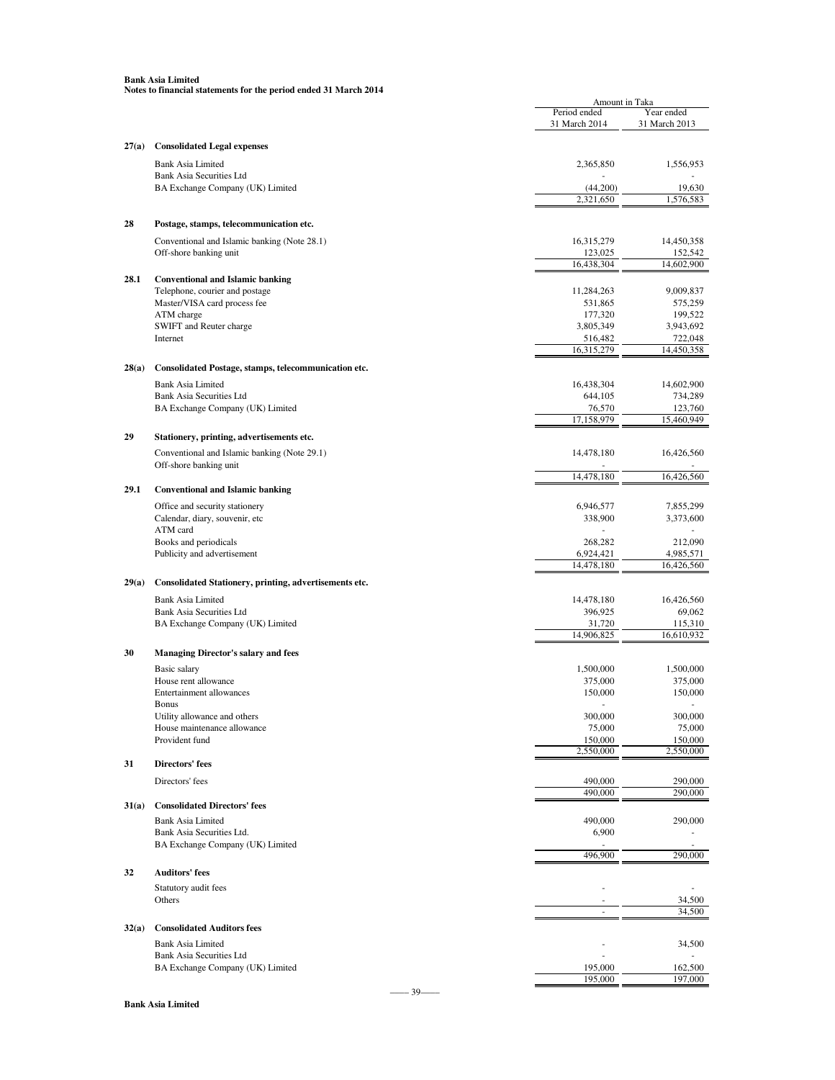|       |                                                                     | Amount in Taka                |                             |
|-------|---------------------------------------------------------------------|-------------------------------|-----------------------------|
|       |                                                                     | Period ended<br>31 March 2014 | Year ended<br>31 March 2013 |
|       |                                                                     |                               |                             |
| 27(a) | <b>Consolidated Legal expenses</b>                                  |                               |                             |
|       | <b>Bank Asia Limited</b>                                            | 2,365,850                     | 1,556,953                   |
|       | <b>Bank Asia Securities Ltd</b><br>BA Exchange Company (UK) Limited | (44, 200)                     | 19,630                      |
|       |                                                                     | 2,321,650                     | 1,576,583                   |
|       |                                                                     |                               |                             |
| 28    | Postage, stamps, telecommunication etc.                             |                               |                             |
|       | Conventional and Islamic banking (Note 28.1)                        | 16,315,279                    | 14,450,358                  |
|       | Off-shore banking unit                                              | 123,025<br>16,438,304         | 152,542<br>14,602,900       |
| 28.1  | <b>Conventional and Islamic banking</b>                             |                               |                             |
|       | Telephone, courier and postage                                      | 11,284,263                    | 9,009,837                   |
|       | Master/VISA card process fee                                        | 531,865                       | 575,259                     |
|       | ATM charge<br>SWIFT and Reuter charge                               | 177,320<br>3,805,349          | 199,522<br>3,943,692        |
|       | Internet                                                            | 516,482                       | 722,048                     |
|       |                                                                     | 16,315,279                    | 14,450,358                  |
| 28(a) | Consolidated Postage, stamps, telecommunication etc.                |                               |                             |
|       | <b>Bank Asia Limited</b>                                            | 16,438,304                    | 14,602,900                  |
|       | <b>Bank Asia Securities Ltd</b>                                     | 644,105                       | 734,289                     |
|       | BA Exchange Company (UK) Limited                                    | 76,570                        | 123,760                     |
|       |                                                                     | 17,158,979                    | 15,460,949                  |
| 29    | Stationery, printing, advertisements etc.                           |                               |                             |
|       | Conventional and Islamic banking (Note 29.1)                        | 14,478,180                    | 16,426,560                  |
|       | Off-shore banking unit                                              | 14,478,180                    | 16,426,560                  |
| 29.1  | <b>Conventional and Islamic banking</b>                             |                               |                             |
|       | Office and security stationery                                      | 6,946,577                     | 7,855,299                   |
|       | Calendar, diary, souvenir, etc                                      | 338,900                       | 3,373,600                   |
|       | ATM card                                                            |                               |                             |
|       | Books and periodicals                                               | 268,282                       | 212,090                     |
|       | Publicity and advertisement                                         | 6,924,421<br>14,478,180       | 4,985,571<br>16,426,560     |
| 29(a) |                                                                     |                               |                             |
|       | Consolidated Stationery, printing, advertisements etc.              |                               |                             |
|       | <b>Bank Asia Limited</b><br>Bank Asia Securities Ltd                | 14,478,180<br>396,925         | 16,426,560                  |
|       | BA Exchange Company (UK) Limited                                    | 31,720                        | 69,062<br>115,310           |
|       |                                                                     | 14,906,825                    | 16,610,932                  |
| 30    | <b>Managing Director's salary and fees</b>                          |                               |                             |
|       | Basic salary                                                        | 1,500,000                     | 1,500,000                   |
|       | House rent allowance                                                | 375,000                       | 375,000                     |
|       | Entertainment allowances                                            | 150,000                       | 150,000                     |
|       | Bonus<br>Utility allowance and others                               | 300,000                       | 300,000                     |
|       | House maintenance allowance                                         | 75,000                        | 75,000                      |
|       | Provident fund                                                      | 150,000                       | 150,000                     |
|       |                                                                     | 2,550,000                     | 2,550,000                   |
| 31    | <b>Directors' fees</b>                                              |                               |                             |
|       | Directors' fees                                                     | 490,000<br>490,000            | 290,000                     |
| 31(a) | <b>Consolidated Directors' fees</b>                                 |                               | 290,000                     |
|       | <b>Bank Asia Limited</b>                                            | 490,000                       | 290,000                     |
|       | Bank Asia Securities Ltd.                                           | 6,900                         |                             |
|       | BA Exchange Company (UK) Limited                                    |                               |                             |
|       |                                                                     | 496,900                       | 290,000                     |
| 32    | <b>Auditors' fees</b>                                               |                               |                             |
|       | Statutory audit fees                                                |                               |                             |
|       | Others                                                              |                               | 34,500<br>34,500            |
|       |                                                                     |                               |                             |
| 32(a) | <b>Consolidated Auditors fees</b>                                   |                               |                             |
|       | <b>Bank Asia Limited</b><br>Bank Asia Securities Ltd                |                               | 34,500                      |
|       | BA Exchange Company (UK) Limited                                    | 195,000                       | 162,500                     |
|       |                                                                     | 195,000                       | 197,000                     |